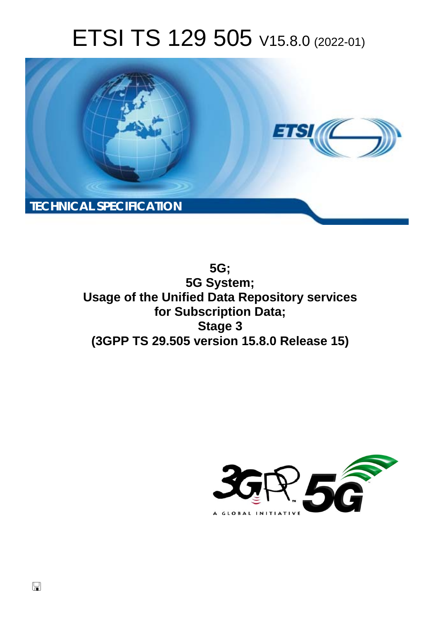# ETSI TS 129 505 V15.8.0 (2022-01)



**5G; 5G System; Usage of the Unified Data Repository services for Subscription Data; Stage 3 (3GPP TS 29.505 version 15.8.0 Release 15)** 

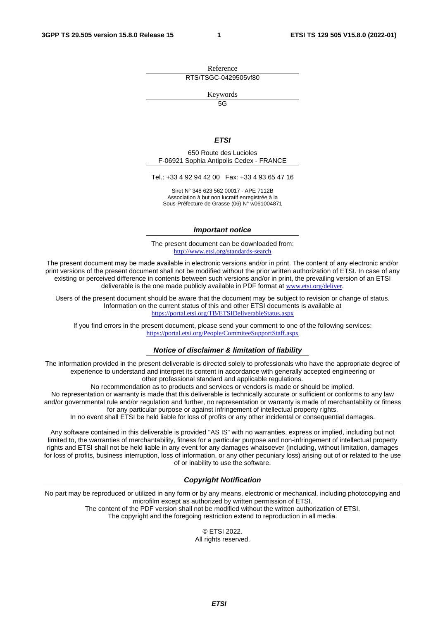Reference RTS/TSGC-0429505vf80

Keywords

 $\overline{5G}$ 

#### *ETSI*

650 Route des Lucioles F-06921 Sophia Antipolis Cedex - FRANCE

Tel.: +33 4 92 94 42 00 Fax: +33 4 93 65 47 16

Siret N° 348 623 562 00017 - APE 7112B Association à but non lucratif enregistrée à la Sous-Préfecture de Grasse (06) N° w061004871

#### *Important notice*

The present document can be downloaded from: <http://www.etsi.org/standards-search>

The present document may be made available in electronic versions and/or in print. The content of any electronic and/or print versions of the present document shall not be modified without the prior written authorization of ETSI. In case of any existing or perceived difference in contents between such versions and/or in print, the prevailing version of an ETSI deliverable is the one made publicly available in PDF format at [www.etsi.org/deliver](http://www.etsi.org/deliver).

Users of the present document should be aware that the document may be subject to revision or change of status. Information on the current status of this and other ETSI documents is available at <https://portal.etsi.org/TB/ETSIDeliverableStatus.aspx>

If you find errors in the present document, please send your comment to one of the following services: <https://portal.etsi.org/People/CommiteeSupportStaff.aspx>

#### *Notice of disclaimer & limitation of liability*

The information provided in the present deliverable is directed solely to professionals who have the appropriate degree of experience to understand and interpret its content in accordance with generally accepted engineering or other professional standard and applicable regulations.

No recommendation as to products and services or vendors is made or should be implied.

No representation or warranty is made that this deliverable is technically accurate or sufficient or conforms to any law and/or governmental rule and/or regulation and further, no representation or warranty is made of merchantability or fitness for any particular purpose or against infringement of intellectual property rights.

In no event shall ETSI be held liable for loss of profits or any other incidental or consequential damages.

Any software contained in this deliverable is provided "AS IS" with no warranties, express or implied, including but not limited to, the warranties of merchantability, fitness for a particular purpose and non-infringement of intellectual property rights and ETSI shall not be held liable in any event for any damages whatsoever (including, without limitation, damages for loss of profits, business interruption, loss of information, or any other pecuniary loss) arising out of or related to the use of or inability to use the software.

### *Copyright Notification*

No part may be reproduced or utilized in any form or by any means, electronic or mechanical, including photocopying and microfilm except as authorized by written permission of ETSI. The content of the PDF version shall not be modified without the written authorization of ETSI.

The copyright and the foregoing restriction extend to reproduction in all media.

© ETSI 2022. All rights reserved.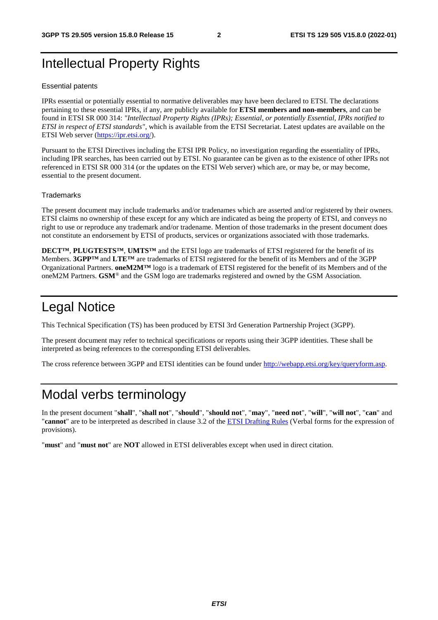# Intellectual Property Rights

#### Essential patents

IPRs essential or potentially essential to normative deliverables may have been declared to ETSI. The declarations pertaining to these essential IPRs, if any, are publicly available for **ETSI members and non-members**, and can be found in ETSI SR 000 314: *"Intellectual Property Rights (IPRs); Essential, or potentially Essential, IPRs notified to ETSI in respect of ETSI standards"*, which is available from the ETSI Secretariat. Latest updates are available on the ETSI Web server [\(https://ipr.etsi.org/](https://ipr.etsi.org/)).

Pursuant to the ETSI Directives including the ETSI IPR Policy, no investigation regarding the essentiality of IPRs, including IPR searches, has been carried out by ETSI. No guarantee can be given as to the existence of other IPRs not referenced in ETSI SR 000 314 (or the updates on the ETSI Web server) which are, or may be, or may become, essential to the present document.

#### **Trademarks**

The present document may include trademarks and/or tradenames which are asserted and/or registered by their owners. ETSI claims no ownership of these except for any which are indicated as being the property of ETSI, and conveys no right to use or reproduce any trademark and/or tradename. Mention of those trademarks in the present document does not constitute an endorsement by ETSI of products, services or organizations associated with those trademarks.

**DECT™**, **PLUGTESTS™**, **UMTS™** and the ETSI logo are trademarks of ETSI registered for the benefit of its Members. **3GPP™** and **LTE™** are trademarks of ETSI registered for the benefit of its Members and of the 3GPP Organizational Partners. **oneM2M™** logo is a trademark of ETSI registered for the benefit of its Members and of the oneM2M Partners. **GSM**® and the GSM logo are trademarks registered and owned by the GSM Association.

# Legal Notice

This Technical Specification (TS) has been produced by ETSI 3rd Generation Partnership Project (3GPP).

The present document may refer to technical specifications or reports using their 3GPP identities. These shall be interpreted as being references to the corresponding ETSI deliverables.

The cross reference between 3GPP and ETSI identities can be found under<http://webapp.etsi.org/key/queryform.asp>.

# Modal verbs terminology

In the present document "**shall**", "**shall not**", "**should**", "**should not**", "**may**", "**need not**", "**will**", "**will not**", "**can**" and "**cannot**" are to be interpreted as described in clause 3.2 of the [ETSI Drafting Rules](https://portal.etsi.org/Services/editHelp!/Howtostart/ETSIDraftingRules.aspx) (Verbal forms for the expression of provisions).

"**must**" and "**must not**" are **NOT** allowed in ETSI deliverables except when used in direct citation.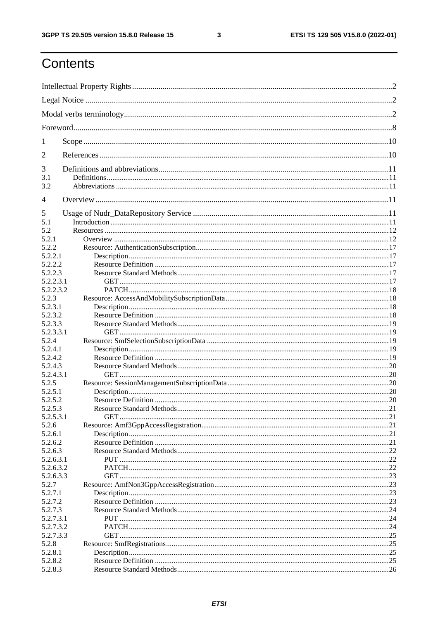$\mathbf{3}$ 

# Contents

| 1              |  |
|----------------|--|
| $\overline{2}$ |  |
| 3              |  |
| 3.1<br>3.2     |  |
| $\overline{4}$ |  |
| 5              |  |
| 5.1            |  |
| 5.2            |  |
| 5.2.1          |  |
| 5.2.2          |  |
| 5.2.2.1        |  |
| 5.2.2.2        |  |
| 5.2.2.3        |  |
| 5.2.2.3.1      |  |
| 5.2.2.3.2      |  |
| 5.2.3          |  |
| 5.2.3.1        |  |
| 5.2.3.2        |  |
| 5.2.3.3        |  |
| 5.2.3.3.1      |  |
|                |  |
| 5.2.4          |  |
| 5.2.4.1        |  |
| 5.2.4.2        |  |
| 5.2.4.3        |  |
| 5.2.4.3.1      |  |
| 5.2.5          |  |
| 5.2.5.1        |  |
| 5.2.5.2        |  |
| 5.2.5.3        |  |
| 5.2.5.3.1      |  |
| 5.2.6          |  |
| 5.2.6.1        |  |
| 5.2.6.2        |  |
| 5.2.6.3        |  |
| 5.2.6.3.1      |  |
| 5.2.6.3.2      |  |
| 5.2.6.3.3      |  |
| 5.2.7          |  |
| 5.2.7.1        |  |
| 5.2.7.2        |  |
| 5.2.7.3        |  |
| 5.2.7.3.1      |  |
| 5.2.7.3.2      |  |
| 5.2.7.3.3      |  |
| 5.2.8          |  |
| 5.2.8.1        |  |
| 5.2.8.2        |  |
| 5.2.8.3        |  |
|                |  |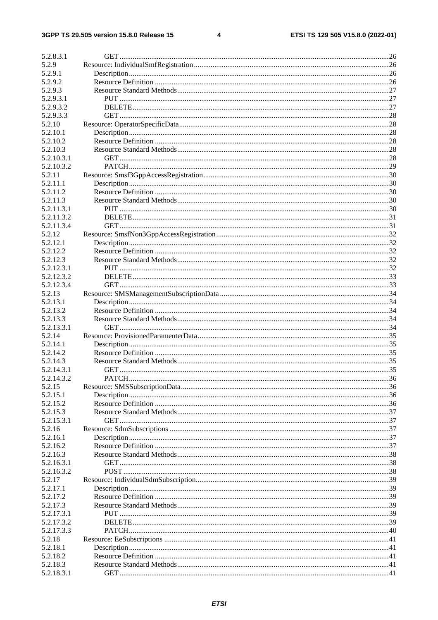#### $\overline{\mathbf{4}}$

| 5.2.8.3.1<br>5.2.9<br>5.2.9.1 |  |
|-------------------------------|--|
|                               |  |
|                               |  |
|                               |  |
| 5.2.9.2                       |  |
| 5.2.9.3                       |  |
| 5.2.9.3.1                     |  |
|                               |  |
| 5.2.9.3.2                     |  |
| 5.2.9.3.3                     |  |
| 5.2.10                        |  |
| 5.2.10.1                      |  |
| 5.2.10.2                      |  |
| 5.2.10.3                      |  |
| 5.2.10.3.1                    |  |
|                               |  |
| 5.2.10.3.2                    |  |
| 5.2.11                        |  |
| 5.2.11.1                      |  |
| 5.2.11.2                      |  |
| 5.2.11.3                      |  |
| 5.2.11.3.1                    |  |
| 5.2.11.3.2                    |  |
|                               |  |
| 5.2.11.3.4                    |  |
| 5.2.12                        |  |
| 5.2.12.1                      |  |
| 5.2.12.2                      |  |
| 5.2.12.3                      |  |
| 5.2.12.3.1                    |  |
| 5.2.12.3.2                    |  |
|                               |  |
| 5.2.12.3.4                    |  |
| 5.2.13                        |  |
| 5.2.13.1                      |  |
| 5.2.13.2                      |  |
| 5.2.13.3                      |  |
| 5.2.13.3.1                    |  |
| 5.2.14                        |  |
| 5.2.14.1                      |  |
|                               |  |
| 5.2.14.2                      |  |
|                               |  |
| 5.2.14.3                      |  |
| 5.2.14.3.1                    |  |
|                               |  |
| 5.2.14.3.2                    |  |
| 5.2.15                        |  |
| 5.2.15.1                      |  |
| 5.2.15.2                      |  |
| 5.2.15.3                      |  |
| 5.2.15.3.1                    |  |
| 5.2.16                        |  |
| 5.2.16.1                      |  |
| 5.2.16.2                      |  |
|                               |  |
| 5.2.16.3                      |  |
| 5.2.16.3.1                    |  |
| 5.2.16.3.2                    |  |
| 5.2.17                        |  |
| 5.2.17.1                      |  |
| 5.2.17.2                      |  |
| 5.2.17.3                      |  |
|                               |  |
| 5.2.17.3.1                    |  |
| 5.2.17.3.2                    |  |
| 5.2.17.3.3                    |  |
| 5.2.18                        |  |
| 5.2.18.1                      |  |
| 5.2.18.2                      |  |
| 5.2.18.3                      |  |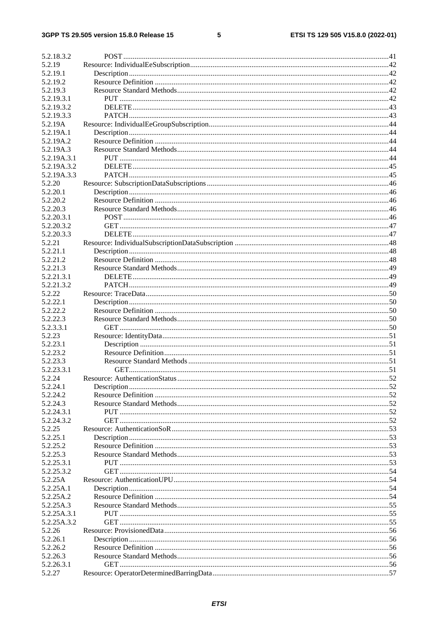# $5\phantom{a}$

| 5.2.18.3.2               |  |
|--------------------------|--|
| 5.2.19                   |  |
| 5.2.19.1                 |  |
| 5.2.19.2                 |  |
| 5.2.19.3                 |  |
| 5.2.19.3.1               |  |
| 5.2.19.3.2               |  |
| 5.2.19.3.3               |  |
| 5.2.19A                  |  |
| 5.2.19A.1                |  |
| 5.2.19A.2                |  |
| 5.2.19A.3                |  |
| 5.2.19A.3.1              |  |
| 5.2.19A.3.2              |  |
| 5.2.19A.3.3              |  |
| 5.2.20                   |  |
| 5.2.20.1                 |  |
| 5.2.20.2                 |  |
| 5.2.20.3                 |  |
| 5.2.20.3.1               |  |
| 5.2.20.3.2               |  |
| 5.2.20.3.3               |  |
| 5.2.21                   |  |
| 5.2.21.1                 |  |
| 5.2.21.2                 |  |
| 5.2.21.3                 |  |
| 5.2.21.3.1<br>5.2.21.3.2 |  |
| 5.2.22                   |  |
| 5.2.22.1                 |  |
| 5.2.22.2                 |  |
| 5.2.22.3                 |  |
| 5.2.3.3.1                |  |
| 5.2.23                   |  |
| 5.2.23.1                 |  |
| 5.2.23.2                 |  |
| 5.2.23.3                 |  |
| 5.2.23.3.1               |  |
| 5.2.24                   |  |
| 5.2.24.1                 |  |
| 5.2.24.2                 |  |
| 5.2.24.3                 |  |
| 5.2.24.3.1               |  |
| 5.2.24.3.2               |  |
| 5.2.25                   |  |
| 5.2.25.1                 |  |
| 5.2.25.2                 |  |
| 5.2.25.3                 |  |
| 5.2.25.3.1               |  |
| 5.2.25.3.2               |  |
| 5.2.25A<br>5.2.25A.1     |  |
| 5.2.25A.2                |  |
| 5.2.25A.3                |  |
| 5.2.25A.3.1              |  |
| 5.2.25A.3.2              |  |
| 5.2.26                   |  |
| 5.2.26.1                 |  |
| 5.2.26.2                 |  |
| 5.2.26.3                 |  |
| 5.2.26.3.1               |  |
| 5.2.27                   |  |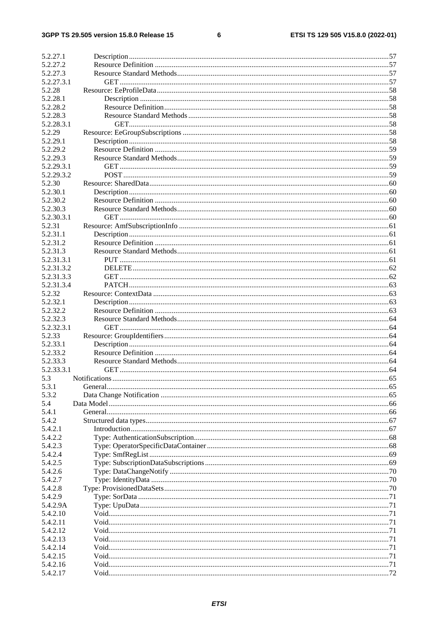#### $\bf 6$

| 5.2.27.1                 |  |
|--------------------------|--|
| 5.2.27.2                 |  |
| 5.2.27.3<br>5.2.27.3.1   |  |
| 5.2.28                   |  |
| 5.2.28.1                 |  |
| 5.2.28.2                 |  |
| 5.2.28.3                 |  |
| 5.2.28.3.1               |  |
| 5.2.29                   |  |
| 5.2.29.1                 |  |
| 5.2.29.2                 |  |
| 5.2.29.3                 |  |
| 5.2.29.3.1<br>5.2.29.3.2 |  |
| 5.2.30                   |  |
| 5.2.30.1                 |  |
| 5.2.30.2                 |  |
| 5.2.30.3                 |  |
| 5.2.30.3.1               |  |
| 5.2.31                   |  |
| 5.2.31.1                 |  |
| 5.2.31.2                 |  |
| 5.2.31.3                 |  |
| 5.2.31.3.1               |  |
| 5.2.31.3.2               |  |
| 5.2.31.3.3               |  |
| 5.2.31.3.4               |  |
| 5.2.32                   |  |
| 5.2.32.1                 |  |
| 5.2.32.2<br>5.2.32.3     |  |
| 5.2.32.3.1               |  |
| 5.2.33                   |  |
| 5.2.33.1                 |  |
| 5.2.33.2                 |  |
| 5.2.33.3                 |  |
| 5.2.33.3.1               |  |
| 5.3                      |  |
| 5.3.1                    |  |
| 5.3.2                    |  |
| 5.4                      |  |
| 5.4.1                    |  |
| 5.4.2                    |  |
| 5.4.2.1<br>5.4.2.2       |  |
| 5.4.2.3                  |  |
| 5.4.2.4                  |  |
| 5.4.2.5                  |  |
| 5.4.2.6                  |  |
| 5.4.2.7                  |  |
| 5.4.2.8                  |  |
| 5.4.2.9                  |  |
| 5.4.2.9A                 |  |
| 5.4.2.10                 |  |
| 5.4.2.11                 |  |
| 5.4.2.12                 |  |
| 5.4.2.13                 |  |
| 5.4.2.14                 |  |
| 5.4.2.15                 |  |
| 5.4.2.16                 |  |
| 5.4.2.17                 |  |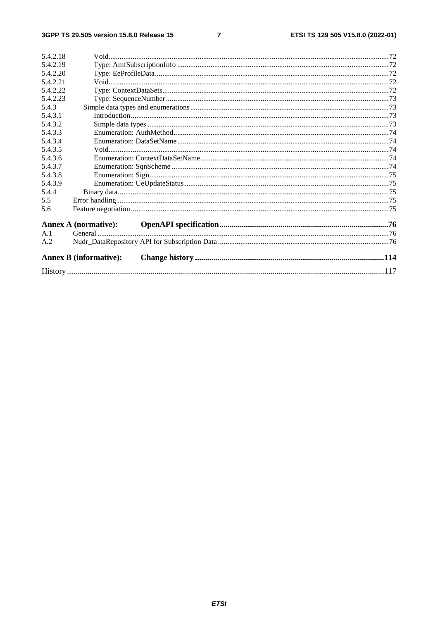#### $\overline{7}$

| 5.4.2.18 |                               |  |  |
|----------|-------------------------------|--|--|
| 5.4.2.19 |                               |  |  |
| 5.4.2.20 |                               |  |  |
| 5.4.2.21 |                               |  |  |
| 5.4.2.22 |                               |  |  |
| 5.4.2.23 |                               |  |  |
| 5.4.3    |                               |  |  |
| 5.4.3.1  |                               |  |  |
| 5.4.3.2  |                               |  |  |
| 5.4.3.3  |                               |  |  |
| 5.4.3.4  |                               |  |  |
| 5.4.3.5  |                               |  |  |
| 5.4.3.6  |                               |  |  |
| 5.4.3.7  |                               |  |  |
| 5.4.3.8  |                               |  |  |
| 5.4.3.9  |                               |  |  |
| 5.4.4    |                               |  |  |
| 5.5      |                               |  |  |
| 5.6      |                               |  |  |
|          | <b>Annex A (normative):</b>   |  |  |
| A.1      |                               |  |  |
| A.2      |                               |  |  |
|          | <b>Annex B (informative):</b> |  |  |
|          |                               |  |  |
|          |                               |  |  |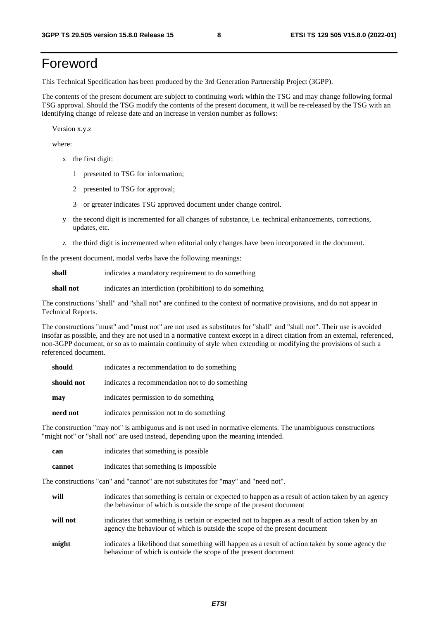# Foreword

This Technical Specification has been produced by the 3rd Generation Partnership Project (3GPP).

The contents of the present document are subject to continuing work within the TSG and may change following formal TSG approval. Should the TSG modify the contents of the present document, it will be re-released by the TSG with an identifying change of release date and an increase in version number as follows:

Version x.y.z

where:

- x the first digit:
	- 1 presented to TSG for information;
	- 2 presented to TSG for approval;
	- 3 or greater indicates TSG approved document under change control.
- y the second digit is incremented for all changes of substance, i.e. technical enhancements, corrections, updates, etc.
- z the third digit is incremented when editorial only changes have been incorporated in the document.

In the present document, modal verbs have the following meanings:

**shall** indicates a mandatory requirement to do something

**shall not** indicates an interdiction (prohibition) to do something

The constructions "shall" and "shall not" are confined to the context of normative provisions, and do not appear in Technical Reports.

The constructions "must" and "must not" are not used as substitutes for "shall" and "shall not". Their use is avoided insofar as possible, and they are not used in a normative context except in a direct citation from an external, referenced, non-3GPP document, or so as to maintain continuity of style when extending or modifying the provisions of such a referenced document.

| should     | indicates a recommendation to do something     |
|------------|------------------------------------------------|
| should not | indicates a recommendation not to do something |
| may        | indicates permission to do something           |
| need not   | indicates permission not to do something       |

The construction "may not" is ambiguous and is not used in normative elements. The unambiguous constructions "might not" or "shall not" are used instead, depending upon the meaning intended.

| can    | indicates that something is possible.  |
|--------|----------------------------------------|
| cannot | indicates that something is impossible |

The constructions "can" and "cannot" are not substitutes for "may" and "need not".

| will     | indicates that something is certain or expected to happen as a result of action taken by an agency<br>the behaviour of which is outside the scope of the present document     |
|----------|-------------------------------------------------------------------------------------------------------------------------------------------------------------------------------|
| will not | indicates that something is certain or expected not to happen as a result of action taken by an<br>agency the behaviour of which is outside the scope of the present document |
| might    | indicates a likelihood that something will happen as a result of action taken by some agency the<br>behaviour of which is outside the scope of the present document           |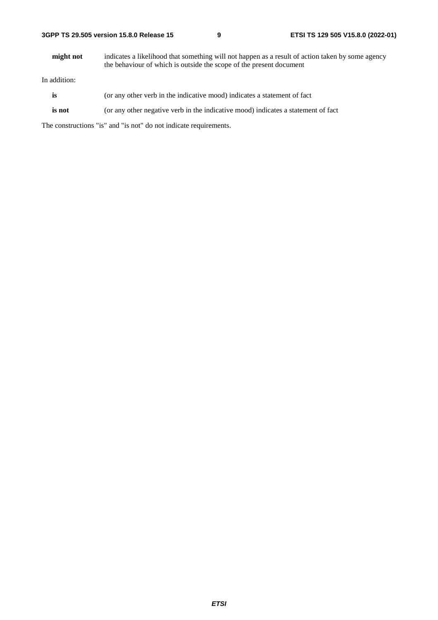| 3GPP TS 29.505 version 15.8.0 Release 15 |  |  |  |  |  |  |  |
|------------------------------------------|--|--|--|--|--|--|--|
|------------------------------------------|--|--|--|--|--|--|--|

**might not** indicates a likelihood that something will not happen as a result of action taken by some agency the behaviour of which is outside the scope of the present document

In addition:

- is (or any other verb in the indicative mood) indicates a statement of fact
- **is not** (or any other negative verb in the indicative mood) indicates a statement of fact

The constructions "is" and "is not" do not indicate requirements.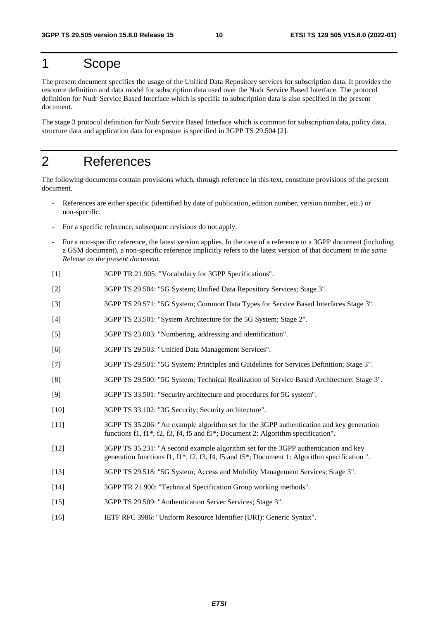# 1 Scope

The present document specifies the usage of the Unified Data Repository services for subscription data. It provides the resource definition and data model for subscription data used over the Nudr Service Based Interface. The protocol definition for Nudr Service Based Interface which is specific to subscription data is also specified in the present document.

The stage 3 protocol definition for Nudr Service Based Interface which is common for subscription data, policy data, structure data and application data for exposure is specified in 3GPP TS 29.504 [2].

# 2 References

The following documents contain provisions which, through reference in this text, constitute provisions of the present document.

- References are either specific (identified by date of publication, edition number, version number, etc.) or non-specific.
- For a specific reference, subsequent revisions do not apply.
- For a non-specific reference, the latest version applies. In the case of a reference to a 3GPP document (including a GSM document), a non-specific reference implicitly refers to the latest version of that document *in the same Release as the present document*.
- [1] 3GPP TR 21.905: "Vocabulary for 3GPP Specifications".
- [2] 3GPP TS 29.504: "5G System; Unified Data Repository Services; Stage 3".
- [3] 3GPP TS 29.571: "5G System; Common Data Types for Service Based Interfaces Stage 3".
- [4] 3GPP TS 23.501: "System Architecture for the 5G System; Stage 2".
- [5] 3GPP TS 23.003: "Numbering, addressing and identification".
- [6] 3GPP TS 29.503: "Unified Data Management Services".
- [7] 3GPP TS 29.501: "5G System; Principles and Guidelines for Services Definition; Stage 3".
- [8] 3GPP TS 29.500: "5G System; Technical Realization of Service Based Architecture; Stage 3".
- [9] 3GPP TS 33.501: "Security architecture and procedures for 5G system".
- [10] 3GPP TS 33.102: "3G Security; Security architecture".
- [11] 3GPP TS 35.206: "An example algorithm set for the 3GPP authentication and key generation functions f1, f1\*, f2, f3, f4, f5 and f5\*; Document 2: Algorithm specification".
- [12] 3GPP TS 35.231: "A second example algorithm set for the 3GPP authentication and key generation functions f1, f1\*, f2, f3, f4, f5 and f5\*; Document 1: Algorithm specification ".
- [13] 3GPP TS 29.518: "5G System; Access and Mobility Management Services; Stage 3".
- [14] 3GPP TR 21.900: "Technical Specification Group working methods".
- [15] 3GPP TS 29.509: "Authentication Server Services; Stage 3".
- [16] IETF RFC 3986: "Uniform Resource Identifier (URI): Generic Syntax".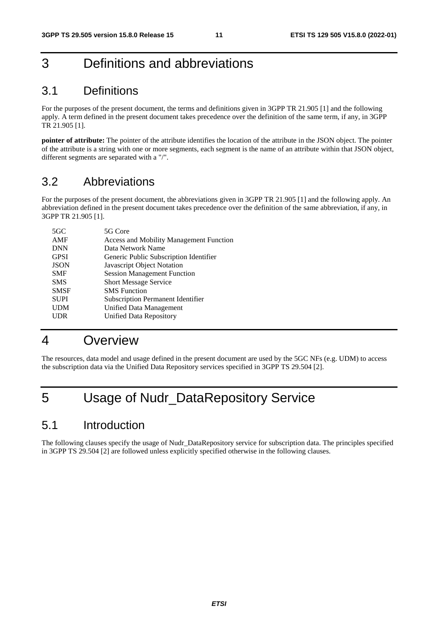# 3 Definitions and abbreviations

# 3.1 Definitions

For the purposes of the present document, the terms and definitions given in 3GPP TR 21.905 [1] and the following apply. A term defined in the present document takes precedence over the definition of the same term, if any, in 3GPP TR 21.905 [1].

**pointer of attribute:** The pointer of the attribute identifies the location of the attribute in the JSON object. The pointer of the attribute is a string with one or more segments, each segment is the name of an attribute within that JSON object, different segments are separated with a "/".

# 3.2 Abbreviations

For the purposes of the present document, the abbreviations given in 3GPP TR 21.905 [1] and the following apply. An abbreviation defined in the present document takes precedence over the definition of the same abbreviation, if any, in 3GPP TR 21.905 [1].

| 5GC         | 5G Core                                        |
|-------------|------------------------------------------------|
| AMF         | <b>Access and Mobility Management Function</b> |
| <b>DNN</b>  | Data Network Name                              |
| <b>GPSI</b> | Generic Public Subscription Identifier         |
| <b>JSON</b> | Javascript Object Notation                     |
| <b>SMF</b>  | <b>Session Management Function</b>             |
| <b>SMS</b>  | <b>Short Message Service</b>                   |
| <b>SMSF</b> | <b>SMS</b> Function                            |
| <b>SUPI</b> | <b>Subscription Permanent Identifier</b>       |
| <b>UDM</b>  | Unified Data Management                        |
| <b>UDR</b>  | Unified Data Repository                        |
|             |                                                |

# 4 Overview

The resources, data model and usage defined in the present document are used by the 5GC NFs (e.g. UDM) to access the subscription data via the Unified Data Repository services specified in 3GPP TS 29.504 [2].

# 5 Usage of Nudr\_DataRepository Service

# 5.1 Introduction

The following clauses specify the usage of Nudr\_DataRepository service for subscription data. The principles specified in 3GPP TS 29.504 [2] are followed unless explicitly specified otherwise in the following clauses.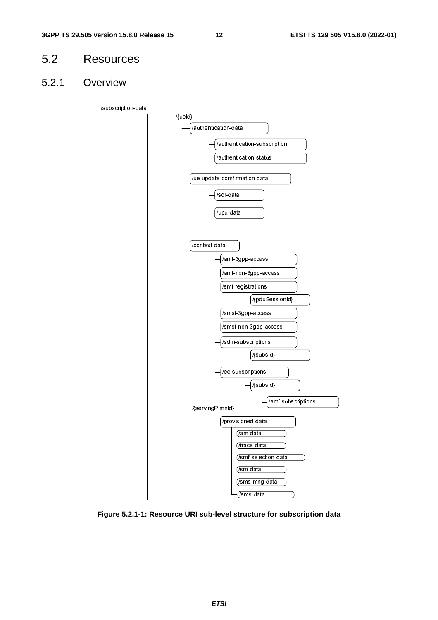# 5.2 Resources

# 5.2.1 Overview



**Figure 5.2.1-1: Resource URI sub-level structure for subscription data**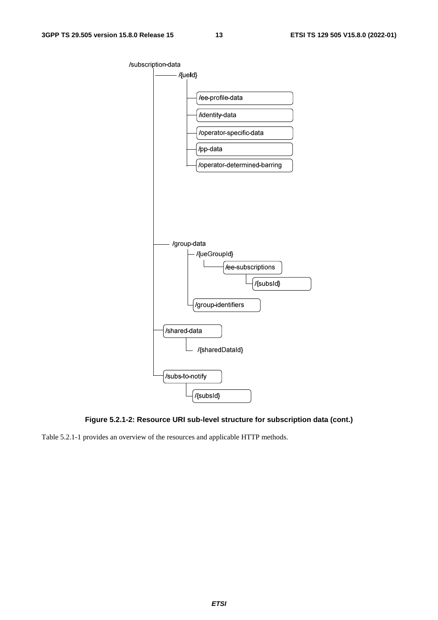



Table 5.2.1-1 provides an overview of the resources and applicable HTTP methods.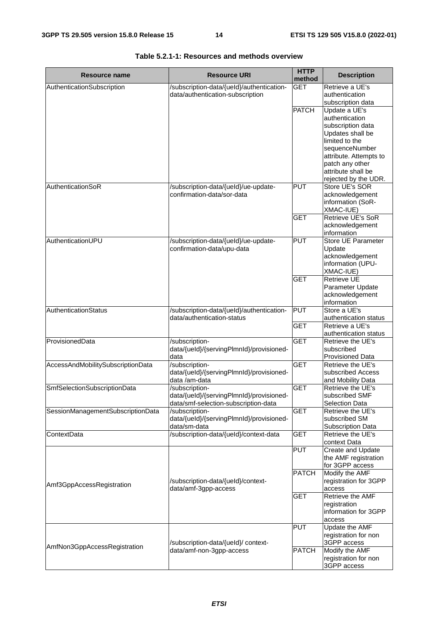| Resource name                     | <b>Resource URI</b>                                                           | <b>HTTP</b>          | <b>Description</b>                       |
|-----------------------------------|-------------------------------------------------------------------------------|----------------------|------------------------------------------|
|                                   |                                                                               | method<br><b>GET</b> |                                          |
| AuthenticationSubscription        | /subscription-data/{ueld}/authentication-<br>data/authentication-subscription |                      | Retrieve a UE's<br>authentication        |
|                                   |                                                                               |                      | subscription data                        |
|                                   |                                                                               | <b>PATCH</b>         | Update a UE's                            |
|                                   |                                                                               |                      | authentication                           |
|                                   |                                                                               |                      | subscription data                        |
|                                   |                                                                               |                      | Updates shall be                         |
|                                   |                                                                               |                      | limited to the                           |
|                                   |                                                                               |                      | sequenceNumber                           |
|                                   |                                                                               |                      | attribute. Attempts to                   |
|                                   |                                                                               |                      | patch any other<br>attribute shall be    |
|                                   |                                                                               |                      | rejected by the UDR.                     |
| AuthenticationSoR                 | /subscription-data/{ueld}/ue-update-                                          | <b>PUT</b>           | Store UE's SOR                           |
|                                   | confirmation-data/sor-data                                                    |                      | acknowledgement                          |
|                                   |                                                                               |                      | information (SoR-                        |
|                                   |                                                                               |                      | XMAC-IUE)                                |
|                                   |                                                                               | <b>GET</b>           | <b>Retrieve UE's SoR</b>                 |
|                                   |                                                                               |                      | acknowledgement                          |
|                                   |                                                                               |                      | information                              |
| AuthenticationUPU                 | /subscription-data/{ueld}/ue-update-<br>confirmation-data/upu-data            | PUT                  | Store UE Parameter<br>Update             |
|                                   |                                                                               |                      | acknowledgement                          |
|                                   |                                                                               |                      | information (UPU-                        |
|                                   |                                                                               |                      | XMAC-IUE)                                |
|                                   |                                                                               | <b>GET</b>           | <b>Retrieve UE</b>                       |
|                                   |                                                                               |                      | Parameter Update                         |
|                                   |                                                                               |                      | acknowledgement                          |
|                                   |                                                                               |                      | information                              |
| AuthenticationStatus              | /subscription-data/{ueld}/authentication-                                     | <b>PUT</b>           | Store a UE's                             |
|                                   | data/authentication-status                                                    | <b>GET</b>           | authentication status<br>Retrieve a UE's |
|                                   |                                                                               |                      | authentication status                    |
| ProvisionedData                   | /subscription-                                                                | <b>GET</b>           | Retrieve the UE's                        |
|                                   | data/{ueld}/{servingPlmnld}/provisioned-                                      |                      | subscribed                               |
|                                   | data                                                                          |                      | Provisioned Data                         |
| AccessAndMobilitySubscriptionData | /subscription-                                                                | <b>GET</b>           | Retrieve the UE's                        |
|                                   | data/{ueld}/{servingPlmnld}/provisioned-                                      |                      | subscribed Access                        |
|                                   | data /am-data                                                                 | <b>GET</b>           | and Mobility Data<br>Retrieve the UE's   |
| SmfSelectionSubscriptionData      | /subscription-<br>data/{ueld}/{servingPlmnld}/provisioned-                    |                      | subscribed SMF                           |
|                                   | data/smf-selection-subscription-data                                          |                      | <b>Selection Data</b>                    |
| SessionManagementSubscriptionData | /subscription-                                                                | <b>GET</b>           | Retrieve the UE's                        |
|                                   | data/{ueld}/{servingPlmnld}/provisioned-                                      |                      | subscribed SM                            |
|                                   | data/sm-data                                                                  |                      | Subscription Data                        |
| ContextData                       | /subscription-data/{ueld}/context-data                                        | <b>GET</b>           | Retrieve the UE's                        |
|                                   |                                                                               |                      | context Data                             |
|                                   |                                                                               | <b>PUT</b>           | Create and Update                        |
|                                   |                                                                               |                      | the AMF registration<br>for 3GPP access  |
|                                   |                                                                               | PATCH                | Modify the AMF                           |
|                                   | /subscription-data/{ueld}/context-                                            |                      | registration for 3GPP                    |
| Amf3GppAccessRegistration         | data/amf-3gpp-access                                                          |                      | access                                   |
|                                   |                                                                               | <b>GET</b>           | Retrieve the AMF                         |
|                                   |                                                                               |                      | registration                             |
|                                   |                                                                               |                      | information for 3GPP                     |
|                                   |                                                                               |                      | access                                   |
|                                   |                                                                               | <b>PUT</b>           | <b>Update the AMF</b>                    |
|                                   | /subscription-data/{ueld}/ context-                                           |                      | registration for non<br>3GPP access      |
| AmfNon3GppAccessRegistration      | data/amf-non-3gpp-access                                                      | <b>PATCH</b>         | Modify the AMF                           |
|                                   |                                                                               |                      | registration for non                     |
|                                   |                                                                               |                      | 3GPP access                              |

| Table 5.2.1-1: Resources and methods overview |  |  |
|-----------------------------------------------|--|--|
|-----------------------------------------------|--|--|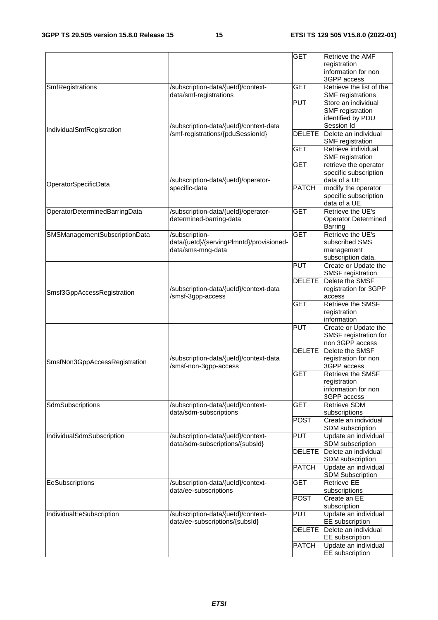|                               |                                                                 | <b>GET</b>    | Retrieve the AMF                         |
|-------------------------------|-----------------------------------------------------------------|---------------|------------------------------------------|
|                               |                                                                 |               | registration                             |
|                               |                                                                 |               | information for non                      |
|                               |                                                                 |               | 3GPP access                              |
| SmfRegistrations              | /subscription-data/{ueld}/context-                              | <b>GET</b>    | Retrieve the list of the                 |
|                               | data/smf-registrations                                          |               | <b>SMF</b> registrations                 |
|                               |                                                                 | <b>PUT</b>    | Store an individual                      |
|                               |                                                                 |               | SMF registration                         |
|                               |                                                                 |               | identified by PDU                        |
| IndividualSmfRegistration     | /subscription-data/{ueld}/context-data                          |               | Session Id                               |
|                               | /smf-registrations/{pduSessionId}                               | <b>DELETE</b> | Delete an individual                     |
|                               |                                                                 |               | SMF registration                         |
|                               |                                                                 | <b>GET</b>    | Retrieve individual                      |
|                               |                                                                 |               | <b>SMF</b> registration                  |
|                               |                                                                 | <b>GET</b>    | retrieve the operator                    |
|                               |                                                                 |               | specific subscription                    |
| OperatorSpecificData          | /subscription-data/{ueld}/operator-                             |               | data of a UE                             |
|                               | specific-data                                                   | <b>PATCH</b>  | modify the operator                      |
|                               |                                                                 |               | specific subscription<br>data of a UE    |
|                               |                                                                 | <b>GET</b>    | Retrieve the UE's                        |
| OperatorDeterminedBarringData | /subscription-data/{ueld}/operator-<br>determined-barring-data  |               | <b>Operator Determined</b>               |
|                               |                                                                 |               | <b>Barring</b>                           |
| SMSManagementSubscriptionData | /subscription-                                                  | <b>GET</b>    | Retrieve the UE's                        |
|                               | data/{ueld}/{servingPlmnld}/provisioned-                        |               | subscribed SMS                           |
|                               | data/sms-mng-data                                               |               | management                               |
|                               |                                                                 |               | subscription data.                       |
|                               |                                                                 | <b>PUT</b>    | Create or Update the                     |
|                               |                                                                 |               | SMSF registration                        |
|                               |                                                                 | <b>DELETE</b> | Delete the SMSF                          |
|                               | /subscription-data/{ueld}/context-data                          |               | registration for 3GPP                    |
| Smsf3GppAccessRegistration    | /smsf-3gpp-access                                               |               | access                                   |
|                               |                                                                 | <b>GET</b>    | Retrieve the SMSF                        |
|                               |                                                                 |               | registration                             |
|                               |                                                                 |               | information                              |
|                               |                                                                 | <b>PUT</b>    | Create or Update the                     |
|                               |                                                                 |               | SMSF registration for                    |
|                               |                                                                 |               | non 3GPP access                          |
|                               |                                                                 | <b>DELETE</b> | Delete the SMSF                          |
| SmsfNon3GppAccessRegistration | /subscription-data/{ueld}/context-data<br>/smsf-non-3gpp-access |               | registration for non                     |
|                               |                                                                 | <b>GET</b>    | 3GPP access                              |
|                               |                                                                 |               | <b>Retrieve the SMSF</b>                 |
|                               |                                                                 |               | registration                             |
|                               |                                                                 |               | information for non                      |
|                               |                                                                 |               | 3GPP access                              |
| SdmSubscriptions              | /subscription-data/{ueld}/context-                              | <b>GET</b>    | <b>Retrieve SDM</b>                      |
|                               | data/sdm-subscriptions                                          |               | subscriptions                            |
|                               |                                                                 | <b>POST</b>   | Create an individual<br>SDM subscription |
| IndividualSdmSubscription     | /subscription-data/{ueld}/context-                              | <b>PUT</b>    | Update an individual                     |
|                               | data/sdm-subscriptions/{subsld}                                 |               | SDM subscription                         |
|                               |                                                                 | <b>DELETE</b> | Delete an individual                     |
|                               |                                                                 |               | SDM subscription                         |
|                               |                                                                 | <b>PATCH</b>  | Update an individual                     |
|                               |                                                                 |               | <b>SDM Subscription</b>                  |
| EeSubscriptions               | /subscription-data/{ueld}/context-                              | <b>GET</b>    | <b>Retrieve EE</b>                       |
|                               | data/ee-subscriptions                                           |               | subscriptions                            |
|                               |                                                                 | <b>POST</b>   | Create an EE                             |
|                               |                                                                 |               | subscription                             |
| IndividualEeSubscription      | /subscription-data/{ueld}/context-                              | <b>PUT</b>    | Update an individual                     |
|                               | data/ee-subscriptions/{subsld}                                  |               | <b>EE</b> subscription                   |
|                               |                                                                 | <b>DELETE</b> | Delete an individual                     |
|                               |                                                                 |               | EE subscription                          |
|                               |                                                                 | <b>PATCH</b>  | Update an individual                     |
|                               |                                                                 |               | EE subscription                          |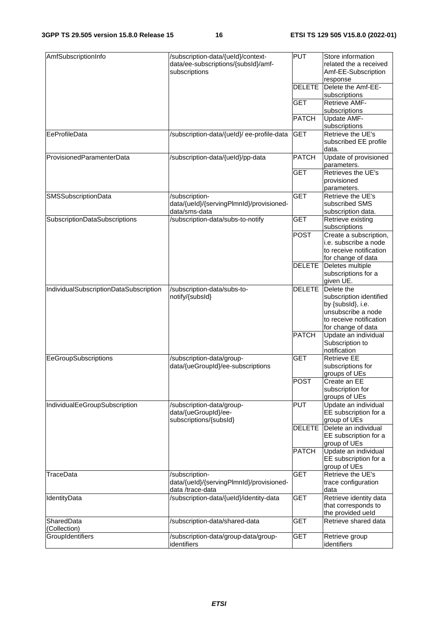| AmfSubscriptionInfo                    | /subscription-data/{ueld}/context-<br>data/ee-subscriptions/{subsId}/amf-<br>subscriptions | <b>PUT</b>    | Store information<br>related the a received<br>Amf-EE-Subscription                                                                |
|----------------------------------------|--------------------------------------------------------------------------------------------|---------------|-----------------------------------------------------------------------------------------------------------------------------------|
|                                        |                                                                                            | <b>DELETE</b> | response<br>Delete the Amf-EE-<br>subscriptions                                                                                   |
|                                        |                                                                                            | <b>GET</b>    | <b>Retrieve AMF-</b><br>subscriptions                                                                                             |
|                                        |                                                                                            | <b>PATCH</b>  | Update AMF-<br>subscriptions                                                                                                      |
| EeProfileData                          | /subscription-data/{ueld}/ee-profile-data                                                  | <b>GET</b>    | Retrieve the UE's<br>subscribed EE profile<br>data.                                                                               |
| ProvisionedParamenterData              | /subscription-data/{ueld}/pp-data                                                          | <b>PATCH</b>  | Update of provisioned<br>parameters.                                                                                              |
|                                        |                                                                                            | <b>GET</b>    | Retrieves the UE's<br>provisioned<br>parameters.                                                                                  |
| <b>SMSSubscriptionData</b>             | /subscription-<br>data/{ueld}/{servingPlmnld}/provisioned-<br>data/sms-data                | <b>GET</b>    | Retrieve the UE's<br>subscribed SMS<br>subscription data.                                                                         |
| SubscriptionDataSubscriptions          | /subscription-data/subs-to-notify                                                          | <b>GET</b>    | Retrieve existing<br>subscriptions                                                                                                |
|                                        |                                                                                            | <b>POST</b>   | Create a subscription,<br>i.e. subscribe a node<br>to receive notification<br>for change of data                                  |
|                                        |                                                                                            | <b>DELETE</b> | Deletes multiple<br>subscriptions for a<br>given UE.                                                                              |
| IndividualSubscriptionDataSubscription | /subscription-data/subs-to-<br>notify/{subsId}                                             | <b>DELETE</b> | Delete the<br>subscription identified<br>by {subsld}, i.e.<br>unsubscribe a node<br>to receive notification<br>for change of data |
|                                        |                                                                                            | <b>PATCH</b>  | Update an individual<br>Subscription to<br>notification                                                                           |
| EeGroupSubscriptions                   | /subscription-data/group-<br>data/{ueGroupId}/ee-subscriptions                             | <b>GET</b>    | <b>Retrieve EE</b><br>subscriptions for<br>groups of UEs                                                                          |
|                                        |                                                                                            | <b>POST</b>   | Create an EE<br>subscription for<br>groups of UEs                                                                                 |
| IndividualEeGroupSubscription          | /subscription-data/group-<br>data/{ueGroupId}/ee-<br>subscriptions/{subsId}                | <b>PUT</b>    | Update an individual<br>EE subscription for a<br>group of UEs                                                                     |
|                                        |                                                                                            | <b>DELETE</b> | Delete an individual<br>EE subscription for a<br>group of UEs                                                                     |
|                                        |                                                                                            | <b>PATCH</b>  | Update an individual<br>EE subscription for a<br>group of UEs                                                                     |
| TraceData                              | /subscription-<br>data/{ueld}/{servingPlmnld}/provisioned-<br>data /trace-data             | <b>GET</b>    | Retrieve the UE's<br>trace configuration<br>data                                                                                  |
| IdentityData                           | /subscription-data/{ueld}/identity-data                                                    | <b>GET</b>    | Retrieve identity data<br>that corresponds to<br>the provided ueld                                                                |
| SharedData<br>(Collection)             | /subscription-data/shared-data                                                             | <b>GET</b>    | Retrieve shared data                                                                                                              |
| GroupIdentifiers                       | /subscription-data/group-data/group-<br>identifiers                                        | GET           | Retrieve group<br>identifiers                                                                                                     |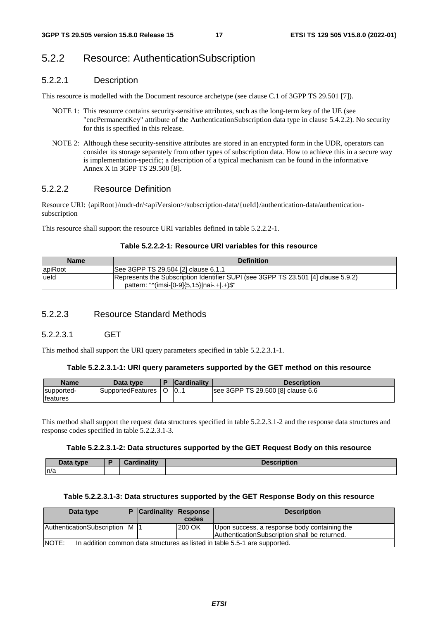# 5.2.2 Resource: AuthenticationSubscription

# 5.2.2.1 Description

This resource is modelled with the Document resource archetype (see clause C.1 of 3GPP TS 29.501 [7]).

- NOTE 1: This resource contains security-sensitive attributes, such as the long-term key of the UE (see "encPermanentKey" attribute of the AuthenticationSubscription data type in clause 5.4.2.2). No security for this is specified in this release.
- NOTE 2: Although these security-sensitive attributes are stored in an encrypted form in the UDR, operators can consider its storage separately from other types of subscription data. How to achieve this in a secure way is implementation-specific; a description of a typical mechanism can be found in the informative Annex X in 3GPP TS 29.500 [8].

# 5.2.2.2 Resource Definition

Resource URI: {apiRoot}/nudr-dr/<apiVersion>/subscription-data/{ueId}/authentication-data/authenticationsubscription

This resource shall support the resource URI variables defined in table 5.2.2.2-1.

# **Table 5.2.2.2-1: Resource URI variables for this resource**

| <b>Name</b> | <b>Definition</b>                                                                                                                  |
|-------------|------------------------------------------------------------------------------------------------------------------------------------|
| apiRoot     | See 3GPP TS 29.504 [2] clause 6.1.1                                                                                                |
| lueld       | Represents the Subscription Identifier SUPI (see 3GPP TS 23.501 [4] clause 5.9.2)<br>pattern: " $\frac{(m}{5.15})$   nai-.+ .+)\$" |

# 5.2.2.3 Resource Standard Methods

# 5.2.2.3.1 GET

This method shall support the URI query parameters specified in table 5.2.2.3.1-1.

#### **Table 5.2.2.3.1-1: URI query parameters supported by the GET method on this resource**

| <b>Name</b>                    | Data type             | <b>Cardinality</b> | <b>Description</b>                |
|--------------------------------|-----------------------|--------------------|-----------------------------------|
| supported-<br><b>Ifeatures</b> | SupportedFeatures   O | 10                 | see 3GPP TS 29.500 [8] clause 6.6 |

This method shall support the request data structures specified in table 5.2.2.3.1-2 and the response data structures and response codes specified in table 5.2.2.3.1-3.

# **Table 5.2.2.3.1-2: Data structures supported by the GET Request Body on this resource**

| Data type | <b>Cardinality</b> | <b>Description</b> |
|-----------|--------------------|--------------------|
| ln/a      |                    |                    |

### **Table 5.2.2.3.1-3: Data structures supported by the GET Response Body on this resource**

| Data type                                                                                  |  | <b>Cardinality Response</b> |        | <b>Description</b>                                                                            |  |  |
|--------------------------------------------------------------------------------------------|--|-----------------------------|--------|-----------------------------------------------------------------------------------------------|--|--|
|                                                                                            |  |                             | codes  |                                                                                               |  |  |
| AuthenticationSubscription M  1                                                            |  |                             | 200 OK | Upon success, a response body containing the<br>AuthenticationSubscription shall be returned. |  |  |
| <b>NOTE:</b><br>In addition common data structures as listed in table 5.5-1 are supported. |  |                             |        |                                                                                               |  |  |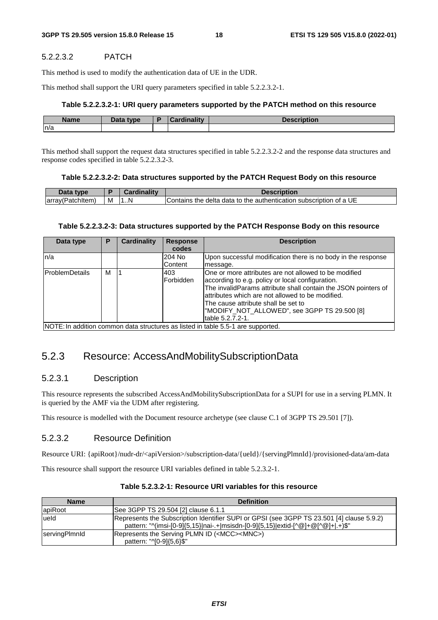# 5.2.2.3.2 PATCH

This method is used to modify the authentication data of UE in the UDR.

This method shall support the URI query parameters specified in table 5.2.2.3.2-1.

# **Table 5.2.2.3.2-1: URI query parameters supported by the PATCH method on this resource**

| <b>Name</b> | <b>Pata type</b><br>Data | والمقالم وبالمستدر | ---- |
|-------------|--------------------------|--------------------|------|
| n/a         |                          |                    |      |

This method shall support the request data structures specified in table 5.2.2.3.2-2 and the response data structures and response codes specified in table 5.2.2.3.2-3.

# **Table 5.2.2.3.2-2: Data structures supported by the PATCH Request Body on this resource**

| larra<br>:hitem<br>эн | M | 7N | UE<br>⊧delta.<br>$\alpha$ data to the authentication subscription of a $^{\circ}$<br>⊪Contains ∶<br>the |
|-----------------------|---|----|---------------------------------------------------------------------------------------------------------|

# **Table 5.2.2.3.2-3: Data structures supported by the PATCH Response Body on this resource**

| Data type             | Р | Cardinality | <b>Response</b><br>codes | <b>Description</b>                                                               |
|-----------------------|---|-------------|--------------------------|----------------------------------------------------------------------------------|
|                       |   |             |                          |                                                                                  |
| ln/a                  |   |             | 204 No                   | Upon successful modification there is no body in the response                    |
|                       |   |             | <b>Content</b>           | message.                                                                         |
| <b>ProblemDetails</b> | м |             | 1403                     | One or more attributes are not allowed to be modified                            |
|                       |   |             | Forbidden                | according to e.g. policy or local configuration.                                 |
|                       |   |             |                          | The invalidParams attribute shall contain the JSON pointers of                   |
|                       |   |             |                          | attributes which are not allowed to be modified.                                 |
|                       |   |             |                          | The cause attribute shall be set to                                              |
|                       |   |             |                          | "MODIFY_NOT_ALLOWED", see 3GPP TS 29.500 [8]                                     |
|                       |   |             |                          | table 5.2.7.2-1.                                                                 |
|                       |   |             |                          | INOTE: In addition common data structures as listed in table 5.5-1 are supported |

e 5.5-1 are supported

# 5.2.3 Resource: AccessAndMobilitySubscriptionData

# 5.2.3.1 Description

This resource represents the subscribed AccessAndMobilitySubscriptionData for a SUPI for use in a serving PLMN. It is queried by the AMF via the UDM after registering.

This resource is modelled with the Document resource archetype (see clause C.1 of 3GPP TS 29.501 [7]).

# 5.2.3.2 Resource Definition

Resource URI: {apiRoot}/nudr-dr/<apiVersion>/subscription-data/{ueId}/{servingPlmnId}/provisioned-data/am-data

This resource shall support the resource URI variables defined in table 5.2.3.2-1.

| <b>Name</b>   | <b>Definition</b>                                                                                                                                                            |
|---------------|------------------------------------------------------------------------------------------------------------------------------------------------------------------------------|
| apiRoot       | See 3GPP TS 29.504 [2] clause 6.1.1                                                                                                                                          |
| lueld         | Represents the Subscription Identifier SUPI or GPSI (see 3GPP TS 23.501 [4] clause 5.9.2)<br>pattern: "^(imsi-[0-9]{5,15} nai-.+ msisdn-[0-9]{5,15} extid-[^@]+@[^@]+ .+)\$" |
| servingPlmnld | Represents the Serving PLMN ID ( <mcc><mnc>)<br/>pattern: "^[0-9]{5,6}\$"</mnc></mcc>                                                                                        |

# **Table 5.2.3.2-1: Resource URI variables for this resource**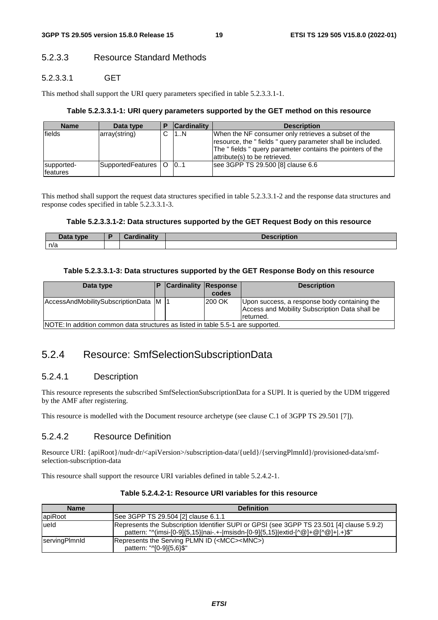# 5.2.3.3 Resource Standard Methods

# 5.2.3.3.1 GET

This method shall support the URI query parameters specified in table 5.2.3.3.1-1.

# **Table 5.2.3.3.1-1: URI query parameters supported by the GET method on this resource**

| <b>Name</b>            | Data type             | D | <b>Cardinality</b> | <b>Description</b>                                                                                                                                                                                             |
|------------------------|-----------------------|---|--------------------|----------------------------------------------------------------------------------------------------------------------------------------------------------------------------------------------------------------|
| fields                 | array(string)         |   | 1N                 | When the NF consumer only retrieves a subset of the<br>resource, the "fields" query parameter shall be included.<br>The "fields" query parameter contains the pointers of the<br>attribute(s) to be retrieved. |
| supported-<br>features | SupportedFeatures   O |   | 0.1                | see 3GPP TS 29.500 [8] clause 6.6                                                                                                                                                                              |

This method shall support the request data structures specified in table 5.2.3.3.1-2 and the response data structures and response codes specified in table 5.2.3.3.1-3.

# **Table 5.2.3.3.1-2: Data structures supported by the GET Request Body on this resource**

| <b>Pata type</b><br>Dala | Cardinalitv | <b>Description</b> |
|--------------------------|-------------|--------------------|
| n/a                      |             |                    |

# **Table 5.2.3.3.1-3: Data structures supported by the GET Response Body on this resource**

| Data type                                                                        |  | <b>Cardinality Response</b> | codes  | <b>Description</b>                                                                                          |
|----------------------------------------------------------------------------------|--|-----------------------------|--------|-------------------------------------------------------------------------------------------------------------|
| AccessAndMobilitySubscriptionData M  1                                           |  |                             | 200 OK | Upon success, a response body containing the<br>Access and Mobility Subscription Data shall be<br>returned. |
| INOTE: In addition common data structures as listed in table 5.5-1 are supported |  |                             |        |                                                                                                             |

NOTE: In addition common data structures as listed in table 5.5-1 are supported.

# 5.2.4 Resource: SmfSelectionSubscriptionData

# 5.2.4.1 Description

This resource represents the subscribed SmfSelectionSubscriptionData for a SUPI. It is queried by the UDM triggered by the AMF after registering.

This resource is modelled with the Document resource archetype (see clause C.1 of 3GPP TS 29.501 [7]).

# 5.2.4.2 Resource Definition

Resource URI: {apiRoot}/nudr-dr/<apiVersion>/subscription-data/{ueId}/{servingPlmnId}/provisioned-data/smfselection-subscription-data

This resource shall support the resource URI variables defined in table 5.2.4.2-1.

| <b>Name</b>   | <b>Definition</b>                                                                                                                                                             |
|---------------|-------------------------------------------------------------------------------------------------------------------------------------------------------------------------------|
| apiRoot       | See 3GPP TS 29.504 [2] clause 6.1.1                                                                                                                                           |
| lueld         | Represents the Subscription Identifier SUPI or GPSI (see 3GPP TS 23.501 [4] clause 5.9.2)<br>pattern: "^(imsi-[0-9]{5,15} nai-.+- msisdn-[0-9]{5,15} extid-[^@]+@[^@]+ .+)\$" |
| servingPlmnld | Represents the Serving PLMN ID ( <mcc><mnc>)<br/>pattern: "^[0-9]{5,6}\$"</mnc></mcc>                                                                                         |

# **Table 5.2.4.2-1: Resource URI variables for this resource**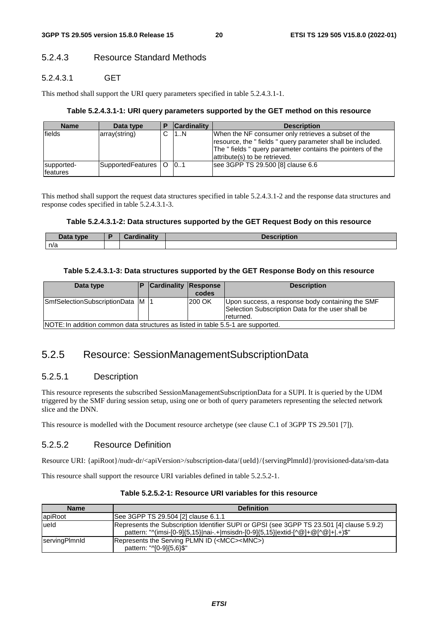# 5.2.4.3 Resource Standard Methods

# 5.2.4.3.1 GET

This method shall support the URI query parameters specified in table 5.2.4.3.1-1.

# **Table 5.2.4.3.1-1: URI query parameters supported by the GET method on this resource**

| <b>Name</b>            | Data type             | D | <b>Cardinality</b> | <b>Description</b>                                                                                                                                                                                             |
|------------------------|-----------------------|---|--------------------|----------------------------------------------------------------------------------------------------------------------------------------------------------------------------------------------------------------|
| fields                 | array(string)         |   | 1N                 | When the NF consumer only retrieves a subset of the<br>resource, the "fields" query parameter shall be included.<br>The "fields" query parameter contains the pointers of the<br>attribute(s) to be retrieved. |
| supported-<br>features | SupportedFeatures   O |   | 0.1                | see 3GPP TS 29.500 [8] clause 6.6                                                                                                                                                                              |

This method shall support the request data structures specified in table 5.2.4.3.1-2 and the response data structures and response codes specified in table 5.2.4.3.1-3.

### **Table 5.2.4.3.1-2: Data structures supported by the GET Request Body on this resource**

| That<br>type<br>Dala | المسترقان والمسترقة<br>$\blacksquare$ | <b>Description</b> |
|----------------------|---------------------------------------|--------------------|
| n/a                  |                                       |                    |

# **Table 5.2.4.3.1-3: Data structures supported by the GET Response Body on this resource**

| Data type                                                                        |  | <b>Cardinality Response</b> | codes  | <b>Description</b>                                                                                                 |  |
|----------------------------------------------------------------------------------|--|-----------------------------|--------|--------------------------------------------------------------------------------------------------------------------|--|
| SmfSelectionSubscriptionData M                                                   |  |                             | 200 OK | Upon success, a response body containing the SMF<br>Selection Subscription Data for the user shall be<br>returned. |  |
| NOTE: In addition common data structures as listed in table 5.5-1 are supported. |  |                             |        |                                                                                                                    |  |

# 5.2.5 Resource: SessionManagementSubscriptionData

# 5.2.5.1 Description

This resource represents the subscribed SessionManagementSubscriptionData for a SUPI. It is queried by the UDM triggered by the SMF during session setup, using one or both of query parameters representing the selected network slice and the DNN.

This resource is modelled with the Document resource archetype (see clause C.1 of 3GPP TS 29.501 [7]).

# 5.2.5.2 Resource Definition

Resource URI: {apiRoot}/nudr-dr/<apiVersion>/subscription-data/{ueId}/{servingPlmnId}/provisioned-data/sm-data

This resource shall support the resource URI variables defined in table 5.2.5.2-1.

| <b>Name</b>   | <b>Definition</b>                                                                                                                                                            |
|---------------|------------------------------------------------------------------------------------------------------------------------------------------------------------------------------|
| apiRoot       | ISee 3GPP TS 29.504 [2] clause 6.1.1                                                                                                                                         |
| ueld          | Represents the Subscription Identifier SUPI or GPSI (see 3GPP TS 23.501 [4] clause 5.9.2)<br>pattern: "^(imsi-[0-9]{5,15} nai-.+ msisdn-[0-9]{5,15} extid-[^@]+@[^@]+ .+)\$" |
| servingPlmnld | Represents the Serving PLMN ID ( <mcc><mnc>)<br/>pattern: "^[0-9]{5,6}\$"</mnc></mcc>                                                                                        |

**Table 5.2.5.2-1: Resource URI variables for this resource**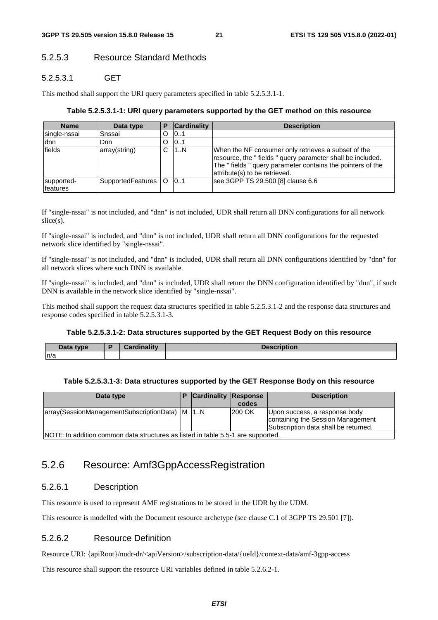# 5.2.5.3 Resource Standard Methods

# 5.2.5.3.1 GET

This method shall support the URI query parameters specified in table 5.2.5.3.1-1.

#### **Table 5.2.5.3.1-1: URI query parameters supported by the GET method on this resource**

| <b>Name</b>            | Data type         | Р | <b>Cardinality</b> | <b>Description</b>                                                                                                                                                                                             |
|------------------------|-------------------|---|--------------------|----------------------------------------------------------------------------------------------------------------------------------------------------------------------------------------------------------------|
| single-nssai           | Snssai            | D | 10.1               |                                                                                                                                                                                                                |
| ldnn.                  | <b>D</b> nn       | O | 10.1               |                                                                                                                                                                                                                |
| fields                 | array(string)     | С | 1N                 | When the NF consumer only retrieves a subset of the<br>resource, the "fields" query parameter shall be included.<br>The "fields" query parameter contains the pointers of the<br>attribute(s) to be retrieved. |
| supported-<br>features | SupportedFeatures | O | 101                | see 3GPP TS 29.500 [8] clause 6.6                                                                                                                                                                              |

If "single-nssai" is not included, and "dnn" is not included, UDR shall return all DNN configurations for all network slice(s).

If "single-nssai" is included, and "dnn" is not included, UDR shall return all DNN configurations for the requested network slice identified by "single-nssai".

If "single-nssai" is not included, and "dnn" is included, UDR shall return all DNN configurations identified by "dnn" for all network slices where such DNN is available.

If "single-nssai" is included, and "dnn" is included, UDR shall return the DNN configuration identified by "dnn", if such DNN is available in the network slice identified by "single-nssai".

This method shall support the request data structures specified in table 5.2.5.3.1-2 and the response data structures and response codes specified in table 5.2.5.3.1-3.

#### **Table 5.2.5.3.1-2: Data structures supported by the GET Request Body on this resource**

| n<br>tvne<br><b>Duce</b> | $I$ ardinality<br>$\sim$ | iption<br><b>Taerri</b> |
|--------------------------|--------------------------|-------------------------|
| In/a                     |                          |                         |

#### **Table 5.2.5.3.1-3: Data structures supported by the GET Response Body on this resource**

| Data type                                                                        | <b>Cardinality Response</b> |               | <b>Description</b>                                                                                         |
|----------------------------------------------------------------------------------|-----------------------------|---------------|------------------------------------------------------------------------------------------------------------|
|                                                                                  |                             | codes         |                                                                                                            |
| array(SessionManagementSubscriptionData)   M   1N                                |                             | <b>200 OK</b> | Upon success, a response body<br>containing the Session Management<br>Subscription data shall be returned. |
| NOTE: In addition common data structures as listed in table 5.5-1 are supported. |                             |               |                                                                                                            |

# 5.2.6 Resource: Amf3GppAccessRegistration

# 5.2.6.1 Description

This resource is used to represent AMF registrations to be stored in the UDR by the UDM.

This resource is modelled with the Document resource archetype (see clause C.1 of 3GPP TS 29.501 [7]).

# 5.2.6.2 Resource Definition

Resource URI: {apiRoot}/nudr-dr/<apiVersion>/subscription-data/{ueId}/context-data/amf-3gpp-access

This resource shall support the resource URI variables defined in table 5.2.6.2-1.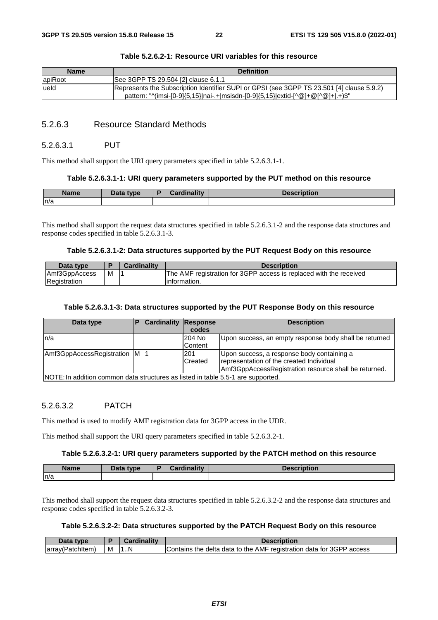| <b>Name</b> | <b>Definition</b>                                                                                                                                                            |
|-------------|------------------------------------------------------------------------------------------------------------------------------------------------------------------------------|
| apiRoot     | See 3GPP TS 29.504 [2] clause 6.1.1                                                                                                                                          |
| lueld       | Represents the Subscription Identifier SUPI or GPSI (see 3GPP TS 23.501 [4] clause 5.9.2)<br>pattern: "^(imsi-[0-9]{5,15} nai-.+ msisdn-[0-9]{5,15} extid-[^@]+@[^@]+ .+)\$" |

### **Table 5.2.6.2-1: Resource URI variables for this resource**

# 5.2.6.3 Resource Standard Methods

#### 5.2.6.3.1 PUT

This method shall support the URI query parameters specified in table 5.2.6.3.1-1.

#### **Table 5.2.6.3.1-1: URI query parameters supported by the PUT method on this resource**

| <b>Name</b> | Data type | - | Cardinality<br>. | <b>IOOOFINIAR</b><br>онон |
|-------------|-----------|---|------------------|---------------------------|
| n/a         |           |   |                  |                           |

This method shall support the request data structures specified in table 5.2.6.3.1-2 and the response data structures and response codes specified in table 5.2.6.3.1-3.

### **Table 5.2.6.3.1-2: Data structures supported by the PUT Request Body on this resource**

| Data type     |   | Cardinalitv | <b>Description</b>                                                 |
|---------------|---|-------------|--------------------------------------------------------------------|
| Amf3GppAccess | М |             | The AMF registration for 3GPP access is replaced with the received |
| Registration  |   |             | linformation.                                                      |

# **Table 5.2.6.3.1-3: Data structures supported by the PUT Response Body on this resource**

| Data type                                                                        | <b>Cardinality Response</b> |         | <b>Description</b>                                     |
|----------------------------------------------------------------------------------|-----------------------------|---------|--------------------------------------------------------|
|                                                                                  |                             | codes   |                                                        |
| ln/a                                                                             |                             | 204 No  | Upon success, an empty response body shall be returned |
|                                                                                  |                             | Content |                                                        |
| Amf3GppAccessRegistration M  1                                                   |                             | 201     | Upon success, a response body containing a             |
|                                                                                  |                             | Created | representation of the created Individual               |
|                                                                                  |                             |         | Amf3GppAccessRegistration resource shall be returned.  |
| NOTE: In addition common data structures as listed in table 5.5-1 are supported. |                             |         |                                                        |

# 5.2.6.3.2 PATCH

This method is used to modify AMF registration data for 3GPP access in the UDR.

This method shall support the URI query parameters specified in table 5.2.6.3.2-1.

#### **Table 5.2.6.3.2-1: URI query parameters supported by the PATCH method on this resource**

| <b>Name</b> | <b>Pata type</b> | ╺ | . | . |
|-------------|------------------|---|---|---|
| n/a         |                  |   |   |   |

This method shall support the request data structures specified in table 5.2.6.3.2-2 and the response data structures and response codes specified in table 5.2.6.3.2-3.

#### **Table 5.2.6.3.2-2: Data structures supported by the PATCH Request Body on this resource**

| Data<br>tvpe     |   | Cardinality | Description                                                          |
|------------------|---|-------------|----------------------------------------------------------------------|
| array(Patchitem) | M | 1.1N        | Contains the delta data to the AMF registration data for 3GPP access |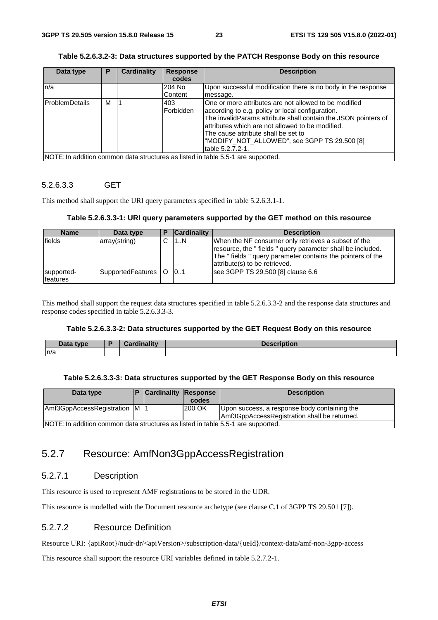### **Table 5.2.6.3.2-3: Data structures supported by the PATCH Response Body on this resource**

| Data type             | Р | <b>Cardinality</b> | <b>Response</b> | <b>Description</b>                                                               |
|-----------------------|---|--------------------|-----------------|----------------------------------------------------------------------------------|
|                       |   |                    | codes           |                                                                                  |
| n/a                   |   |                    | 204 No          | Upon successful modification there is no body in the response                    |
|                       |   |                    | Content         | message.                                                                         |
| <b>ProblemDetails</b> | M |                    | 403             | One or more attributes are not allowed to be modified                            |
|                       |   |                    | lForbidden      | according to e.g. policy or local configuration.                                 |
|                       |   |                    |                 | The invalidParams attribute shall contain the JSON pointers of                   |
|                       |   |                    |                 | attributes which are not allowed to be modified.                                 |
|                       |   |                    |                 | The cause attribute shall be set to                                              |
|                       |   |                    |                 | "MODIFY_NOT_ALLOWED", see 3GPP TS 29.500 [8]                                     |
|                       |   |                    |                 | table 5.2.7.2-1.                                                                 |
|                       |   |                    |                 | NOTE: In addition common data structures as listed in table 5.5-1 are supported. |

# 5.2.6.3.3 GET

This method shall support the URI query parameters specified in table 5.2.6.3.1-1.

#### **Table 5.2.6.3.3-1: URI query parameters supported by the GET method on this resource**

| <b>Name</b>            | Data type             | <b>Cardinality</b> | <b>Description</b>                                                                                                                                                                                             |
|------------------------|-----------------------|--------------------|----------------------------------------------------------------------------------------------------------------------------------------------------------------------------------------------------------------|
| fields                 | array(string)         | 1N                 | When the NF consumer only retrieves a subset of the<br>resource, the "fields" query parameter shall be included.<br>The "fields" query parameter contains the pointers of the<br>attribute(s) to be retrieved. |
| supported-<br>features | SupportedFeatures   O | 0.1                | see 3GPP TS 29.500 [8] clause 6.6                                                                                                                                                                              |

This method shall support the request data structures specified in table 5.2.6.3.3-2 and the response data structures and response codes specified in table 5.2.6.3.3-3.

#### **Table 5.2.6.3.3-2: Data structures supported by the GET Request Body on this resource**

| Data type | Cordinality<br><b>Warumanty</b> | <b>Description</b> |
|-----------|---------------------------------|--------------------|
| n/a       |                                 |                    |

#### **Table 5.2.6.3.3-3: Data structures supported by the GET Response Body on this resource**

| Data type                                                                        |  | <b>Cardinality Response</b> |        | <b>Description</b>                           |  |  |  |  |
|----------------------------------------------------------------------------------|--|-----------------------------|--------|----------------------------------------------|--|--|--|--|
|                                                                                  |  |                             | codes  |                                              |  |  |  |  |
| Amf3GppAccessRegistration M  1                                                   |  |                             | 200 OK | Upon success, a response body containing the |  |  |  |  |
| Amf3GppAccessRegistration shall be returned.                                     |  |                             |        |                                              |  |  |  |  |
| NOTE: In addition common data structures as listed in table 5.5-1 are supported. |  |                             |        |                                              |  |  |  |  |

# 5.2.7 Resource: AmfNon3GppAccessRegistration

# 5.2.7.1 Description

This resource is used to represent AMF registrations to be stored in the UDR.

This resource is modelled with the Document resource archetype (see clause C.1 of 3GPP TS 29.501 [7]).

# 5.2.7.2 Resource Definition

Resource URI: {apiRoot}/nudr-dr/<apiVersion>/subscription-data/{ueId}/context-data/amf-non-3gpp-access

This resource shall support the resource URI variables defined in table 5.2.7.2-1.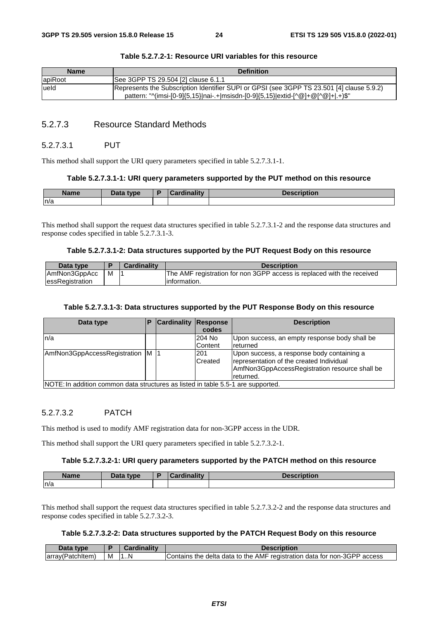| <b>Name</b> | <b>Definition</b>                                                                                                                                                            |
|-------------|------------------------------------------------------------------------------------------------------------------------------------------------------------------------------|
| apiRoot     | See 3GPP TS 29.504 [2] clause 6.1.1                                                                                                                                          |
| lueld       | Represents the Subscription Identifier SUPI or GPSI (see 3GPP TS 23.501 [4] clause 5.9.2)<br>pattern: "^(imsi-[0-9]{5,15} nai-.+ msisdn-[0-9]{5,15} extid-[^@]+@[^@]+ .+)\$" |

#### **Table 5.2.7.2-1: Resource URI variables for this resource**

# 5.2.7.3 Resource Standard Methods

#### 5.2.7.3.1 PUT

This method shall support the URI query parameters specified in table 5.2.7.3.1-1.

#### **Table 5.2.7.3.1-1: URI query parameters supported by the PUT method on this resource**

| <b>Name</b> | Data type | - | Cardinality | <b>Description</b> |
|-------------|-----------|---|-------------|--------------------|
| n/a         |           |   |             |                    |

This method shall support the request data structures specified in table 5.2.7.3.1-2 and the response data structures and response codes specified in table 5.2.7.3.1-3.

#### **Table 5.2.7.3.1-2: Data structures supported by the PUT Request Body on this resource**

| Data type       |   | <b>Cardinality</b> | <b>Description</b>                                                     |
|-----------------|---|--------------------|------------------------------------------------------------------------|
| AmfNon3GppAcc   | м |                    | The AMF registration for non 3GPP access is replaced with the received |
| essRegistration |   |                    | linformation.                                                          |

# **Table 5.2.7.3.1-3: Data structures supported by the PUT Response Body on this resource**

| Data type                                                                        | P | <b>Cardinality Response</b> |         | <b>Description</b>                             |
|----------------------------------------------------------------------------------|---|-----------------------------|---------|------------------------------------------------|
|                                                                                  |   |                             | codes   |                                                |
| n/a                                                                              |   |                             | 204 No  | Upon success, an empty response body shall be  |
|                                                                                  |   |                             | Content | returned                                       |
| AmfNon3GppAccessRegistration   M   1                                             |   |                             | 201     | Upon success, a response body containing a     |
|                                                                                  |   |                             | Created | representation of the created Individual       |
|                                                                                  |   |                             |         | AmfNon3GppAccessRegistration resource shall be |
|                                                                                  |   |                             |         | Ireturned.                                     |
| NOTE: In addition common data structures as listed in table 5.5-1 are supported. |   |                             |         |                                                |

### 5.2.7.3.2 PATCH

This method is used to modify AMF registration data for non-3GPP access in the UDR.

This method shall support the URI query parameters specified in table 5.2.7.3.2-1.

#### **Table 5.2.7.3.2-1: URI query parameters supported by the PATCH method on this resource**

| <b>Name</b> | Data type | <b>Cardinality</b> | <b>Description</b> |
|-------------|-----------|--------------------|--------------------|
| n/a         |           |                    |                    |

This method shall support the request data structures specified in table 5.2.7.3.2-2 and the response data structures and response codes specified in table 5.2.7.3.2-3.

#### **Table 5.2.7.3.2-2: Data structures supported by the PATCH Request Body on this resource**

| Data<br>type      |   | Cardinality | Description                                                               |
|-------------------|---|-------------|---------------------------------------------------------------------------|
| (array(Patchitem) | M | 1. N        | IContains the delta data to the AMF registration data for non-3GPP access |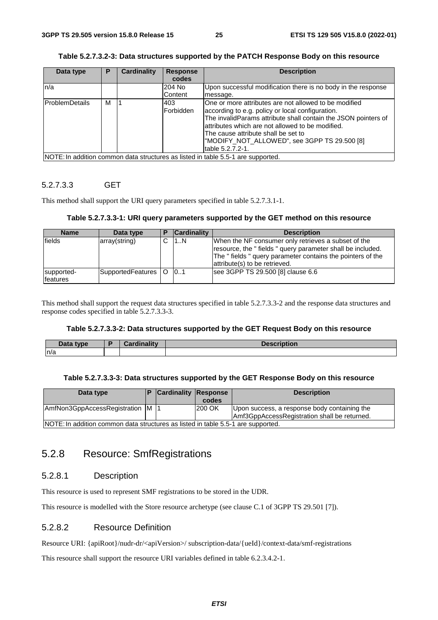### **Table 5.2.7.3.2-3: Data structures supported by the PATCH Response Body on this resource**

| Data type                                                                        | Р | <b>Cardinality</b> | <b>Response</b> | <b>Description</b>                                             |
|----------------------------------------------------------------------------------|---|--------------------|-----------------|----------------------------------------------------------------|
|                                                                                  |   |                    | codes           |                                                                |
| n/a                                                                              |   |                    | 204 No          | Upon successful modification there is no body in the response  |
|                                                                                  |   |                    | <b>Content</b>  | message.                                                       |
| <b>IProblemDetails</b>                                                           | м |                    | 403             | One or more attributes are not allowed to be modified          |
|                                                                                  |   |                    | lForbidden      | according to e.g. policy or local configuration.               |
|                                                                                  |   |                    |                 | The invalidParams attribute shall contain the JSON pointers of |
|                                                                                  |   |                    |                 | attributes which are not allowed to be modified.               |
|                                                                                  |   |                    |                 | The cause attribute shall be set to                            |
|                                                                                  |   |                    |                 | "MODIFY_NOT_ALLOWED", see 3GPP TS 29.500 [8]                   |
|                                                                                  |   |                    |                 | table 5.2.7.2-1.                                               |
| NOTE: In addition common data structures as listed in table 5.5-1 are supported. |   |                    |                 |                                                                |

# 5.2.7.3.3 GET

This method shall support the URI query parameters specified in table 5.2.7.3.1-1.

#### **Table 5.2.7.3.3-1: URI query parameters supported by the GET method on this resource**

| <b>Name</b>            | Data type             | <b>Cardinality</b> | <b>Description</b>                                                                                                                                                                                             |
|------------------------|-----------------------|--------------------|----------------------------------------------------------------------------------------------------------------------------------------------------------------------------------------------------------------|
| fields                 | array(string)         | 1N                 | When the NF consumer only retrieves a subset of the<br>resource, the "fields" query parameter shall be included.<br>The "fields" query parameter contains the pointers of the<br>attribute(s) to be retrieved. |
| supported-<br>features | SupportedFeatures   O | 0.1                | see 3GPP TS 29.500 [8] clause 6.6                                                                                                                                                                              |

This method shall support the request data structures specified in table 5.2.7.3.3-2 and the response data structures and response codes specified in table 5.2.7.3.3-3.

#### **Table 5.2.7.3.3-2: Data structures supported by the GET Request Body on this resource**

| Data type | Cardinalitv | Description |
|-----------|-------------|-------------|
| n/a       |             |             |

#### **Table 5.2.7.3.3-3: Data structures supported by the GET Response Body on this resource**

| Data type                                                                        |  | <b>Cardinality Response</b> |        | <b>Description</b>                                                                           |  |  |  |
|----------------------------------------------------------------------------------|--|-----------------------------|--------|----------------------------------------------------------------------------------------------|--|--|--|
|                                                                                  |  |                             | codes  |                                                                                              |  |  |  |
| AmfNon3GppAccessRegistration M  1                                                |  |                             | 200 OK | Upon success, a response body containing the<br>Amf3GppAccessRegistration shall be returned. |  |  |  |
| NOTE: In addition common data structures as listed in table 5.5-1 are supported. |  |                             |        |                                                                                              |  |  |  |

# 5.2.8 Resource: SmfRegistrations

# 5.2.8.1 Description

This resource is used to represent SMF registrations to be stored in the UDR.

This resource is modelled with the Store resource archetype (see clause C.1 of 3GPP TS 29.501 [7]).

# 5.2.8.2 Resource Definition

Resource URI: {apiRoot}/nudr-dr/<apiVersion>/ subscription-data/{ueId}/context-data/smf-registrations

This resource shall support the resource URI variables defined in table 6.2.3.4.2-1.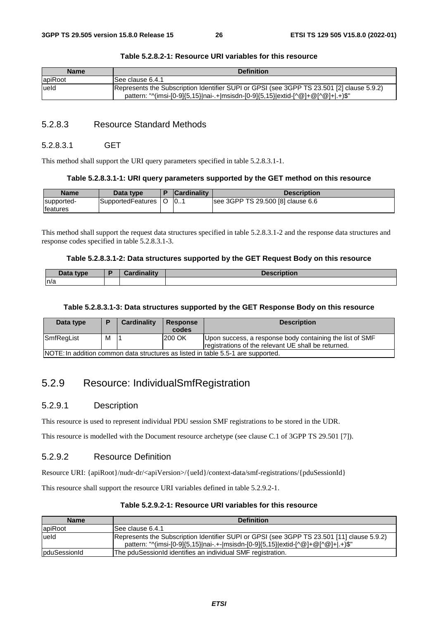| <b>Name</b> | <b>Definition</b>                                                                         |
|-------------|-------------------------------------------------------------------------------------------|
| lapiRoot    | See clause 6.4.1                                                                          |
| lueld       | Represents the Subscription Identifier SUPI or GPSI (see 3GPP TS 23.501 [2] clause 5.9.2) |
|             | pattern: "^(imsi-[0-9]{5,15} nai-.+ msisdn-[0-9]{5,15} extid-[^@]+@[^@]+ .+)\$"           |

#### **Table 5.2.8.2-1: Resource URI variables for this resource**

# 5.2.8.3 Resource Standard Methods

### 5.2.8.3.1 GET

This method shall support the URI query parameters specified in table 5.2.8.3.1-1.

#### **Table 5.2.8.3.1-1: URI query parameters supported by the GET method on this resource**

| <b>Name</b>      | Data type         |  | <b>Cardinality</b> | Description                       |
|------------------|-------------------|--|--------------------|-----------------------------------|
| supported-       | SupportedFeatures |  | 10                 | see 3GPP TS 29.500 [8] clause 6.6 |
| <b>Ifeatures</b> |                   |  |                    |                                   |

This method shall support the request data structures specified in table 5.2.8.3.1-2 and the response data structures and response codes specified in table 5.2.8.3.1-3.

#### **Table 5.2.8.3.1-2: Data structures supported by the GET Request Body on this resource**

| Data type | Cordinality | .<br>on |
|-----------|-------------|---------|
| n/a       |             |         |

# **Table 5.2.8.3.1-3: Data structures supported by the GET Response Body on this resource**

| Data type                                                                        | D | Cardinality | <b>Response</b><br>codes | <b>Description</b>                                                                                              |
|----------------------------------------------------------------------------------|---|-------------|--------------------------|-----------------------------------------------------------------------------------------------------------------|
| SmfRegList                                                                       | M |             | 200 OK                   | Upon success, a response body containing the list of SMF<br>registrations of the relevant UE shall be returned. |
| NOTE: In addition common data structures as listed in table 5.5-1 are supported. |   |             |                          |                                                                                                                 |

# 5.2.9 Resource: IndividualSmfRegistration

# 5.2.9.1 Description

This resource is used to represent individual PDU session SMF registrations to be stored in the UDR.

This resource is modelled with the Document resource archetype (see clause C.1 of 3GPP TS 29.501 [7]).

# 5.2.9.2 Resource Definition

Resource URI: {apiRoot}/nudr-dr/<apiVersion>/{ueId}/context-data/smf-registrations/{pduSessionId}

This resource shall support the resource URI variables defined in table 5.2.9.2-1.

| <b>Name</b>  | <b>Definition</b>                                                                                                                                                              |
|--------------|--------------------------------------------------------------------------------------------------------------------------------------------------------------------------------|
| apiRoot      | ISee clause 6.4.1                                                                                                                                                              |
| ueld         | Represents the Subscription Identifier SUPI or GPSI (see 3GPP TS 23.501 [11] clause 5.9.2)<br>pattern: "^(imsi-[0-9]{5,15} nai-.+- msisdn-[0-9]{5,15} extid-[^@]+@[^@]+ .+)\$" |
| pduSessionId | The pduSessionId identifies an individual SMF registration.                                                                                                                    |

**Table 5.2.9.2-1: Resource URI variables for this resource**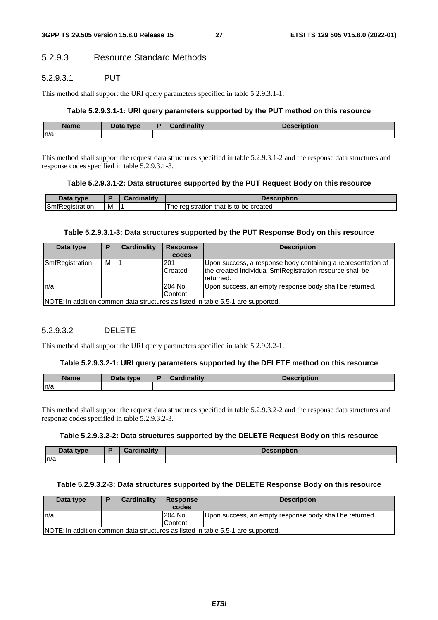# 5.2.9.3 Resource Standard Methods

# 5.2.9.3.1 PUT

This method shall support the URI query parameters specified in table 5.2.9.3.1-1.

# **Table 5.2.9.3.1-1: URI query parameters supported by the PUT method on this resource**

| <b>Name</b> | <b>Pata type</b> | $: -1:$<br><b>THE R</b><br>. | Description |
|-------------|------------------|------------------------------|-------------|
| n/a         |                  |                              |             |

This method shall support the request data structures specified in table 5.2.9.3.1-2 and the response data structures and response codes specified in table 5.2.9.3.1-3.

### **Table 5.2.9.3.1-2: Data structures supported by the PUT Request Body on this resource**

| Data type                   |   | <b>Jardinality</b> | <b>Pascription</b>                                    |
|-----------------------------|---|--------------------|-------------------------------------------------------|
| SmfR<br>tration<br>*Reaist. | M |                    | created<br>registration that is to $\,$<br>be<br>. ne |

#### **Table 5.2.9.3.1-3: Data structures supported by the PUT Response Body on this resource**

| Data type                                                                        | Р | Cardinality | <b>Response</b><br>codes | <b>Description</b>                                                                                                                    |
|----------------------------------------------------------------------------------|---|-------------|--------------------------|---------------------------------------------------------------------------------------------------------------------------------------|
| SmfRegistration                                                                  | м |             | 201<br><b>Created</b>    | Upon success, a response body containing a representation of<br>the created Individual SmfRegistration resource shall be<br>returned. |
| In/a                                                                             |   |             | 204 No<br>Content        | Upon success, an empty response body shall be returned.                                                                               |
| NOTE: In addition common data structures as listed in table 5.5-1 are supported. |   |             |                          |                                                                                                                                       |

# 5.2.9.3.2 DELETE

This method shall support the URI query parameters specified in table 5.2.9.3.2-1.

#### **Table 5.2.9.3.2-1: URI query parameters supported by the DELETE method on this resource**

| <b>Name</b> | Data type | <b>Cordinality</b><br>$\sim$ | <b>Description</b> |
|-------------|-----------|------------------------------|--------------------|
| n/a         |           |                              |                    |

This method shall support the request data structures specified in table 5.2.9.3.2-2 and the response data structures and response codes specified in table 5.2.9.3.2-3.

#### **Table 5.2.9.3.2-2: Data structures supported by the DELETE Request Body on this resource**

| Data type | Cardinality<br>Garumanty | Descrintion<br><b>IDIION</b> |
|-----------|--------------------------|------------------------------|
| ln/a      |                          |                              |

### **Table 5.2.9.3.2-3: Data structures supported by the DELETE Response Body on this resource**

| Data type                                                                        | D | <b>Cardinality</b> | <b>Response</b> | <b>Description</b>                                      |  |
|----------------------------------------------------------------------------------|---|--------------------|-----------------|---------------------------------------------------------|--|
|                                                                                  |   |                    | codes           |                                                         |  |
| In/a                                                                             |   |                    | 204 No          | Upon success, an empty response body shall be returned. |  |
|                                                                                  |   |                    | Content         |                                                         |  |
| NOTE: In addition common data structures as listed in table 5.5-1 are supported. |   |                    |                 |                                                         |  |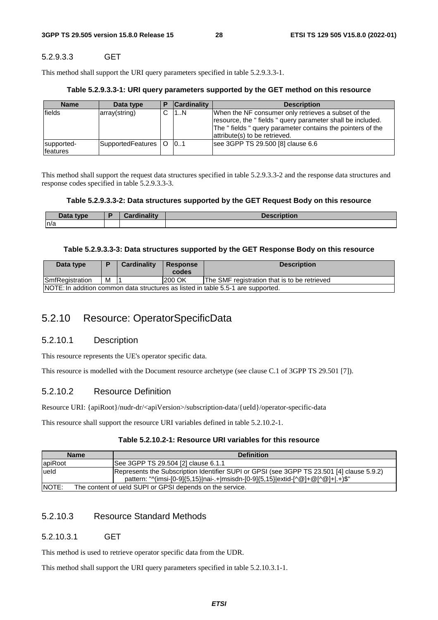# 5.2.9.3.3 GET

This method shall support the URI query parameters specified in table 5.2.9.3.3-1.

#### **Table 5.2.9.3.3-1: URI query parameters supported by the GET method on this resource**

| <b>Name</b>                    | Data type                  | <b>Cardinality</b> | <b>Description</b>                                                                                                                                                                                             |
|--------------------------------|----------------------------|--------------------|----------------------------------------------------------------------------------------------------------------------------------------------------------------------------------------------------------------|
| lfields                        | array(string)              | 1N                 | When the NF consumer only retrieves a subset of the<br>resource, the "fields" query parameter shall be included.<br>The "fields" query parameter contains the pointers of the<br>attribute(s) to be retrieved. |
| supported-<br><b>Ifeatures</b> | SupportedFeatures   O   01 |                    | see 3GPP TS 29.500 [8] clause 6.6                                                                                                                                                                              |

This method shall support the request data structures specified in table 5.2.9.3.3-2 and the response data structures and response codes specified in table 5.2.9.3.3-3.

#### **Table 5.2.9.3.3-2: Data structures supported by the GET Request Body on this resource**

| Data type | Cordinality | <b>Description</b> |
|-----------|-------------|--------------------|
| n/a       |             |                    |

#### **Table 5.2.9.3.3-3: Data structures supported by the GET Response Body on this resource**

| Data type                                                                        | D | <b>Cardinality</b> | <b>Response</b><br>codes | <b>Description</b>                           |  |  |
|----------------------------------------------------------------------------------|---|--------------------|--------------------------|----------------------------------------------|--|--|
|                                                                                  |   |                    |                          |                                              |  |  |
| <b>SmfRegistration</b>                                                           | M |                    | 200 OK                   | The SMF registration that is to be retrieved |  |  |
| NOTE: In addition common data structures as listed in table 5.5-1 are supported. |   |                    |                          |                                              |  |  |

# 5.2.10 Resource: OperatorSpecificData

# 5.2.10.1 Description

This resource represents the UE's operator specific data.

This resource is modelled with the Document resource archetype (see clause C.1 of 3GPP TS 29.501 [7]).

# 5.2.10.2 Resource Definition

Resource URI: {apiRoot}/nudr-dr/<apiVersion>/subscription-data/{ueId}/operator-specific-data

This resource shall support the resource URI variables defined in table 5.2.10.2-1.

# **Table 5.2.10.2-1: Resource URI variables for this resource**

| <b>Name</b> | <b>Definition</b>                                                                                                                                                            |  |  |  |
|-------------|------------------------------------------------------------------------------------------------------------------------------------------------------------------------------|--|--|--|
| lapiRoot    | See 3GPP TS 29.504 [2] clause 6.1.1                                                                                                                                          |  |  |  |
| ueld        | Represents the Subscription Identifier SUPI or GPSI (see 3GPP TS 23.501 [4] clause 5.9.2)<br>pattern: "^(imsi-[0-9]{5,15} nai-.+ msisdn-[0-9]{5,15} extid-[^@]+@[^@]+ .+)\$" |  |  |  |
| INOTE:      | The content of ueld SUPI or GPSI depends on the service.                                                                                                                     |  |  |  |

# 5.2.10.3 Resource Standard Methods

# 5.2.10.3.1 GET

This method is used to retrieve operator specific data from the UDR.

This method shall support the URI query parameters specified in table 5.2.10.3.1-1.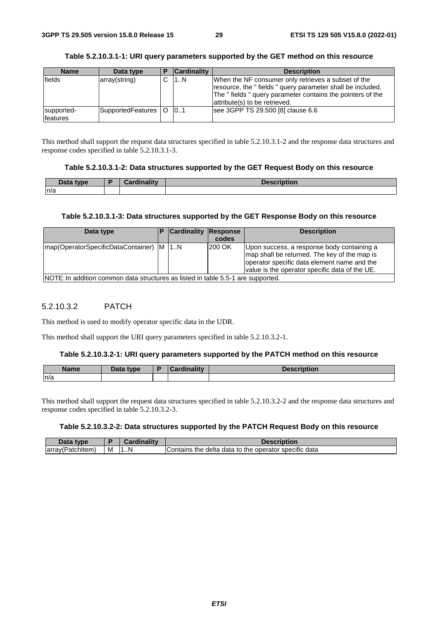| <b>Name</b>                   | Data type             | <b>Cardinality</b> | <b>Description</b>                                                                                                                                                                                             |
|-------------------------------|-----------------------|--------------------|----------------------------------------------------------------------------------------------------------------------------------------------------------------------------------------------------------------|
| fields                        | array(string)         | 1N                 | When the NF consumer only retrieves a subset of the<br>resource, the "fields" query parameter shall be included.<br>The "fields" query parameter contains the pointers of the<br>attribute(s) to be retrieved. |
| supported-<br><b>features</b> | SupportedFeatures   O | 101                | see 3GPP TS 29.500 [8] clause 6.6                                                                                                                                                                              |

# **Table 5.2.10.3.1-1: URI query parameters supported by the GET method on this resource**

This method shall support the request data structures specified in table 5.2.10.3.1-2 and the response data structures and response codes specified in table 5.2.10.3.1-3.

### **Table 5.2.10.3.1-2: Data structures supported by the GET Request Body on this resource**

| <b>Data</b><br>type | Cardinalitv | <b>Description</b> |
|---------------------|-------------|--------------------|
| ln/a                |             |                    |

# **Table 5.2.10.3.1-3: Data structures supported by the GET Response Body on this resource**

| Data type                                                                        | <b>P</b> Cardinality Response | codes  | <b>Description</b>                                                                                                                                                                          |
|----------------------------------------------------------------------------------|-------------------------------|--------|---------------------------------------------------------------------------------------------------------------------------------------------------------------------------------------------|
| Imap(OperatorSpecificDataContainer)   M   1.N                                    |                               | 200 OK | Upon success, a response body containing a<br>map shall be returned. The key of the map is<br>operator specific data element name and the<br>value is the operator specific data of the UE. |
| NOTE: In addition common data structures as listed in table 5.5-1 are supported. |                               |        |                                                                                                                                                                                             |

# 5.2.10.3.2 PATCH

This method is used to modify operator specific data in the UDR.

This method shall support the URI query parameters specified in table 5.2.10.3.2-1.

#### **Table 5.2.10.3.2-1: URI query parameters supported by the PATCH method on this resource**

| <b>Name</b> | Data type | بدئا ومنا<br>$-$<br>-----<br>. Idlity | <b>Docorintian</b><br>TDUOIL |
|-------------|-----------|---------------------------------------|------------------------------|
| n/a         |           |                                       |                              |

This method shall support the request data structures specified in table 5.2.10.3.2-2 and the response data structures and response codes specified in table 5.2.10.3.2-3.

#### **Table 5.2.10.3.2-2: Data structures supported by the PATCH Request Body on this resource**

| Data type        |   | <b>Cardinality</b> | Description                                           |
|------------------|---|--------------------|-------------------------------------------------------|
| array(Patchitem) | м | 11N                | Contains the delta data to the operator specific data |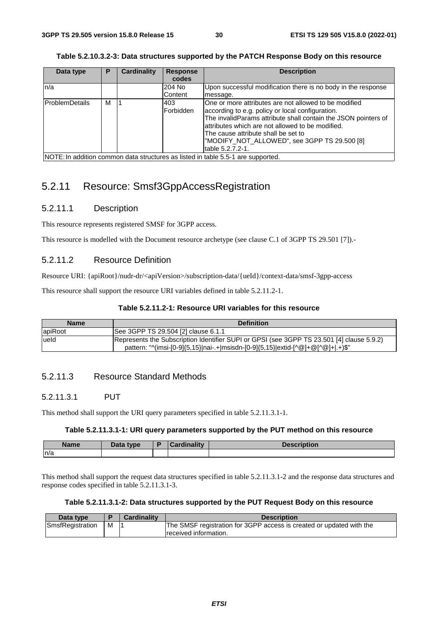| Table 5.2.10.3.2-3: Data structures supported by the PATCH Response Body on this resource |
|-------------------------------------------------------------------------------------------|
|-------------------------------------------------------------------------------------------|

| Data type                                                                        | Р | <b>Cardinality</b> | <b>Response</b>  | <b>Description</b>                                                                                                                                                                                                                                                                                                                         |
|----------------------------------------------------------------------------------|---|--------------------|------------------|--------------------------------------------------------------------------------------------------------------------------------------------------------------------------------------------------------------------------------------------------------------------------------------------------------------------------------------------|
|                                                                                  |   |                    | codes            |                                                                                                                                                                                                                                                                                                                                            |
| ln/a                                                                             |   |                    | 204 No           | Upon successful modification there is no body in the response                                                                                                                                                                                                                                                                              |
|                                                                                  |   |                    | Content          | message.                                                                                                                                                                                                                                                                                                                                   |
| <b>ProblemDetails</b>                                                            | м |                    | 403<br>Forbidden | One or more attributes are not allowed to be modified<br>according to e.g. policy or local configuration.<br>The invalidParams attribute shall contain the JSON pointers of<br>attributes which are not allowed to be modified.<br>The cause attribute shall be set to<br>"MODIFY NOT ALLOWED", see 3GPP TS 29.500 [8]<br>table 5.2.7.2-1. |
| NOTE: In addition common data structures as listed in table 5.5-1 are supported. |   |                    |                  |                                                                                                                                                                                                                                                                                                                                            |

# 5.2.11 Resource: Smsf3GppAccessRegistration

# 5.2.11.1 Description

This resource represents registered SMSF for 3GPP access.

This resource is modelled with the Document resource archetype (see clause C.1 of 3GPP TS 29.501 [7]).-

# 5.2.11.2 Resource Definition

Resource URI: {apiRoot}/nudr-dr/<apiVersion>/subscription-data/{ueId}/context-data/smsf-3gpp-access

This resource shall support the resource URI variables defined in table 5.2.11.2-1.

#### **Table 5.2.11.2-1: Resource URI variables for this resource**

| <b>Name</b> | <b>Definition</b>                                                                                                                                                            |
|-------------|------------------------------------------------------------------------------------------------------------------------------------------------------------------------------|
| apiRoot     | See 3GPP TS 29.504 [2] clause 6.1.1                                                                                                                                          |
| lueld       | Represents the Subscription Identifier SUPI or GPSI (see 3GPP TS 23.501 [4] clause 5.9.2)<br>pattern: "^(imsi-[0-9]{5,15} nai-.+ msisdn-[0-9]{5,15} extid-[^@]+@[^@]+ .+)\$" |

# 5.2.11.3 Resource Standard Methods

# 5.2.11.3.1 PUT

This method shall support the URI query parameters specified in table 5.2.11.3.1-1.

#### **Table 5.2.11.3.1-1: URI query parameters supported by the PUT method on this resource**

| <b>Name</b> | Data type | D | sedinality | <b>Description</b> |
|-------------|-----------|---|------------|--------------------|
| n/a         |           |   |            |                    |

This method shall support the request data structures specified in table 5.2.11.3.1-2 and the response data structures and response codes specified in table 5.2.11.3.1-3.

#### **Table 5.2.11.3.1-2: Data structures supported by the PUT Request Body on this resource**

| Data type        |   | <b>Cardinality</b> | <b>Description</b>                                                   |
|------------------|---|--------------------|----------------------------------------------------------------------|
| SmsfRegistration | м |                    | The SMSF registration for 3GPP access is created or updated with the |
|                  |   |                    | received information.                                                |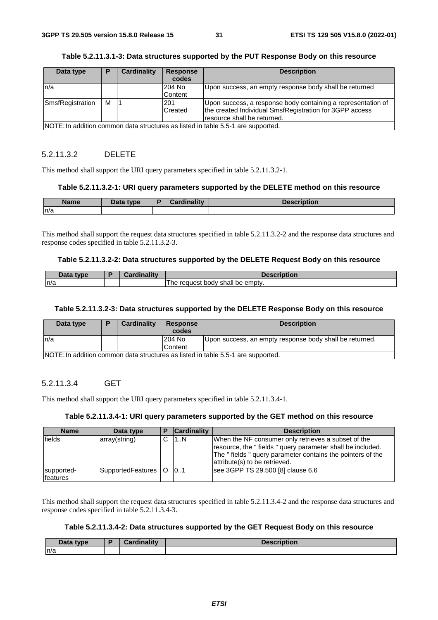| Data type                                                                        | Е | <b>Cardinality</b> | <b>Response</b><br>codes | <b>Description</b>                                                                                                      |  |
|----------------------------------------------------------------------------------|---|--------------------|--------------------------|-------------------------------------------------------------------------------------------------------------------------|--|
| n/a                                                                              |   |                    | 204 No                   | Upon success, an empty response body shall be returned                                                                  |  |
|                                                                                  |   |                    | Content                  |                                                                                                                         |  |
| SmsfRegistration                                                                 | м |                    | 201<br>Created           | Upon success, a response body containing a representation of<br>the created Individual SmsfRegistration for 3GPP access |  |
|                                                                                  |   |                    |                          | resource shall be returned.                                                                                             |  |
| NOTE: In addition common data structures as listed in table 5.5-1 are supported. |   |                    |                          |                                                                                                                         |  |

### **Table 5.2.11.3.1-3: Data structures supported by the PUT Response Body on this resource**

# 5.2.11.3.2 DELETE

This method shall support the URI query parameters specified in table 5.2.11.3.2-1.

### **Table 5.2.11.3.2-1: URI query parameters supported by the DELETE method on this resource**

| <b>Name</b> | <b>Pata type</b><br>Dald | <b>Hinolity</b> | <b><i><u>Innervinting</u></i></b><br><b>UESCHDUUI</b> |
|-------------|--------------------------|-----------------|-------------------------------------------------------|
| n/a         |                          |                 |                                                       |

This method shall support the request data structures specified in table 5.2.11.3.2-2 and the response data structures and response codes specified in table 5.2.11.3.2-3.

#### **Table 5.2.11.3.2-2: Data structures supported by the DELETE Request Body on this resource**

| $\mathbf{a}$<br>tvne | والمقال والمسافر | iption                                        |
|----------------------|------------------|-----------------------------------------------|
| n/a                  |                  | body shall<br>l he<br>emptv.<br>request<br>be |

#### **Table 5.2.11.3.2-3: Data structures supported by the DELETE Response Body on this resource**

| Data type                                                                         |  | Cardinality | Response<br>codes | <b>Description</b>                                      |  |
|-----------------------------------------------------------------------------------|--|-------------|-------------------|---------------------------------------------------------|--|
| ln/a                                                                              |  |             | 204 No            | Upon success, an empty response body shall be returned. |  |
|                                                                                   |  |             | <b>Content</b>    |                                                         |  |
| INOTE: In addition common data structures as listed in table 5.5-1 are supported. |  |             |                   |                                                         |  |

# 5.2.11.3.4 GET

This method shall support the URI query parameters specified in table 5.2.11.3.4-1.

# **Table 5.2.11.3.4-1: URI query parameters supported by the GET method on this resource**

| <b>Name</b>            | Data type                  | <b>Cardinality</b> | <b>Description</b>                                                                                                                                                                                             |
|------------------------|----------------------------|--------------------|----------------------------------------------------------------------------------------------------------------------------------------------------------------------------------------------------------------|
| fields                 | array(string)              | 11N                | When the NF consumer only retrieves a subset of the<br>resource, the "fields" query parameter shall be included.<br>The "fields" query parameter contains the pointers of the<br>attribute(s) to be retrieved. |
| supported-<br>features | SupportedFeatures   O   01 |                    | see 3GPP TS 29.500 [8] clause 6.6                                                                                                                                                                              |

This method shall support the request data structures specified in table 5.2.11.3.4-2 and the response data structures and response codes specified in table 5.2.11.3.4-3.

# **Table 5.2.11.3.4-2: Data structures supported by the GET Request Body on this resource**

| Data type | <b>Cardinality</b> | <b>Description</b> |
|-----------|--------------------|--------------------|
| n/a       |                    |                    |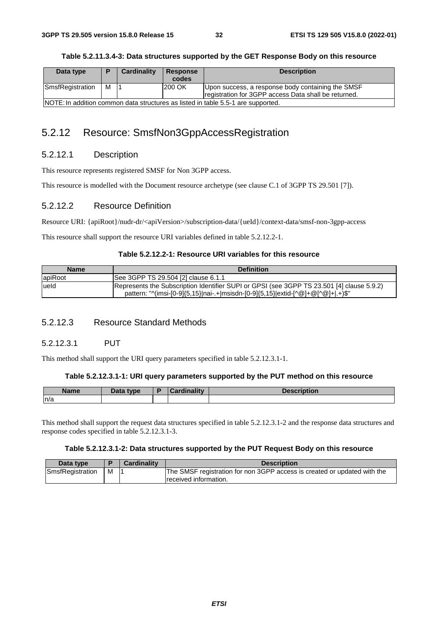| Data type                                                                         |   | Cardinality | Response | <b>Description</b>                                                                                        |  |  |
|-----------------------------------------------------------------------------------|---|-------------|----------|-----------------------------------------------------------------------------------------------------------|--|--|
|                                                                                   |   |             | codes    |                                                                                                           |  |  |
| SmsfRegistration                                                                  | м |             | 200 OK   | Upon success, a response body containing the SMSF<br>registration for 3GPP access Data shall be returned. |  |  |
| INOTE: In addition common data structures as listed in table 5.5-1 are supported. |   |             |          |                                                                                                           |  |  |

# 5.2.12 Resource: SmsfNon3GppAccessRegistration

# 5.2.12.1 Description

This resource represents registered SMSF for Non 3GPP access.

This resource is modelled with the Document resource archetype (see clause C.1 of 3GPP TS 29.501 [7]).

# 5.2.12.2 Resource Definition

Resource URI: {apiRoot}/nudr-dr/<apiVersion>/subscription-data/{ueId}/context-data/smsf-non-3gpp-access

This resource shall support the resource URI variables defined in table 5.2.12.2-1.

# **Table 5.2.12.2-1: Resource URI variables for this resource**

| <b>Name</b> | <b>Definition</b>                                                                                                                                                            |
|-------------|------------------------------------------------------------------------------------------------------------------------------------------------------------------------------|
| apiRoot     | See 3GPP TS 29.504 [2] clause 6.1.1                                                                                                                                          |
| lueld       | Represents the Subscription Identifier SUPI or GPSI (see 3GPP TS 23.501 [4] clause 5.9.2)<br>pattern: "^(imsi-[0-9]{5,15} nai-.+ msisdn-[0-9]{5,15} extid-[^@]+@[^@]+ .+)\$" |

# 5.2.12.3 Resource Standard Methods

# 5.2.12.3.1 PUT

This method shall support the URI query parameters specified in table 5.2.12.3.1-1.

#### **Table 5.2.12.3.1-1: URI query parameters supported by the PUT method on this resource**

| <b>Name</b> | Data type | <b>Cardinality</b> | <b>Description</b> |
|-------------|-----------|--------------------|--------------------|
| n/a         |           |                    |                    |

This method shall support the request data structures specified in table 5.2.12.3.1-2 and the response data structures and response codes specified in table 5.2.12.3.1-3.

# **Table 5.2.12.3.1-2: Data structures supported by the PUT Request Body on this resource**

| Data type        |   | <b>Cardinality</b> | <b>Description</b>                                                       |
|------------------|---|--------------------|--------------------------------------------------------------------------|
| SmsfRegistration | M |                    | The SMSF registration for non 3GPP access is created or updated with the |
|                  |   |                    | received information.                                                    |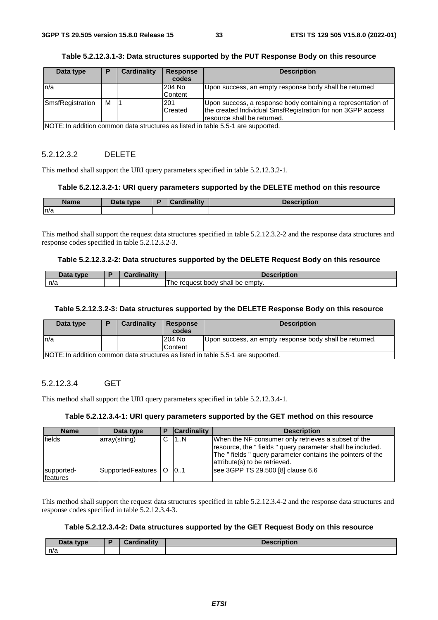| Data type                                                                        | P | <b>Cardinality</b> | <b>Response</b><br>codes | <b>Description</b>                                           |  |
|----------------------------------------------------------------------------------|---|--------------------|--------------------------|--------------------------------------------------------------|--|
| ln/a                                                                             |   |                    | 204 No                   | Upon success, an empty response body shall be returned       |  |
|                                                                                  |   |                    | Content                  |                                                              |  |
| SmsfRegistration                                                                 | м |                    | 201                      | Upon success, a response body containing a representation of |  |
|                                                                                  |   |                    | <b>Created</b>           | the created Individual SmsfRegistration for non 3GPP access  |  |
|                                                                                  |   |                    |                          | resource shall be returned.                                  |  |
| NOTE: In addition common data structures as listed in table 5.5-1 are supported. |   |                    |                          |                                                              |  |

### **Table 5.2.12.3.1-3: Data structures supported by the PUT Response Body on this resource**

# 5.2.12.3.2 DELETE

This method shall support the URI query parameters specified in table 5.2.12.3.2-1.

#### **Table 5.2.12.3.2-1: URI query parameters supported by the DELETE method on this resource**

| <b>Name</b> | Data type | <b>Cardinality</b> | <b>Decerintian</b><br>чон |
|-------------|-----------|--------------------|---------------------------|
| ln/a        |           |                    |                           |

This method shall support the request data structures specified in table 5.2.12.3.2-2 and the response data structures and response codes specified in table 5.2.12.3.2-3.

#### **Table 5.2.12.3.2-2: Data structures supported by the DELETE Request Body on this resource**

| Data type | <b>Cardinality</b> | Description                             |
|-----------|--------------------|-----------------------------------------|
| n/a       |                    | t body shall be empty.<br>reauest<br>he |

#### **Table 5.2.12.3.2-3: Data structures supported by the DELETE Response Body on this resource**

| Data type                                                                         |  | Cardinality | Response<br>codes | <b>Description</b>                                      |  |  |
|-----------------------------------------------------------------------------------|--|-------------|-------------------|---------------------------------------------------------|--|--|
| ln/a                                                                              |  |             | 204 No            | Upon success, an empty response body shall be returned. |  |  |
|                                                                                   |  |             | <b>Content</b>    |                                                         |  |  |
| INOTE: In addition common data structures as listed in table 5.5-1 are supported. |  |             |                   |                                                         |  |  |

# 5.2.12.3.4 GET

This method shall support the URI query parameters specified in table 5.2.12.3.4-1.

# **Table 5.2.12.3.4-1: URI query parameters supported by the GET method on this resource**

| <b>Name</b>            | Data type                  | <b>Cardinality</b> | <b>Description</b>                                                                                                                                                                                             |
|------------------------|----------------------------|--------------------|----------------------------------------------------------------------------------------------------------------------------------------------------------------------------------------------------------------|
| fields                 | array(string)              | 11N                | When the NF consumer only retrieves a subset of the<br>resource, the "fields" query parameter shall be included.<br>The "fields" query parameter contains the pointers of the<br>attribute(s) to be retrieved. |
| supported-<br>features | SupportedFeatures   O   01 |                    | see 3GPP TS 29.500 [8] clause 6.6                                                                                                                                                                              |

This method shall support the request data structures specified in table 5.2.12.3.4-2 and the response data structures and response codes specified in table 5.2.12.3.4-3.

# **Table 5.2.12.3.4-2: Data structures supported by the GET Request Body on this resource**

| <b>Data</b><br>type | <b>Cordinality</b><br>116111 | <b>Description</b> |
|---------------------|------------------------------|--------------------|
| n/a                 |                              |                    |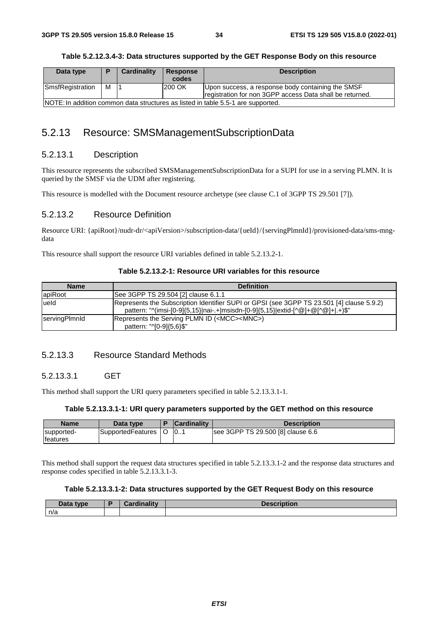| Data type                                                                         | D | Cardinality | <b>Response</b> | <b>Description</b>                                       |  |
|-----------------------------------------------------------------------------------|---|-------------|-----------------|----------------------------------------------------------|--|
|                                                                                   |   |             | codes           |                                                          |  |
| SmsfRegistration                                                                  | м |             | 200 OK          | Upon success, a response body containing the SMSF        |  |
|                                                                                   |   |             |                 | registration for non 3GPP access Data shall be returned. |  |
| INOTE: In addition common data structures as listed in table 5.5-1 are supported. |   |             |                 |                                                          |  |

# 5.2.13 Resource: SMSManagementSubscriptionData

# 5.2.13.1 Description

This resource represents the subscribed SMSManagementSubscriptionData for a SUPI for use in a serving PLMN. It is queried by the SMSF via the UDM after registering.

This resource is modelled with the Document resource archetype (see clause C.1 of 3GPP TS 29.501 [7]).

# 5.2.13.2 Resource Definition

Resource URI: {apiRoot}/nudr-dr/<apiVersion>/subscription-data/{ueId}/{servingPlmnId}/provisioned-data/sms-mngdata

This resource shall support the resource URI variables defined in table 5.2.13.2-1.

# **Table 5.2.13.2-1: Resource URI variables for this resource**

| <b>Name</b>   | <b>Definition</b>                                                                                                                                                            |
|---------------|------------------------------------------------------------------------------------------------------------------------------------------------------------------------------|
| apiRoot       | See 3GPP TS 29.504 [2] clause 6.1.1                                                                                                                                          |
| lueld         | Represents the Subscription Identifier SUPI or GPSI (see 3GPP TS 23.501 [4] clause 5.9.2)<br>pattern: "^(imsi-[0-9]{5,15} nai-.+ msisdn-[0-9]{5,15} extid-[^@]+@[^@]+ .+)\$" |
| servingPlmnld | Represents the Serving PLMN ID ( <mcc><mnc>)<br/>pattern: "^[0-9]{5,6}\$"</mnc></mcc>                                                                                        |

# 5.2.13.3 Resource Standard Methods

# 5.2.13.3.1 GET

This method shall support the URI query parameters specified in table 5.2.13.3.1-1.

#### **Table 5.2.13.3.1-1: URI query parameters supported by the GET method on this resource**

| <b>Name</b>                    | Data type         | D | <b>Cardinality</b> | Description                       |
|--------------------------------|-------------------|---|--------------------|-----------------------------------|
| supported-<br><b>Ifeatures</b> | SupportedFeatures |   | $\mathsf{I}0$      | see 3GPP TS 29.500 [8] clause 6.6 |

This method shall support the request data structures specified in table 5.2.13.3.1-2 and the response data structures and response codes specified in table 5.2.13.3.1-3.

# **Table 5.2.13.3.1-2: Data structures supported by the GET Request Body on this resource**

| <b>Pata type</b><br>Dala | Cordinality<br>rumanty | <b>Description</b> |
|--------------------------|------------------------|--------------------|
| n/a                      |                        |                    |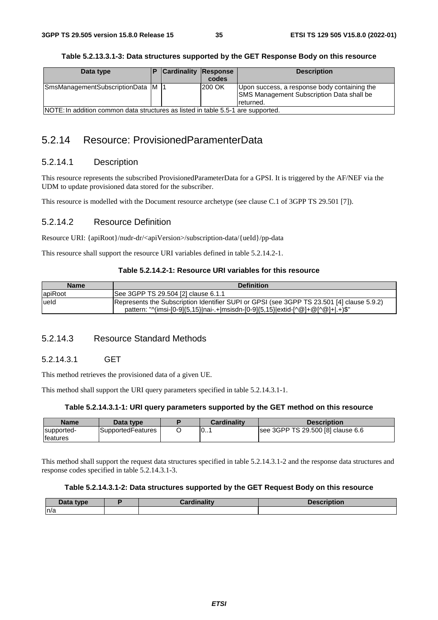### **Table 5.2.13.3.1-3: Data structures supported by the GET Response Body on this resource**

| Data type                                                                        |  | <b>Cardinality Response</b> | codes  | <b>Description</b>                                                                                            |
|----------------------------------------------------------------------------------|--|-----------------------------|--------|---------------------------------------------------------------------------------------------------------------|
| SmsManagementSubscriptionData M  1                                               |  |                             | 200 OK | Upon success, a response body containing the<br><b>SMS Management Subscription Data shall be</b><br>returned. |
| NOTE: In addition common data structures as listed in table 5.5-1 are supported. |  |                             |        |                                                                                                               |

# 5.2.14 Resource: ProvisionedParamenterData

# 5.2.14.1 Description

This resource represents the subscribed ProvisionedParameterData for a GPSI. It is triggered by the AF/NEF via the UDM to update provisioned data stored for the subscriber.

This resource is modelled with the Document resource archetype (see clause C.1 of 3GPP TS 29.501 [7]).

# 5.2.14.2 Resource Definition

Resource URI: {apiRoot}/nudr-dr/<apiVersion>/subscription-data/{ueId}/pp-data

This resource shall support the resource URI variables defined in table 5.2.14.2-1.

# **Table 5.2.14.2-1: Resource URI variables for this resource**

| <b>Name</b> | <b>Definition</b>                                                                                                                                                            |
|-------------|------------------------------------------------------------------------------------------------------------------------------------------------------------------------------|
| apiRoot     | See 3GPP TS 29.504 [2] clause 6.1.1                                                                                                                                          |
| lueld       | Represents the Subscription Identifier SUPI or GPSI (see 3GPP TS 23.501 [4] clause 5.9.2)<br>pattern: "^(imsi-[0-9]{5,15} nai-.+ msisdn-[0-9]{5,15} extid-[^@]+@[^@]+ .+)\$" |

# 5.2.14.3 Resource Standard Methods

# 5.2.14.3.1 GET

This method retrieves the provisioned data of a given UE.

This method shall support the URI query parameters specified in table 5.2.14.3.1-1.

# **Table 5.2.14.3.1-1: URI query parameters supported by the GET method on this resource**

| <b>Name</b>      | Data type         | <b>Cardinality</b> | <b>Description</b>                |
|------------------|-------------------|--------------------|-----------------------------------|
| supported-       | SupportedFeatures | 0                  | see 3GPP TS 29.500 [8] clause 6.6 |
| <b>Ifeatures</b> |                   |                    |                                   |

This method shall support the request data structures specified in table 5.2.14.3.1-2 and the response data structures and response codes specified in table 5.2.14.3.1-3.

# **Table 5.2.14.3.1-2: Data structures supported by the GET Request Body on this resource**

| Data type | <b>Cardinalis Communication</b> | <b>Sescription</b> |
|-----------|---------------------------------|--------------------|
| n/a       |                                 |                    |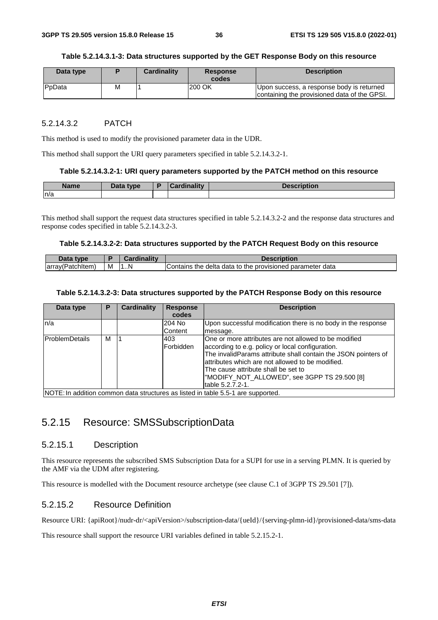#### **Table 5.2.14.3.1-3: Data structures supported by the GET Response Body on this resource**

| Data type |   | <b>Cardinality</b> | <b>Response</b><br>codes | <b>Description</b>                                                                        |
|-----------|---|--------------------|--------------------------|-------------------------------------------------------------------------------------------|
| PpData    | М |                    | 200 OK                   | Upon success, a response body is returned<br>containing the provisioned data of the GPSI. |

### 5.2.14.3.2 PATCH

This method is used to modify the provisioned parameter data in the UDR.

This method shall support the URI query parameters specified in table 5.2.14.3.2-1.

#### **Table 5.2.14.3.2-1: URI query parameters supported by the PATCH method on this resource**

| <b>Name</b> | Data tyne<br><u>sala</u> | `ordinolity | Oooorintion<br>uon |
|-------------|--------------------------|-------------|--------------------|
| n/a         |                          |             |                    |

This method shall support the request data structures specified in table 5.2.14.3.2-2 and the response data structures and response codes specified in table 5.2.14.3.2-3.

#### **Table 5.2.14.3.2-2: Data structures supported by the PATCH Request Body on this resource**

| Data type        |   | <b>Cardinality</b> | <b>Description</b>                                        |
|------------------|---|--------------------|-----------------------------------------------------------|
| array(Patchitem) | M | 1N                 | Contains the delta data to the provisioned parameter data |

#### **Table 5.2.14.3.2-3: Data structures supported by the PATCH Response Body on this resource**

| Data type              | Р | Cardinality | <b>Response</b>          | <b>Description</b>                                                                                                                                                                                                                                                                                                                         |
|------------------------|---|-------------|--------------------------|--------------------------------------------------------------------------------------------------------------------------------------------------------------------------------------------------------------------------------------------------------------------------------------------------------------------------------------------|
|                        |   |             | codes                    |                                                                                                                                                                                                                                                                                                                                            |
| n/a                    |   |             | 204 No<br><b>Content</b> | Upon successful modification there is no body in the response<br>message.                                                                                                                                                                                                                                                                  |
| <b>IProblemDetails</b> | М |             | 1403<br>Forbidden        | One or more attributes are not allowed to be modified<br>according to e.g. policy or local configuration.<br>The invalidParams attribute shall contain the JSON pointers of<br>attributes which are not allowed to be modified.<br>The cause attribute shall be set to<br>"MODIFY NOT ALLOWED", see 3GPP TS 29.500 [8]<br>table 5.2.7.2-1. |
|                        |   |             |                          | INOTE: In addition common data structures as listed in table 5.5-1 are supported                                                                                                                                                                                                                                                           |

NOTE: In addition common data structures as listed in table 5.5-1 are supported.

# 5.2.15 Resource: SMSSubscriptionData

### 5.2.15.1 Description

This resource represents the subscribed SMS Subscription Data for a SUPI for use in a serving PLMN. It is queried by the AMF via the UDM after registering.

This resource is modelled with the Document resource archetype (see clause C.1 of 3GPP TS 29.501 [7]).

### 5.2.15.2 Resource Definition

Resource URI: {apiRoot}/nudr-dr/<apiVersion>/subscription-data/{ueId}/{serving-plmn-id}/provisioned-data/sms-data

This resource shall support the resource URI variables defined in table 5.2.15.2-1.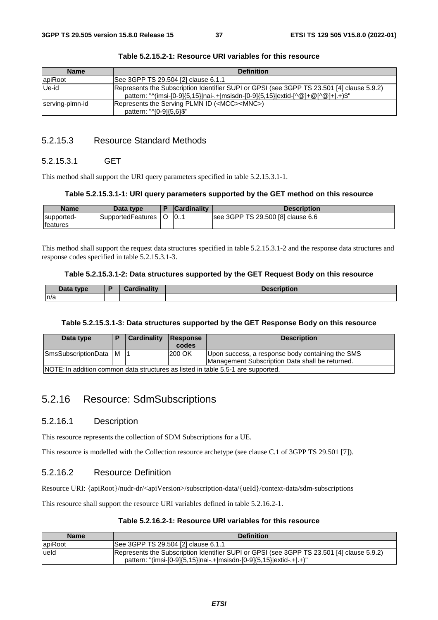| <b>Name</b>     | <b>Definition</b>                                                                                                                                                            |
|-----------------|------------------------------------------------------------------------------------------------------------------------------------------------------------------------------|
| apiRoot         | See 3GPP TS 29.504 [2] clause 6.1.1                                                                                                                                          |
| Ue-id           | Represents the Subscription Identifier SUPI or GPSI (see 3GPP TS 23.501 [4] clause 5.9.2)<br>pattern: "^(imsi-[0-9]{5,15} nai-.+ msisdn-[0-9]{5,15} extid-[^@]+@[^@]+ .+)\$" |
| serving-plmn-id | Represents the Serving PLMN ID ( <mcc><mnc>)<br/>pattern: "^[0-9]{5,6}\$"</mnc></mcc>                                                                                        |

### 5.2.15.3 Resource Standard Methods

### 5.2.15.3.1 GET

This method shall support the URI query parameters specified in table 5.2.15.3.1-1.

#### **Table 5.2.15.3.1-1: URI query parameters supported by the GET method on this resource**

| <b>Name</b>                    | Data type         | <b>Cardinality</b> | <b>Description</b>                |
|--------------------------------|-------------------|--------------------|-----------------------------------|
| supported-<br><b>Ifeatures</b> | SupportedFeatures | 0                  | See 3GPP TS 29.500 [8] clause 6.6 |

This method shall support the request data structures specified in table 5.2.15.3.1-2 and the response data structures and response codes specified in table 5.2.15.3.1-3.

### **Table 5.2.15.3.1-2: Data structures supported by the GET Request Body on this resource**

| Data type | Cordinalis<br>ruman<br>$\sim$ | <b>Description</b> |
|-----------|-------------------------------|--------------------|
| n/a       |                               |                    |

### **Table 5.2.15.3.1-3: Data structures supported by the GET Response Body on this resource**

| Data type               | Cardinality | Response<br>codes | <b>Description</b>                                                                                  |
|-------------------------|-------------|-------------------|-----------------------------------------------------------------------------------------------------|
| SmsSubscriptionData   M |             | 200 OK            | Upon success, a response body containing the SMS<br>Management Subscription Data shall be returned. |
|                         |             |                   | NOTE: In addition common data structures as listed in table 5.5-1 are supported.                    |

# 5.2.16 Resource: SdmSubscriptions

### 5.2.16.1 Description

This resource represents the collection of SDM Subscriptions for a UE.

This resource is modelled with the Collection resource archetype (see clause C.1 of 3GPP TS 29.501 [7]).

## 5.2.16.2 Resource Definition

Resource URI: {apiRoot}/nudr-dr/<apiVersion>/subscription-data/{ueId}/context-data/sdm-subscriptions

This resource shall support the resource URI variables defined in table 5.2.16.2-1.

### **Table 5.2.16.2-1: Resource URI variables for this resource**

| <b>Name</b> | <b>Definition</b>                                                                                                                                                |
|-------------|------------------------------------------------------------------------------------------------------------------------------------------------------------------|
| apiRoot     | See 3GPP TS 29.504 [2] clause 6.1.1                                                                                                                              |
| ueld        | Represents the Subscription Identifier SUPI or GPSI (see 3GPP TS 23.501 [4] clause 5.9.2)<br>pattern: "(imsi-[0-9]{5,15} nai-.+ msisdn-[0-9]{5,15} extid-.+ .+)" |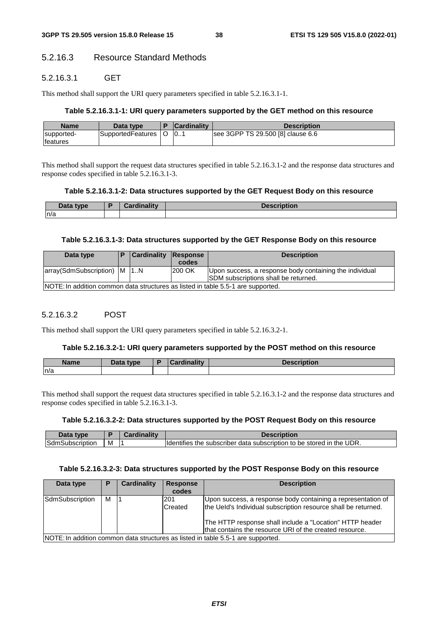## 5.2.16.3 Resource Standard Methods

### 5.2.16.3.1 GET

This method shall support the URI query parameters specified in table 5.2.16.3.1-1.

#### **Table 5.2.16.3.1-1: URI query parameters supported by the GET method on this resource**

| <b>Name</b>                    | Data type         | <b>Cardinality</b> | Description                       |
|--------------------------------|-------------------|--------------------|-----------------------------------|
| supported-<br><b>Ifeatures</b> | SupportedFeatures | 10                 | see 3GPP TS 29.500 [8] clause 6.6 |

This method shall support the request data structures specified in table 5.2.16.3.1-2 and the response data structures and response codes specified in table 5.2.16.3.1-3.

### **Table 5.2.16.3.1-2: Data structures supported by the GET Request Body on this resource**

| Data type | Cardinalitv<br>. | <b>Description</b> |
|-----------|------------------|--------------------|
| n/a       |                  |                    |

#### **Table 5.2.16.3.1-3: Data structures supported by the GET Response Body on this resource**

| Data type                                                                        |  | <b>Cardinality Response</b> | codes  | <b>Description</b>                                                                                     |  |
|----------------------------------------------------------------------------------|--|-----------------------------|--------|--------------------------------------------------------------------------------------------------------|--|
| array(SdmSubscription)   M   1N                                                  |  |                             | 200 OK | Upon success, a response body containing the individual<br><b>SDM</b> subscriptions shall be returned. |  |
| NOTE: In addition common data structures as listed in table 5.5-1 are supported. |  |                             |        |                                                                                                        |  |

### 5.2.16.3.2 POST

This method shall support the URI query parameters specified in table 5.2.16.3.2-1.

#### **Table 5.2.16.3.2-1: URI query parameters supported by the POST method on this resource**

| <b>Name</b> | <b>Pata type</b> | Cardinality | <b>Description</b> |
|-------------|------------------|-------------|--------------------|
| n/a         |                  |             |                    |

This method shall support the request data structures specified in table 5.2.16.3.1-2 and the response data structures and response codes specified in table 5.2.16.3.1-3.

#### **Table 5.2.16.3.2-2: Data structures supported by the POST Request Body on this resource**

| tvne       |   | <b>ALC</b> |                                                                                                                       |
|------------|---|------------|-----------------------------------------------------------------------------------------------------------------------|
| DSCriduor' | M |            | UDR.<br>$\cdot$<br>the<br>stored<br><b>Ildentifies</b><br>subscriber<br>subscription<br>data<br>the<br>ır<br>to<br>be |

#### **Table 5.2.16.3.2-3: Data structures supported by the POST Response Body on this resource**

| Data type       | P                                                                                | Cardinality | <b>Response</b><br>codes | <b>Description</b>                                                                                                                                                                                                                                    |  |  |  |
|-----------------|----------------------------------------------------------------------------------|-------------|--------------------------|-------------------------------------------------------------------------------------------------------------------------------------------------------------------------------------------------------------------------------------------------------|--|--|--|
| SdmSubscription | м                                                                                |             | 201<br>Created           | Upon success, a response body containing a representation of<br>the Ueld's Individual subscription resource shall be returned.<br>The HTTP response shall include a "Location" HTTP header<br>that contains the resource URI of the created resource. |  |  |  |
|                 | INOTE: In addition common data structures as listed in table 5.5-1 are supported |             |                          |                                                                                                                                                                                                                                                       |  |  |  |

NOTE: In addition common data structures as listed in table 5.5-1 are supported.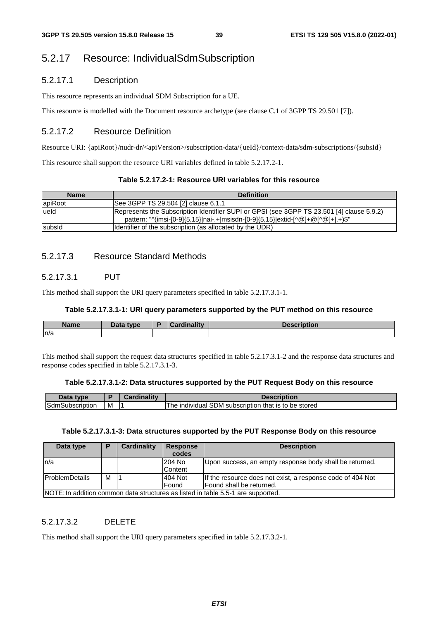# 5.2.17 Resource: IndividualSdmSubscription

### 5.2.17.1 Description

This resource represents an individual SDM Subscription for a UE.

This resource is modelled with the Document resource archetype (see clause C.1 of 3GPP TS 29.501 [7]).

### 5.2.17.2 Resource Definition

Resource URI: {apiRoot}/nudr-dr/<apiVersion>/subscription-data/{ueId}/context-data/sdm-subscriptions/{subsId}

This resource shall support the resource URI variables defined in table 5.2.17.2-1.

| <b>Name</b> | <b>Definition</b>                                                                                                                                                            |
|-------------|------------------------------------------------------------------------------------------------------------------------------------------------------------------------------|
| apiRoot     | See 3GPP TS 29.504 [2] clause 6.1.1                                                                                                                                          |
| lueld       | Represents the Subscription Identifier SUPI or GPSI (see 3GPP TS 23.501 [4] clause 5.9.2)<br>pattern: "^(imsi-[0-9]{5,15} nai-.+ msisdn-[0-9]{5,15} extid-[^@]+@[^@]+ .+)\$" |
| subsid      | Identifier of the subscription (as allocated by the UDR)                                                                                                                     |

## 5.2.17.3 Resource Standard Methods

### 5.2.17.3.1 PUT

This method shall support the URI query parameters specified in table 5.2.17.3.1-1.

#### **Table 5.2.17.3.1-1: URI query parameters supported by the PUT method on this resource**

| <b>Name</b> | Data type<br>Putu | ۰. | inality<br> | <b>IOOOFINEIOF</b><br>וצמו<br>riduon |
|-------------|-------------------|----|-------------|--------------------------------------|
| n/a         |                   |    |             |                                      |

This method shall support the request data structures specified in table 5.2.17.3.1-2 and the response data structures and response codes specified in table 5.2.17.3.1-3.

### **Table 5.2.17.3.1-2: Data structures supported by the PUT Request Body on this resource**

| $-1-$<br>type               |   |                                                                           |
|-----------------------------|---|---------------------------------------------------------------------------|
| <b>Sdm</b><br>mSubscription | M | be stored<br>DM subscription '<br>that is:<br>individual<br>he<br>to<br>വ |

### **Table 5.2.17.3.1-3: Data structures supported by the PUT Response Body on this resource**

| Data type                                                                        | D | Cardinality | <b>Response</b> | <b>Description</b>                                         |  |  |
|----------------------------------------------------------------------------------|---|-------------|-----------------|------------------------------------------------------------|--|--|
|                                                                                  |   |             | codes           |                                                            |  |  |
| ln/a                                                                             |   |             | 204 No          | Upon success, an empty response body shall be returned.    |  |  |
|                                                                                  |   |             | Content         |                                                            |  |  |
| <b>IProblemDetails</b>                                                           | м |             | 404 Not         | If the resource does not exist, a response code of 404 Not |  |  |
|                                                                                  |   |             | Found           | Found shall be returned.                                   |  |  |
| INOTE: In addition common data structures as listed in table 5.5.1 are supported |   |             |                 |                                                            |  |  |

NOTE: In addition common data structures as listed in table 5.5-1 are supported.

### 5.2.17.3.2 DELETE

This method shall support the URI query parameters specified in table 5.2.17.3.2-1.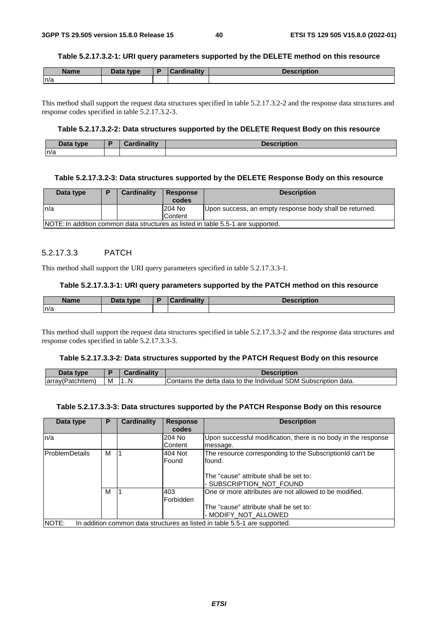#### **Table 5.2.17.3.2-1: URI query parameters supported by the DELETE method on this resource**

| <b>Name</b> | Data type | <b>Cardinality</b> | <b>Description</b> |
|-------------|-----------|--------------------|--------------------|
| n/a         |           |                    |                    |

This method shall support the request data structures specified in table 5.2.17.3.2-2 and the response data structures and response codes specified in table 5.2.17.3.2-3.

### **Table 5.2.17.3.2-2: Data structures supported by the DELETE Request Body on this resource**

| Data type | в | .<br>$\mathbf{r}$<br>. |  |
|-----------|---|------------------------|--|
| n/a       |   |                        |  |

#### **Table 5.2.17.3.2-3: Data structures supported by the DELETE Response Body on this resource**

| Data type                                                                        | E | Cardinality | <b>Response</b><br>codes | <b>Description</b>                                      |  |
|----------------------------------------------------------------------------------|---|-------------|--------------------------|---------------------------------------------------------|--|
| ln/a                                                                             |   |             | 204 No                   | Upon success, an empty response body shall be returned. |  |
|                                                                                  |   |             | Content                  |                                                         |  |
| NOTE: In addition common data structures as listed in table 5.5-1 are supported. |   |             |                          |                                                         |  |

### 5.2.17.3.3 PATCH

This method shall support the URI query parameters specified in table 5.2.17.3.3-1.

### **Table 5.2.17.3.3-1: URI query parameters supported by the PATCH method on this resource**

| <b>Name</b> | Data type | <b>Pordinolity</b> | <b>Description</b> |
|-------------|-----------|--------------------|--------------------|
| n/a         |           |                    |                    |

This method shall support the request data structures specified in table 5.2.17.3.3-2 and the response data structures and response codes specified in table 5.2.17.3.3-3.

#### **Table 5.2.17.3.3-2: Data structures supported by the PATCH Request Body on this resource**

| Data<br>type      |   | `ardinality | Description                                                      |
|-------------------|---|-------------|------------------------------------------------------------------|
| (array(Patchitem) | м | .N          | Contains the delta data to the Individual SDM Subscription data. |

#### **Table 5.2.17.3.3-3: Data structures supported by the PATCH Response Body on this resource**

| Data type             | P | <b>Cardinality</b> | <b>Response</b><br>codes | <b>Description</b>                                                         |
|-----------------------|---|--------------------|--------------------------|----------------------------------------------------------------------------|
| ln/a                  |   |                    | 204 No<br>Content        | Upon successful modification, there is no body in the response<br>message. |
| <b>ProblemDetails</b> | М |                    | 404 Not<br>Found         | The resource corresponding to the SubscriptionId can't be<br>found.        |
|                       |   |                    |                          | The "cause" attribute shall be set to:<br>- SUBSCRIPTION NOT FOUND         |
|                       | М |                    | 403<br>Forbidden         | One or more attributes are not allowed to be modified.                     |
|                       |   |                    |                          | The "cause" attribute shall be set to:<br>- MODIFY NOT ALLOWED             |
| NOTE:                 |   |                    |                          | In addition common data structures as listed in table 5.5-1 are supported. |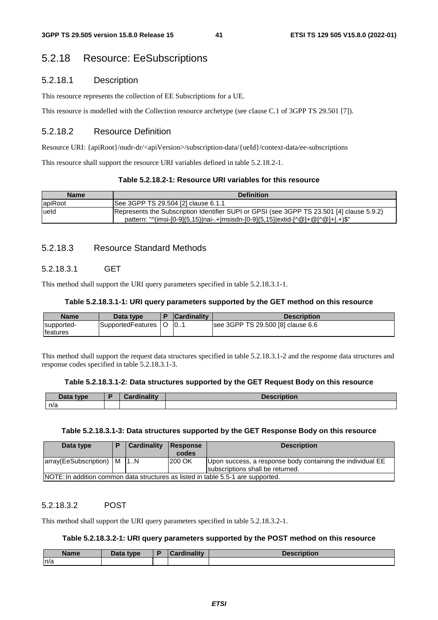# 5.2.18 Resource: EeSubscriptions

### 5.2.18.1 Description

This resource represents the collection of EE Subscriptions for a UE.

This resource is modelled with the Collection resource archetype (see clause C.1 of 3GPP TS 29.501 [7]).

### 5.2.18.2 Resource Definition

Resource URI: {apiRoot}/nudr-dr/<apiVersion>/subscription-data/{ueId}/context-data/ee-subscriptions

This resource shall support the resource URI variables defined in table 5.2.18.2-1.

#### **Table 5.2.18.2-1: Resource URI variables for this resource**

| <b>Name</b> | <b>Definition</b>                                                                                                                                                            |
|-------------|------------------------------------------------------------------------------------------------------------------------------------------------------------------------------|
| lapiRoot    | See 3GPP TS 29.504 [2] clause 6.1.1                                                                                                                                          |
| ueld        | Represents the Subscription Identifier SUPI or GPSI (see 3GPP TS 23.501 [4] clause 5.9.2)<br>pattern: "^(imsi-[0-9]{5,15} nai-.+ msisdn-[0-9]{5,15} extid-[^@]+@[^@]+ .+)\$" |

### 5.2.18.3 Resource Standard Methods

### 5.2.18.3.1 GET

This method shall support the URI query parameters specified in table 5.2.18.3.1-1.

#### **Table 5.2.18.3.1-1: URI query parameters supported by the GET method on this resource**

| <b>Name</b>                    | Data type         | <b>Cardinality</b> | Description                       |
|--------------------------------|-------------------|--------------------|-----------------------------------|
| supported-<br><b>Ifeatures</b> | SupportedFeatures | 10                 | see 3GPP TS 29.500 [8] clause 6.6 |

This method shall support the request data structures specified in table 5.2.18.3.1-2 and the response data structures and response codes specified in table 5.2.18.3.1-3.

#### **Table 5.2.18.3.1-2: Data structures supported by the GET Request Body on this resource**

| Data type | . * a valina litur<br>Varunlalltv | <b>Description</b> |
|-----------|-----------------------------------|--------------------|
| n/a       |                                   |                    |

### **Table 5.2.18.3.1-3: Data structures supported by the GET Response Body on this resource**

| Data type                      | Cardinality | <b>Response</b> | <b>Description</b>                                                                             |
|--------------------------------|-------------|-----------------|------------------------------------------------------------------------------------------------|
|                                |             | codes           |                                                                                                |
| array(EeSubscription)   M   1N |             | 200 OK          | Upon success, a response body containing the individual EE<br>subscriptions shall be returned. |
|                                |             |                 | NOTE: In addition common data structures as listed in table 5.5-1 are supported.               |

### 5.2.18.3.2 POST

This method shall support the URI query parameters specified in table 5.2.18.3.2-1.

#### **Table 5.2.18.3.2-1: URI query parameters supported by the POST method on this resource**

| <b>Name</b> | <b>Pata type</b> | Cardinality | Description |
|-------------|------------------|-------------|-------------|
| n/a         |                  |             |             |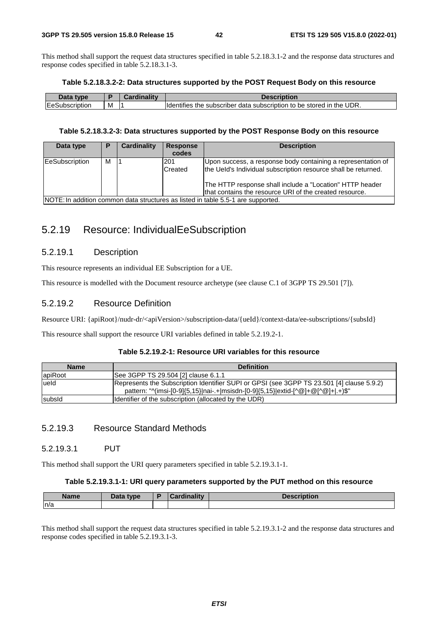This method shall support the request data structures specified in table 5.2.18.3.1-2 and the response data structures and response codes specified in table 5.2.18.3.1-3.

#### **Table 5.2.18.3.2-2: Data structures supported by the POST Request Body on this resource**

| .<br>type                 |   | - - 1945 | HIDUOL.                                                                                                    |
|---------------------------|---|----------|------------------------------------------------------------------------------------------------------------|
| Ē<br>lEe:<br>Subscription | M |          | ≅UDR.<br>the<br>storeo<br>subscriber<br>subscription<br>to<br>be<br>ın<br><b>Identifies</b><br>data<br>τne |

#### **Table 5.2.18.3.2-3: Data structures supported by the POST Response Body on this resource**

| Data type             | P | Cardinality | <b>Response</b><br>codes | <b>Description</b>                                                                                                                                                                                                                                    |
|-----------------------|---|-------------|--------------------------|-------------------------------------------------------------------------------------------------------------------------------------------------------------------------------------------------------------------------------------------------------|
| <b>EeSubscription</b> | м |             | l201<br>Created          | Upon success, a response body containing a representation of<br>the Ueld's Individual subscription resource shall be returned.<br>The HTTP response shall include a "Location" HTTP header<br>that contains the resource URI of the created resource. |
|                       |   |             |                          | NOTE: In addition common data structures as listed in table 5.5-1 are supported.                                                                                                                                                                      |

# 5.2.19 Resource: IndividualEeSubscription

### 5.2.19.1 Description

This resource represents an individual EE Subscription for a UE.

This resource is modelled with the Document resource archetype (see clause C.1 of 3GPP TS 29.501 [7]).

## 5.2.19.2 Resource Definition

Resource URI: {apiRoot}/nudr-dr/<apiVersion>/subscription-data/{ueId}/context-data/ee-subscriptions/{subsId}

This resource shall support the resource URI variables defined in table 5.2.19.2-1.

### **Table 5.2.19.2-1: Resource URI variables for this resource**

| <b>Name</b> | <b>Definition</b>                                                                                                                                                            |
|-------------|------------------------------------------------------------------------------------------------------------------------------------------------------------------------------|
| apiRoot     | See 3GPP TS 29.504 [2] clause 6.1.1                                                                                                                                          |
| lueld       | Represents the Subscription Identifier SUPI or GPSI (see 3GPP TS 23.501 [4] clause 5.9.2)<br>pattern: "^(imsi-[0-9]{5,15} nai-.+ msisdn-[0-9]{5,15} extid-[^@]+@[^@]+ .+)\$" |
| subsid      | Identifier of the subscription (allocated by the UDR)                                                                                                                        |

### 5.2.19.3 Resource Standard Methods

### 5.2.19.3.1 PUT

This method shall support the URI query parameters specified in table 5.2.19.3.1-1.

#### **Table 5.2.19.3.1-1: URI query parameters supported by the PUT method on this resource**

| <b>Name</b> | Data tyne<br>Data | والمقالم وبالمسوخ | .<br>1011 |
|-------------|-------------------|-------------------|-----------|
| n/a         |                   |                   |           |

This method shall support the request data structures specified in table 5.2.19.3.1-2 and the response data structures and response codes specified in table 5.2.19.3.1-3.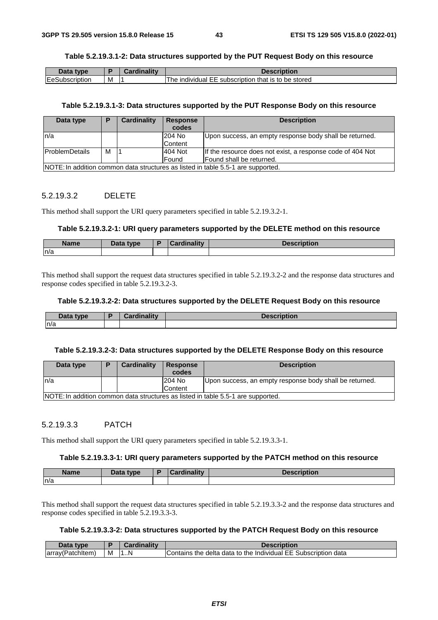### **Table 5.2.19.3.1-2: Data structures supported by the PUT Request Body on this resource**

| Data type              |   | Cardinality | <b>Description</b>                                                      |
|------------------------|---|-------------|-------------------------------------------------------------------------|
| <b>IEeSubscription</b> | м |             | that is to be stored<br>: subscription:<br>ˈhe<br>individual<br>--<br>. |

### **Table 5.2.19.3.1-3: Data structures supported by the PUT Response Body on this resource**

| Data type                                                                                            | Cardinality<br><b>Description</b><br><b>Response</b><br>P<br>codes |  |  |                                                                                  |  |  |  |  |
|------------------------------------------------------------------------------------------------------|--------------------------------------------------------------------|--|--|----------------------------------------------------------------------------------|--|--|--|--|
| 204 No<br>ln/a<br>Upon success, an empty response body shall be returned.                            |                                                                    |  |  |                                                                                  |  |  |  |  |
| Content                                                                                              |                                                                    |  |  |                                                                                  |  |  |  |  |
| 404 Not<br>м<br><b>IProblemDetails</b><br>If the resource does not exist, a response code of 404 Not |                                                                    |  |  |                                                                                  |  |  |  |  |
| Found<br>lFound shall be returned.                                                                   |                                                                    |  |  |                                                                                  |  |  |  |  |
|                                                                                                      |                                                                    |  |  | NOTE: In addition common data structures as listed in table 5.5-1 are supported. |  |  |  |  |

### 5.2.19.3.2 DELETE

This method shall support the URI query parameters specified in table 5.2.19.3.2-1.

#### **Table 5.2.19.3.2-1: URI query parameters supported by the DELETE method on this resource**

| <b>Name</b> | <b>Pata type</b> | $1 - 11$<br><b>STATISTICS</b> | <b>Description</b> |
|-------------|------------------|-------------------------------|--------------------|
| n/a         |                  |                               |                    |

This method shall support the request data structures specified in table 5.2.19.3.2-2 and the response data structures and response codes specified in table 5.2.19.3.2-3.

#### **Table 5.2.19.3.2-2: Data structures supported by the DELETE Request Body on this resource**

| Data type | Cardinality | <b>Description</b> |
|-----------|-------------|--------------------|
| n/a       |             |                    |

#### **Table 5.2.19.3.2-3: Data structures supported by the DELETE Response Body on this resource**

| Data type                                                                         | D | <b>Cardinality</b> | <b>Response</b><br>codes | <b>Description</b> |  |  |  |
|-----------------------------------------------------------------------------------|---|--------------------|--------------------------|--------------------|--|--|--|
| 204 No<br>Upon success, an empty response body shall be returned.<br>In/a         |   |                    |                          |                    |  |  |  |
| Content                                                                           |   |                    |                          |                    |  |  |  |
| INOTE: In addition common data structures as listed in table 5.5-1 are supported. |   |                    |                          |                    |  |  |  |

### 5.2.19.3.3 PATCH

This method shall support the URI query parameters specified in table 5.2.19.3.3-1.

#### **Table 5.2.19.3.3-1: URI query parameters supported by the PATCH method on this resource**

| <b>Name</b> | Data type | <b>Hinolity</b><br><b>Contract of the Contract of the Contract</b> | intion |
|-------------|-----------|--------------------------------------------------------------------|--------|
| n/a         |           |                                                                    |        |

This method shall support the request data structures specified in table 5.2.19.3.3-2 and the response data structures and response codes specified in table 5.2.19.3.3-3.

### **Table 5.2.19.3.3-2: Data structures supported by the PATCH Request Body on this resource**

| Data type        |   | Cardinality | Description                                                    |
|------------------|---|-------------|----------------------------------------------------------------|
| array(Patchitem) | M | . N         | Contains the delta data to the Individual EE Subscription data |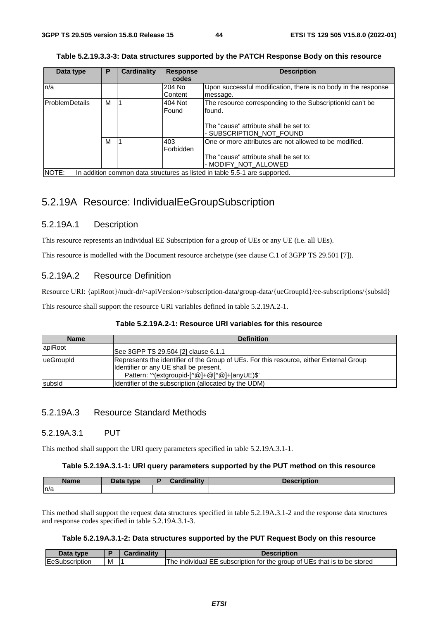| Data type      | P | <b>Cardinality</b> | <b>Response</b> | <b>Description</b>                                                         |
|----------------|---|--------------------|-----------------|----------------------------------------------------------------------------|
|                |   |                    | codes           |                                                                            |
| n/a            |   |                    | 204 No          | Upon successful modification, there is no body in the response             |
|                |   |                    | Content         | message.                                                                   |
| ProblemDetails | м |                    | 404 Not         | The resource corresponding to the SubscriptionId can't be                  |
|                |   |                    | Found           | found.                                                                     |
|                |   |                    |                 |                                                                            |
|                |   |                    |                 | The "cause" attribute shall be set to:                                     |
|                |   |                    |                 | - SUBSCRIPTION NOT FOUND                                                   |
|                | м |                    | 403             | One or more attributes are not allowed to be modified.                     |
|                |   |                    | Forbidden       |                                                                            |
|                |   |                    |                 | The "cause" attribute shall be set to:                                     |
|                |   |                    |                 | - MODIFY NOT ALLOWED                                                       |
| NOTE:          |   |                    |                 | In addition common data structures as listed in table 5.5-1 are supported. |

|  |  | Table 5.2.19.3.3-3: Data structures supported by the PATCH Response Body on this resource |  |  |
|--|--|-------------------------------------------------------------------------------------------|--|--|
|--|--|-------------------------------------------------------------------------------------------|--|--|

# 5.2.19A Resource: IndividualEeGroupSubscription

### 5.2.19A.1 Description

This resource represents an individual EE Subscription for a group of UEs or any UE (i.e. all UEs).

This resource is modelled with the Document resource archetype (see clause C.1 of 3GPP TS 29.501 [7]).

### 5.2.19A.2 Resource Definition

Resource URI: {apiRoot}/nudr-dr/<apiVersion>/subscription-data/group-data/{ueGroupId}/ee-subscriptions/{subsId}

This resource shall support the resource URI variables defined in table 5.2.19A.2-1.

### **Table 5.2.19A.2-1: Resource URI variables for this resource**

| <b>Name</b> | <b>Definition</b>                                                                                                                                                                 |
|-------------|-----------------------------------------------------------------------------------------------------------------------------------------------------------------------------------|
| lapiRoot    | See 3GPP TS 29.504 [2] clause 6.1.1                                                                                                                                               |
| lueGroupId  | Represents the identifier of the Group of UEs. For this resource, either External Group<br>Identifier or any UE shall be present.<br>Pattern: '^(extgroupid-[^@]+@[^@]+ anyUE)\$' |
| subsid      | Identifier of the subscription (allocated by the UDM)                                                                                                                             |

### 5.2.19A.3 Resource Standard Methods

### 5.2.19A.3.1 PUT

This method shall support the URI query parameters specified in table 5.2.19A.3.1-1.

### **Table 5.2.19A.3.1-1: URI query parameters supported by the PUT method on this resource**

| <b>Name</b> | type<br>Dala | <b>TEA</b> | ---<br>ווטוו<br><b>PESUTIP</b> |
|-------------|--------------|------------|--------------------------------|
| ln/a        |              |            |                                |

This method shall support the request data structures specified in table 5.2.19A.3.1-2 and the response data structures and response codes specified in table 5.2.19A.3.1-3.

### **Table 5.2.19A.3.1-2: Data structures supported by the PUT Request Body on this resource**

| Data<br>type         |   | `ord<br>.711111 | Description                                                                         |
|----------------------|---|-----------------|-------------------------------------------------------------------------------------|
| Subscription<br>lEe. | м |                 | F subscription for the group of UEs that is to be stored<br>1 he<br>individual<br>ᄠ |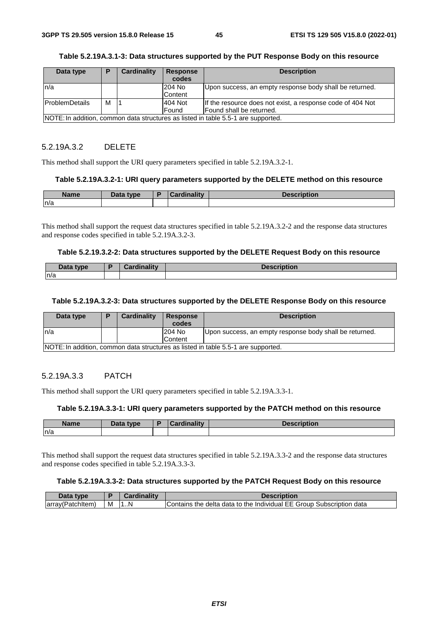| Data type             | D | <b>Cardinality</b> | <b>Response</b><br>codes | <b>Description</b>                                                                |
|-----------------------|---|--------------------|--------------------------|-----------------------------------------------------------------------------------|
| ln/a                  |   |                    | 204 No                   | Upon success, an empty response body shall be returned.                           |
|                       |   |                    | Content                  |                                                                                   |
| <b>ProblemDetails</b> | М |                    | 404 Not                  | If the resource does not exist, a response code of 404 Not                        |
|                       |   |                    | <b>IFound</b>            | Found shall be returned.                                                          |
|                       |   |                    |                          | NOTE: In addition, common data structures as listed in table 5.5-1 are supported. |

### **Table 5.2.19A.3.1-3: Data structures supported by the PUT Response Body on this resource**

### 5.2.19A.3.2 DELETE

This method shall support the URI query parameters specified in table 5.2.19A.3.2-1.

#### **Table 5.2.19A.3.2-1: URI query parameters supported by the DELETE method on this resource**

| <b>Name</b> | Data typel<br>Puw | Condination | Description |
|-------------|-------------------|-------------|-------------|
| n/a         |                   |             |             |

This method shall support the request data structures specified in table 5.2.19A.3.2-2 and the response data structures and response codes specified in table 5.2.19A.3.2-3.

#### **Table 5.2.19.3.2-2: Data structures supported by the DELETE Request Body on this resource**

| Data type | <b>Cardinality</b> | <b>Description</b> |
|-----------|--------------------|--------------------|
| n/a       |                    |                    |

#### **Table 5.2.19A.3.2-3: Data structures supported by the DELETE Response Body on this resource**

| Data type                                                                         |  | <b>Cardinality</b> | Response | <b>Description</b>                                      |  |  |
|-----------------------------------------------------------------------------------|--|--------------------|----------|---------------------------------------------------------|--|--|
|                                                                                   |  |                    | codes    |                                                         |  |  |
| In/a                                                                              |  |                    | 204 No   | Upon success, an empty response body shall be returned. |  |  |
|                                                                                   |  |                    | Content  |                                                         |  |  |
| NOTE: In addition, common data structures as listed in table 5.5-1 are supported. |  |                    |          |                                                         |  |  |

### 5.2.19A.3.3 PATCH

This method shall support the URI query parameters specified in table 5.2.19A.3.3-1.

#### **Table 5.2.19A.3.3-1: URI query parameters supported by the PATCH method on this resource**

| <b>Name</b> | <b>Data type</b><br>Dala | æ | inalitv<br>. .<br>---- | Description |
|-------------|--------------------------|---|------------------------|-------------|
| n/a         |                          |   |                        |             |

This method shall support the request data structures specified in table 5.2.19A.3.3-2 and the response data structures and response codes specified in table 5.2.19A.3.3-3.

#### **Table 5.2.19A.3.3-2: Data structures supported by the PATCH Request Body on this resource**

| Data<br>tvne.         |   |    | Description                                                                    |
|-----------------------|---|----|--------------------------------------------------------------------------------|
| larray(<br>'architemi | м | 7N | I Contains the delta data to the Individual EE Group<br>data<br>. Subscription |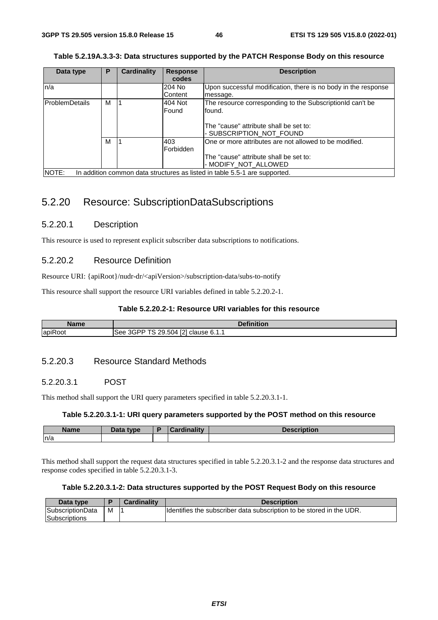| Data type      | P | <b>Cardinality</b> | <b>Response</b> | <b>Description</b>                                                         |
|----------------|---|--------------------|-----------------|----------------------------------------------------------------------------|
|                |   |                    | codes           |                                                                            |
| ln/a           |   |                    | 204 No          | Upon successful modification, there is no body in the response             |
|                |   |                    | Content         | message.                                                                   |
| ProblemDetails | М |                    | 404 Not         | The resource corresponding to the SubscriptionId can't be                  |
|                |   |                    | Found           | found.                                                                     |
|                |   |                    |                 |                                                                            |
|                |   |                    |                 | The "cause" attribute shall be set to:                                     |
|                |   |                    |                 | - SUBSCRIPTION_NOT_FOUND                                                   |
|                | М |                    | 403             | One or more attributes are not allowed to be modified.                     |
|                |   |                    | Forbidden       |                                                                            |
|                |   |                    |                 | The "cause" attribute shall be set to:                                     |
|                |   |                    |                 | - MODIFY NOT ALLOWED                                                       |
| NOTE:          |   |                    |                 | In addition common data structures as listed in table 5.5-1 are supported. |

# 5.2.20 Resource: SubscriptionDataSubscriptions

### 5.2.20.1 Description

This resource is used to represent explicit subscriber data subscriptions to notifications.

### 5.2.20.2 Resource Definition

Resource URI: {apiRoot}/nudr-dr/<apiVersion>/subscription-data/subs-to-notify

This resource shall support the resource URI variables defined in table 5.2.20.2-1.

### **Table 5.2.20.2-1: Resource URI variables for this resource**

| <b>Name</b> | <b>Definition</b>                      |
|-------------|----------------------------------------|
| apiRoot     | 3GPP TS 29.504 [2] clause 6.1.1<br>See |

## 5.2.20.3 Resource Standard Methods

### 5.2.20.3.1 POST

This method shall support the URI query parameters specified in table 5.2.20.3.1-1.

### **Table 5.2.20.3.1-1: URI query parameters supported by the POST method on this resource**

| Name | Data type<br>Dala | .<br><b>STATISTICS</b> | <b>COMMERCIAL CONTINUES</b><br>DESCRIPTION |
|------|-------------------|------------------------|--------------------------------------------|
| n/a  |                   |                        |                                            |

This method shall support the request data structures specified in table 5.2.20.3.1-2 and the response data structures and response codes specified in table 5.2.20.3.1-3.

### **Table 5.2.20.3.1-2: Data structures supported by the POST Request Body on this resource**

| Data type                         |   | <b>Cardinality</b> | <b>Description</b>                                                   |
|-----------------------------------|---|--------------------|----------------------------------------------------------------------|
| SubscriptionData<br>Subscriptions | M |                    | Identifies the subscriber data subscription to be stored in the UDR. |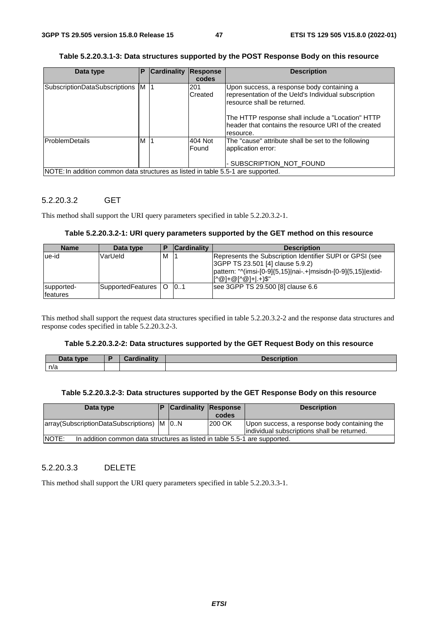**Table 5.2.20.3.1-3: Data structures supported by the POST Response Body on this resource** 

| Data type                                                                        | Р | <b>Cardinality</b> | Response<br>codes | <b>Description</b>                                                                                                                                                                                                                                          |
|----------------------------------------------------------------------------------|---|--------------------|-------------------|-------------------------------------------------------------------------------------------------------------------------------------------------------------------------------------------------------------------------------------------------------------|
| SubscriptionDataSubscriptions M  1                                               |   |                    | 201<br>Created    | Upon success, a response body containing a<br>representation of the Ueld's Individual subscription<br>resource shall be returned.<br>The HTTP response shall include a "Location" HTTP<br>header that contains the resource URI of the created<br>resource. |
| ProblemDetails                                                                   | м |                    | 404 Not<br>Found  | The "cause" attribute shall be set to the following<br>application error:<br>- SUBSCRIPTION NOT FOUND                                                                                                                                                       |
| NOTE: In addition common data structures as listed in table 5.5-1 are supported. |   |                    |                   |                                                                                                                                                                                                                                                             |

### 5.2.20.3.2 GET

This method shall support the URI query parameters specified in table 5.2.20.3.2-1.

#### **Table 5.2.20.3.2-1: URI query parameters supported by the GET method on this resource**

| <b>Name</b>            | Data type         |          | <b>Cardinality</b> | <b>Description</b>                                                                                                                                                                   |
|------------------------|-------------------|----------|--------------------|--------------------------------------------------------------------------------------------------------------------------------------------------------------------------------------|
| ue-id                  | VarUeld           | м        |                    | Represents the Subscription Identifier SUPI or GPSI (see<br>3GPP TS 23.501 [4] clause 5.9.2)<br>pattern: "^(imsi-[0-9]{5,15} nai-.+ msisdn-[0-9]{5,15} extid-<br> r^@1+@r^@1+I.+)\$" |
| supported-<br>features | SupportedFeatures | $\Omega$ | 101                | see 3GPP TS 29.500 [8] clause 6.6                                                                                                                                                    |

This method shall support the request data structures specified in table 5.2.20.3.2-2 and the response data structures and response codes specified in table 5.2.20.3.2-3.

### **Table 5.2.20.3.2-2: Data structures supported by the GET Request Body on this resource**

| <b>Pata type</b> | Cardinality | <b>Description</b> |
|------------------|-------------|--------------------|
| n/a              |             |                    |

### **Table 5.2.20.3.2-3: Data structures supported by the GET Response Body on this resource**

| Data type                                        |                                                                            | <b>Cardinality Response</b> | codes   | <b>Description</b>                                                                          |  |  |
|--------------------------------------------------|----------------------------------------------------------------------------|-----------------------------|---------|---------------------------------------------------------------------------------------------|--|--|
| array (Subscription Data Subscriptions)   M   0N |                                                                            |                             | 1200 OK | Upon success, a response body containing the<br>individual subscriptions shall be returned. |  |  |
| <b>NOTE:</b>                                     | In addition common data structures as listed in table 5.5-1 are supported. |                             |         |                                                                                             |  |  |

### 5.2.20.3.3 DELETE

This method shall support the URI query parameters specified in table 5.2.20.3.3-1.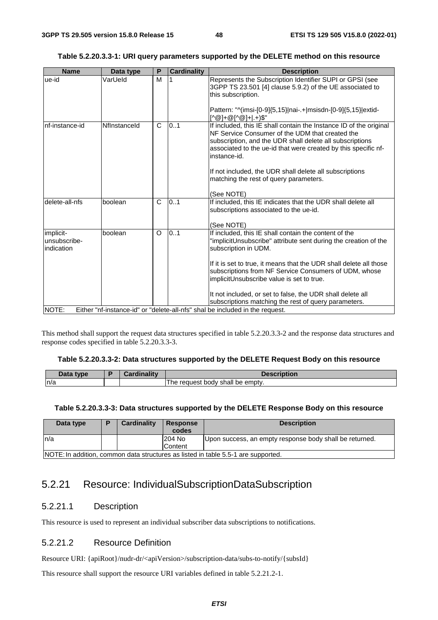| <b>Name</b> | Data type | P | <b>Cardinality</b> | <b>Description</b>                                                                                                                               |  |  |  |  |  |
|-------------|-----------|---|--------------------|--------------------------------------------------------------------------------------------------------------------------------------------------|--|--|--|--|--|
| ue-id       | VarUeld   | М |                    | Represents the Subscription Identifier SUPI or GPSI (see<br>3GPP TS 23.501 [4] clause 5.9.2) of the UE associated to<br><b>Hoja aubaarintian</b> |  |  |  |  |  |

|  |  |  | Table 5.2.20.3.3-1: URI query parameters supported by the DELETE method on this resource |  |
|--|--|--|------------------------------------------------------------------------------------------|--|
|--|--|--|------------------------------------------------------------------------------------------|--|

|                                         |              |              |     | $\sim$ . To 20.00 F T classe 0.0.2) or the OL associated to<br>this subscription.                                                                                                                                                                                   |
|-----------------------------------------|--------------|--------------|-----|---------------------------------------------------------------------------------------------------------------------------------------------------------------------------------------------------------------------------------------------------------------------|
|                                         |              |              |     | Pattern: "^(imsi-[0-9]{5,15} nai-.+ msisdn-[0-9]{5,15} extid-<br>[^@] <u>+@[^@]+ .+)\$"</u>                                                                                                                                                                         |
| nf-instance-id                          | Nflnstanceld | $\mathsf{C}$ | 0.1 | If included, this IE shall contain the Instance ID of the original<br>NF Service Consumer of the UDM that created the<br>subscription, and the UDR shall delete all subscriptions<br>associated to the ue-id that were created by this specific nf-<br>instance-id. |
|                                         |              |              |     | If not included, the UDR shall delete all subscriptions<br>matching the rest of query parameters.                                                                                                                                                                   |
|                                         |              |              |     | (See NOTE)                                                                                                                                                                                                                                                          |
| delete-all-nfs                          | boolean      | $\mathsf{C}$ | 0.1 | If included, this IE indicates that the UDR shall delete all<br>subscriptions associated to the ue-id.                                                                                                                                                              |
|                                         |              |              |     | (See NOTE)                                                                                                                                                                                                                                                          |
| implicit-<br>unsubscribe-<br>indication | boolean      | $\Omega$     | 0.1 | If included, this IE shall contain the content of the<br>"implicitUnsubscribe" attribute sent during the creation of the<br>subscription in UDM.                                                                                                                    |
|                                         |              |              |     | If it is set to true, it means that the UDR shall delete all those<br>subscriptions from NF Service Consumers of UDM, whose<br>implicitUnsubscribe value is set to true.                                                                                            |
|                                         |              |              |     | It not included, or set to false, the UDR shall delete all                                                                                                                                                                                                          |
|                                         |              |              |     | subscriptions matching the rest of query parameters.                                                                                                                                                                                                                |
| NOTE:                                   |              |              |     | Either "nf-instance-id" or "delete-all-nfs" shal be included in the request.                                                                                                                                                                                        |

This method shall support the request data structures specified in table 5.2.20.3.3-2 and the response data structures and response codes specified in table 5.2.20.3.3-3.

#### **Table 5.2.20.3.3-2: Data structures supported by the DELETE Request Body on this resource**

| <b>Example</b><br>Dala | <b>rdinality</b> |                                             |
|------------------------|------------------|---------------------------------------------|
| n/a                    |                  | emptv.<br>body shall<br>request<br>be<br>ne |

#### **Table 5.2.20.3.3-3: Data structures supported by the DELETE Response Body on this resource**

| Data type | Ð                                                                                 | <b>Cardinality</b> | <b>Response</b><br>codes | <b>Description</b>                                      |  |  |
|-----------|-----------------------------------------------------------------------------------|--------------------|--------------------------|---------------------------------------------------------|--|--|
| ln/a      |                                                                                   |                    | 204 No                   | Upon success, an empty response body shall be returned. |  |  |
|           |                                                                                   |                    | Content                  |                                                         |  |  |
|           | NOTE: In addition, common data structures as listed in table 5.5-1 are supported. |                    |                          |                                                         |  |  |

# 5.2.21 Resource: IndividualSubscriptionDataSubscription

### 5.2.21.1 Description

This resource is used to represent an individual subscriber data subscriptions to notifications.

### 5.2.21.2 Resource Definition

Resource URI: {apiRoot}/nudr-dr/<apiVersion>/subscription-data/subs-to-notify/{subsId}

This resource shall support the resource URI variables defined in table 5.2.21.2-1.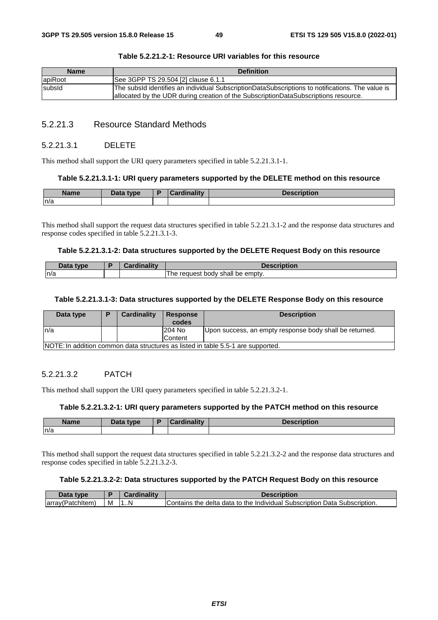| <b>Name</b> | <b>Definition</b>                                                                                                                                                                       |
|-------------|-----------------------------------------------------------------------------------------------------------------------------------------------------------------------------------------|
| apiRoot     | See 3GPP TS 29.504 [2] clause 6.1.1                                                                                                                                                     |
| subsId      | The subsId identifies an individual SubscriptionDataSubscriptions to notifications. The value is<br>allocated by the UDR during creation of the SubscriptionDataSubscriptions resource. |

#### **Table 5.2.21.2-1: Resource URI variables for this resource**

## 5.2.21.3 Resource Standard Methods

#### 5.2.21.3.1 DELETE

This method shall support the URI query parameters specified in table 5.2.21.3.1-1.

#### **Table 5.2.21.3.1-1: URI query parameters supported by the DELETE method on this resource**

| <b>Name</b> | Data type | -<br>œ | <b>Cardinality</b> | Description |
|-------------|-----------|--------|--------------------|-------------|
| ln/a        |           |        |                    |             |

This method shall support the request data structures specified in table 5.2.21.3.1-2 and the response data structures and response codes specified in table 5.2.21.3.1-3.

#### **Table 5.2.21.3.1-2: Data structures supported by the DELETE Request Body on this resource**

| Doto.<br>tvpe | <b>Cordinality</b><br>мш<br>571 O III | <b>Description</b>                                |
|---------------|---------------------------------------|---------------------------------------------------|
| n/a           |                                       | emptv.<br>: body shall<br>The.<br>reauest ؛<br>be |

#### **Table 5.2.21.3.1-3: Data structures supported by the DELETE Response Body on this resource**

| Data type | D | <b>Cardinality</b>                                                               | <b>Response</b><br>codes | <b>Description</b>                                      |  |  |  |
|-----------|---|----------------------------------------------------------------------------------|--------------------------|---------------------------------------------------------|--|--|--|
| ln/a      |   |                                                                                  | 204 No                   | Upon success, an empty response body shall be returned. |  |  |  |
|           |   |                                                                                  | Content                  |                                                         |  |  |  |
|           |   | NOTE: In addition common data structures as listed in table 5.5-1 are supported. |                          |                                                         |  |  |  |

### 5.2.21.3.2 PATCH

This method shall support the URI query parameters specified in table 5.2.21.3.2-1.

### **Table 5.2.21.3.2-1: URI query parameters supported by the PATCH method on this resource**

| <b>Name</b> | <b>Dota type</b> | ъ | ardinalitv: | <b>Description</b> |
|-------------|------------------|---|-------------|--------------------|
| n/a         |                  |   |             |                    |

This method shall support the request data structures specified in table 5.2.21.3.2-2 and the response data structures and response codes specified in table 5.2.21.3.2-3.

### **Table 5.2.21.3.2-2: Data structures supported by the PATCH Request Body on this resource**

| Data<br><b>VDE</b>           |   | .   | Description                                                                                     |
|------------------------------|---|-----|-------------------------------------------------------------------------------------------------|
| <b>array</b><br>hitem)<br>эн | м | . N | Data<br>Subscription.<br>Subscription<br>delta<br>Individual<br>Contains<br>⊧data to the<br>the |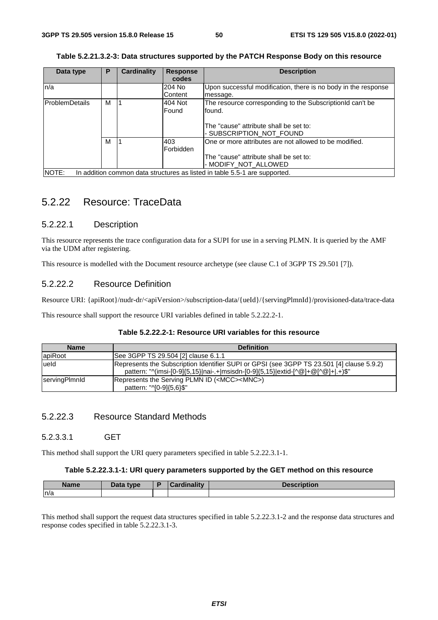| Data type             | P | <b>Cardinality</b> | <b>Response</b> | <b>Description</b>                                                         |
|-----------------------|---|--------------------|-----------------|----------------------------------------------------------------------------|
|                       |   |                    | codes           |                                                                            |
| n/a                   |   |                    | 204 No          | Upon successful modification, there is no body in the response             |
|                       |   |                    | Content         | message.                                                                   |
| <b>ProblemDetails</b> | м |                    | 404 Not         | The resource corresponding to the SubscriptionId can't be                  |
|                       |   |                    | Found           | found.                                                                     |
|                       |   |                    |                 |                                                                            |
|                       |   |                    |                 | The "cause" attribute shall be set to:                                     |
|                       |   |                    |                 | - SUBSCRIPTION NOT FOUND                                                   |
|                       | м |                    | 403             | One or more attributes are not allowed to be modified.                     |
|                       |   |                    | Forbidden       |                                                                            |
|                       |   |                    |                 | The "cause" attribute shall be set to:                                     |
|                       |   |                    |                 | - MODIFY NOT ALLOWED                                                       |
| NOTE:                 |   |                    |                 | In addition common data structures as listed in table 5.5-1 are supported. |

|  | Table 5.2.21.3.2-3: Data structures supported by the PATCH Response Body on this resource |
|--|-------------------------------------------------------------------------------------------|
|  |                                                                                           |

# 5.2.22 Resource: TraceData

### 5.2.22.1 Description

This resource represents the trace configuration data for a SUPI for use in a serving PLMN. It is queried by the AMF via the UDM after registering.

This resource is modelled with the Document resource archetype (see clause C.1 of 3GPP TS 29.501 [7]).

### 5.2.22.2 Resource Definition

Resource URI: {apiRoot}/nudr-dr/<apiVersion>/subscription-data/{ueId}/{servingPlmnId}/provisioned-data/trace-data

This resource shall support the resource URI variables defined in table 5.2.22.2-1.

| Table 5.2.22.2-1: Resource URI variables for this resource |  |  |
|------------------------------------------------------------|--|--|
|------------------------------------------------------------|--|--|

| <b>Name</b>          | <b>Definition</b>                                                                                                                                                            |
|----------------------|------------------------------------------------------------------------------------------------------------------------------------------------------------------------------|
| apiRoot              | ISee 3GPP TS 29.504 [2] clause 6.1.1                                                                                                                                         |
| lueld                | Represents the Subscription Identifier SUPI or GPSI (see 3GPP TS 23.501 [4] clause 5.9.2)<br>pattern: "^(imsi-[0-9]{5,15} nai-.+ msisdn-[0-9]{5,15} extid-[^@]+@[^@]+ .+)\$" |
| <b>servingPlmnld</b> | Represents the Serving PLMN ID ( <mcc><mnc>)<br/>pattern: "^[0-9]{5,6}\$"</mnc></mcc>                                                                                        |

## 5.2.22.3 Resource Standard Methods

### 5.2.3.3.1 GET

This method shall support the URI query parameters specified in table 5.2.22.3.1-1.

#### **Table 5.2.22.3.1-1: URI query parameters supported by the GET method on this resource**

| <b>Name</b> | Data type | `ordinolity | <b>Description</b> |
|-------------|-----------|-------------|--------------------|
| ln/a        |           |             |                    |

This method shall support the request data structures specified in table 5.2.22.3.1-2 and the response data structures and response codes specified in table 5.2.22.3.1-3.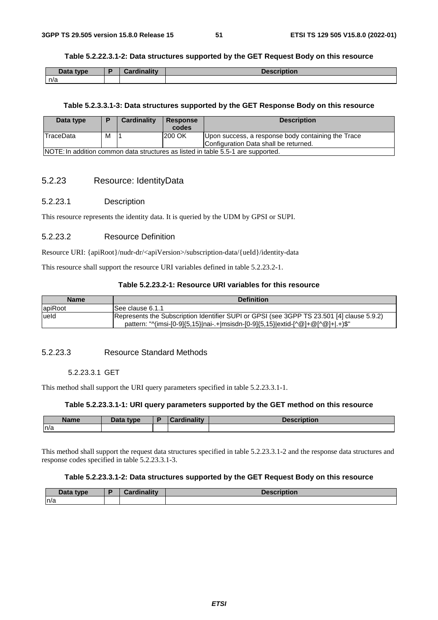#### **Table 5.2.22.3.1-2: Data structures supported by the GET Request Body on this resource**

| Data type | <b>Cardinality</b> | <b>Description</b> |
|-----------|--------------------|--------------------|
| n/a       |                    |                    |

#### **Table 5.2.3.3.1-3: Data structures supported by the GET Response Body on this resource**

| Data type                                                                        |   | Cardinality | <b>Response</b><br>codes | <b>Description</b>                                 |
|----------------------------------------------------------------------------------|---|-------------|--------------------------|----------------------------------------------------|
| TraceData                                                                        | м |             | 200 OK                   | Upon success, a response body containing the Trace |
|                                                                                  |   |             |                          | Configuration Data shall be returned.              |
| NOTE: In addition common data structures as listed in table 5.5-1 are supported. |   |             |                          |                                                    |

### 5.2.23 Resource: IdentityData

#### 5.2.23.1 Description

This resource represents the identity data. It is queried by the UDM by GPSI or SUPI.

### 5.2.23.2 Resource Definition

Resource URI: {apiRoot}/nudr-dr/<apiVersion>/subscription-data/{ueId}/identity-data

This resource shall support the resource URI variables defined in table 5.2.23.2-1.

### **Table 5.2.23.2-1: Resource URI variables for this resource**

| <b>Name</b> | <b>Definition</b>                                                                                                                                                            |
|-------------|------------------------------------------------------------------------------------------------------------------------------------------------------------------------------|
| apiRoot     | ISee clause 6.1.1                                                                                                                                                            |
| lueld       | Represents the Subscription Identifier SUPI or GPSI (see 3GPP TS 23.501 [4] clause 5.9.2)<br>pattern: "^(imsi-[0-9]{5,15} nai-.+ msisdn-[0-9]{5,15} extid-[^@]+@[^@]+ .+)\$" |

### 5.2.23.3 Resource Standard Methods

### 5.2.23.3.1 GET

This method shall support the URI query parameters specified in table 5.2.23.3.1-1.

#### **Table 5.2.23.3.1-1: URI query parameters supported by the GET method on this resource**

| <b>Name</b> | <b>Pata type</b><br>Dala | D | ardinality. | <b>Description</b> |
|-------------|--------------------------|---|-------------|--------------------|
| n/a         |                          |   |             |                    |

This method shall support the request data structures specified in table 5.2.23.3.1-2 and the response data structures and response codes specified in table 5.2.23.3.1-3.

#### **Table 5.2.23.3.1-2: Data structures supported by the GET Request Body on this resource**

| Data type | Cardinalitv | <b>Description</b> |
|-----------|-------------|--------------------|
| n/a       |             |                    |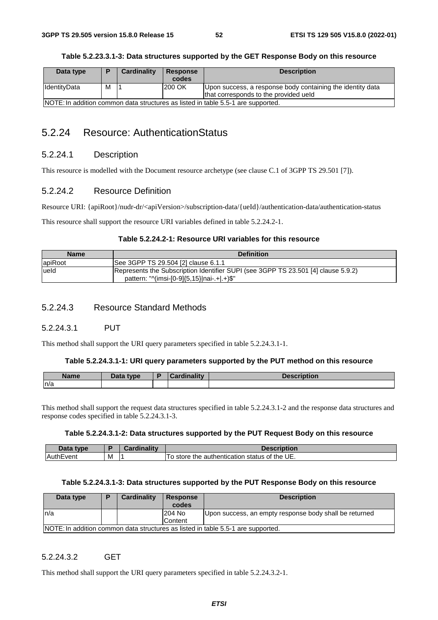| Data type                                                                        | D | Cardinality | <b>Response</b> | <b>Description</b>                                         |
|----------------------------------------------------------------------------------|---|-------------|-----------------|------------------------------------------------------------|
|                                                                                  |   |             | codes           |                                                            |
|                                                                                  |   |             |                 |                                                            |
| IdentityData                                                                     | М |             | 200 OK          | Upon success, a response body containing the identity data |
|                                                                                  |   |             |                 | that corresponds to the provided ueld                      |
| NOTE: In addition common data structures as listed in table 5.5-1 are supported. |   |             |                 |                                                            |

| Table 5.2.23.3.1-3: Data structures supported by the GET Response Body on this resource |
|-----------------------------------------------------------------------------------------|
|-----------------------------------------------------------------------------------------|

# 5.2.24 Resource: AuthenticationStatus

### 5.2.24.1 Description

This resource is modelled with the Document resource archetype (see clause C.1 of 3GPP TS 29.501 [7]).

### 5.2.24.2 Resource Definition

Resource URI: {apiRoot}/nudr-dr/<apiVersion>/subscription-data/{ueId}/authentication-data/authentication-status

This resource shall support the resource URI variables defined in table 5.2.24.2-1.

### **Table 5.2.24.2-1: Resource URI variables for this resource**

| <b>Name</b> | <b>Definition</b>                                                                                                                 |
|-------------|-----------------------------------------------------------------------------------------------------------------------------------|
| apiRoot     | See 3GPP TS 29.504 [2] clause 6.1.1                                                                                               |
| lueld       | Represents the Subscription Identifier SUPI (see 3GPP TS 23.501 [4] clause 5.9.2)<br>pattern: " $\frac{(m}{5.15})$  nai-.+ .+)\$" |

### 5.2.24.3 Resource Standard Methods

## 5.2.24.3.1 PUT

This method shall support the URI query parameters specified in table 5.2.24.3.1-1.

#### **Table 5.2.24.3.1-1: URI query parameters supported by the PUT method on this resource**

| Name | Data type | namo | <b>Description</b> |
|------|-----------|------|--------------------|
| n/a  |           |      |                    |

This method shall support the request data structures specified in table 5.2.24.3.1-2 and the response data structures and response codes specified in table 5.2.24.3.1-3.

#### **Table 5.2.24.3.1-2: Data structures supported by the PUT Request Body on this resource**

| Data<br>type. |   | inality<br>∷ard | <b>Description</b>                                               |
|---------------|---|-----------------|------------------------------------------------------------------|
| vent          | M |                 | f the UE.<br>To store<br>status<br>οt<br>the<br>e authentication |

#### **Table 5.2.24.3.1-3: Data structures supported by the PUT Response Body on this resource**

| Data type | <b>Cardinality</b> | Response<br>codes | <b>Description</b>                                                               |
|-----------|--------------------|-------------------|----------------------------------------------------------------------------------|
| ln/a      |                    | 204 No            | Upon success, an empty response body shall be returned                           |
|           |                    | Content           |                                                                                  |
|           |                    |                   | NOTE: In addition common data structures as listed in table 5.5-1 are supported. |

### 5.2.24.3.2 GET

This method shall support the URI query parameters specified in table 5.2.24.3.2-1.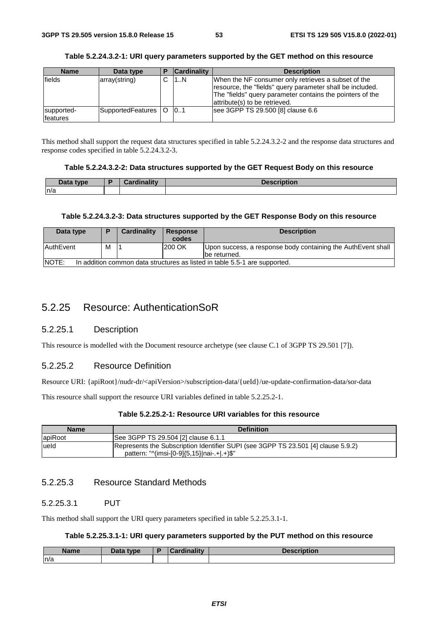| <b>Name</b>            | Data type             | <b>Cardinality</b> | <b>Description</b>                                                                                                                                                                                             |
|------------------------|-----------------------|--------------------|----------------------------------------------------------------------------------------------------------------------------------------------------------------------------------------------------------------|
| fields                 | array(string)         | 1N                 | When the NF consumer only retrieves a subset of the<br>resource, the "fields" query parameter shall be included.<br>The "fields" query parameter contains the pointers of the<br>attribute(s) to be retrieved. |
| supported-<br>features | SupportedFeatures   O | 0.1                | see 3GPP TS 29.500 [8] clause 6.6                                                                                                                                                                              |

### **Table 5.2.24.3.2-1: URI query parameters supported by the GET method on this resource**

This method shall support the request data structures specified in table 5.2.24.3.2-2 and the response data structures and response codes specified in table 5.2.24.3.2-3.

### **Table 5.2.24.3.2-2: Data structures supported by the GET Request Body on this resource**

| Data tvpe<br><b>Data</b> | Cordinality | <b>Desci</b><br>.<br><b>UNDUOIL</b> |
|--------------------------|-------------|-------------------------------------|
| n/a                      |             |                                     |

### **Table 5.2.24.3.2-3: Data structures supported by the GET Response Body on this resource**

| Data type                                                                            |   | Cardinality | <b>Response</b><br>codes | <b>Description</b>                                                            |
|--------------------------------------------------------------------------------------|---|-------------|--------------------------|-------------------------------------------------------------------------------|
| <b>AuthEvent</b>                                                                     | м |             | 200 OK                   | Upon success, a response body containing the AuthEvent shall<br>Ibe returned. |
| INOTE:<br>In addition common data structures as listed in table 5.5-1 are supported. |   |             |                          |                                                                               |

# 5.2.25 Resource: AuthenticationSoR

## 5.2.25.1 Description

This resource is modelled with the Document resource archetype (see clause C.1 of 3GPP TS 29.501 [7]).

# 5.2.25.2 Resource Definition

Resource URI: {apiRoot}/nudr-dr/<apiVersion>/subscription-data/{ueId}/ue-update-confirmation-data/sor-data

This resource shall support the resource URI variables defined in table 5.2.25.2-1.

### **Table 5.2.25.2-1: Resource URI variables for this resource**

| <b>Name</b> | <b>Definition</b>                                                                                                               |
|-------------|---------------------------------------------------------------------------------------------------------------------------------|
| apiRoot     | See 3GPP TS 29.504 [2] clause 6.1.1                                                                                             |
| lueld       | Represents the Subscription Identifier SUPI (see 3GPP TS 23.501 [4] clause 5.9.2)<br>pattern: "^(imsi-[0-9]{5,15} nai-.+ .+)\$" |

# 5.2.25.3 Resource Standard Methods

## 5.2.25.3.1 PUT

This method shall support the URI query parameters specified in table 5.2.25.3.1-1.

## **Table 5.2.25.3.1-1: URI query parameters supported by the PUT method on this resource**

| <b>Name</b> | <b>Data type</b><br><u>.</u> | $1 - 111$<br> | <b>Boonvintion</b><br>1011 |
|-------------|------------------------------|---------------|----------------------------|
| ln/a        |                              |               |                            |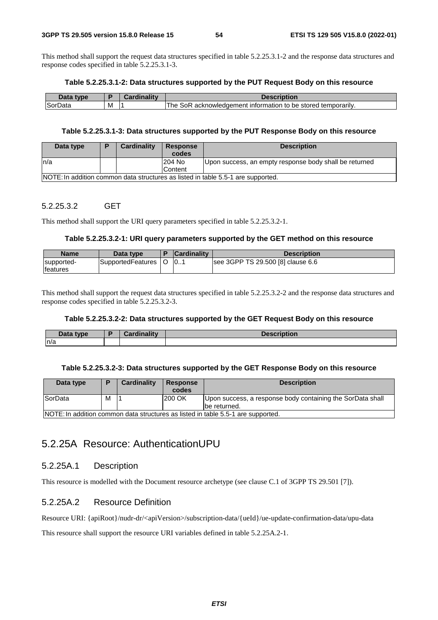This method shall support the request data structures specified in table 5.2.25.3.1-2 and the response data structures and response codes specified in table 5.2.25.3.1-3.

#### **Table 5.2.25.3.1-2: Data structures supported by the PUT Request Body on this resource**

| $-1-$<br>tvne        |   | منتقلته ومقالة | cription                                                                                  |
|----------------------|---|----------------|-------------------------------------------------------------------------------------------|
| <b>Sor</b> Γ<br>Data | M |                | Гhе<br><sup>1</sup> temporarily.<br>sok<br>∶ information to be stored∶<br>acknowledgement |

#### **Table 5.2.25.3.1-3: Data structures supported by the PUT Response Body on this resource**

| Data type                                                                        | Ð | Cardinality | <b>Response</b><br>codes | <b>Description</b>                                     |  |  |
|----------------------------------------------------------------------------------|---|-------------|--------------------------|--------------------------------------------------------|--|--|
| In/a                                                                             |   |             | 204 No                   | Upon success, an empty response body shall be returned |  |  |
|                                                                                  |   |             | Content                  |                                                        |  |  |
| NOTE: In addition common data structures as listed in table 5.5-1 are supported. |   |             |                          |                                                        |  |  |

### 5.2.25.3.2 GET

This method shall support the URI query parameters specified in table 5.2.25.3.2-1.

### **Table 5.2.25.3.2-1: URI query parameters supported by the GET method on this resource**

| <b>Name</b>                    | Data type         | <b>Cardinality</b> | <b>Description</b>                |
|--------------------------------|-------------------|--------------------|-----------------------------------|
| supported-<br><b>Ifeatures</b> | SupportedFeatures | 10                 | see 3GPP TS 29.500 [8] clause 6.6 |

This method shall support the request data structures specified in table 5.2.25.3.2-2 and the response data structures and response codes specified in table 5.2.25.3.2-3.

### **Table 5.2.25.3.2-2: Data structures supported by the GET Request Body on this resource**

| Data type | Cardinalitv | <b>Description</b> |
|-----------|-------------|--------------------|
| n/a       |             |                    |

#### **Table 5.2.25.3.2-3: Data structures supported by the GET Response Body on this resource**

| Data type                                                                        | D. | Cardinality | <b>Response</b><br>codes | <b>Description</b>                                                          |  |  |
|----------------------------------------------------------------------------------|----|-------------|--------------------------|-----------------------------------------------------------------------------|--|--|
| SorData                                                                          | М  |             | 200 OK                   | Upon success, a response body containing the SorData shall<br>Ibe returned. |  |  |
| NOTE: In addition common data structures as listed in table 5.5-1 are supported. |    |             |                          |                                                                             |  |  |

# 5.2.25A Resource: AuthenticationUPU

## 5.2.25A.1 Description

This resource is modelled with the Document resource archetype (see clause C.1 of 3GPP TS 29.501 [7]).

### 5.2.25A.2 Resource Definition

Resource URI: {apiRoot}/nudr-dr/<apiVersion>/subscription-data/{ueId}/ue-update-confirmation-data/upu-data

This resource shall support the resource URI variables defined in table 5.2.25A.2-1.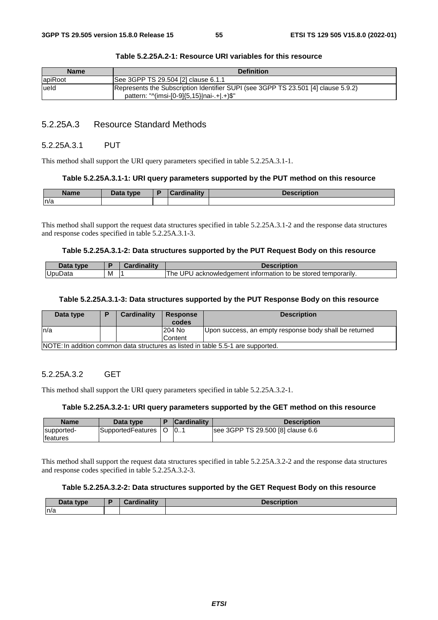| <b>Definition</b>                                                                                                               |
|---------------------------------------------------------------------------------------------------------------------------------|
| See 3GPP TS 29.504 [2] clause 6.1.1                                                                                             |
| Represents the Subscription Identifier SUPI (see 3GPP TS 23.501 [4] clause 5.9.2)<br>pattern: "^(imsi-[0-9]{5,15} nai-.+ .+)\$" |
|                                                                                                                                 |

#### **Table 5.2.25A.2-1: Resource URI variables for this resource**

### 5.2.25A.3 Resource Standard Methods

### 5.2.25A.3.1 PUT

This method shall support the URI query parameters specified in table 5.2.25A.3.1-1.

#### **Table 5.2.25A.3.1-1: URI query parameters supported by the PUT method on this resource**

| Name | Data type | inality<br><b>The Committee of State Committee</b><br>. | <b>Description</b> |
|------|-----------|---------------------------------------------------------|--------------------|
| ln/a |           |                                                         |                    |

This method shall support the request data structures specified in table 5.2.25A.3.1-2 and the response data structures and response codes specified in table 5.2.25A.3.1-3.

#### **Table 5.2.25A.3.1-2: Data structures supported by the PUT Request Body on this resource**

| <b>Dota</b><br>type |   | "<br>$\sim$ - $\sim$ 100 $\sim$ | Description                                                                                 |
|---------------------|---|---------------------------------|---------------------------------------------------------------------------------------------|
| <b>UpuData</b>      | M |                                 | UP!<br>stored temporarily.<br>i hel<br>. information to<br>acknowledgement<br><sub>be</sub> |

#### **Table 5.2.25A.3.1-3: Data structures supported by the PUT Response Body on this resource**

| Data type                                                                        | D | <b>Cardinality</b> | <b>Response</b><br>codes | <b>Description</b>                                     |  |  |
|----------------------------------------------------------------------------------|---|--------------------|--------------------------|--------------------------------------------------------|--|--|
| In/a                                                                             |   |                    | 204 No                   | Upon success, an empty response body shall be returned |  |  |
|                                                                                  |   |                    | Content                  |                                                        |  |  |
| NOTE: In addition common data structures as listed in table 5.5-1 are supported. |   |                    |                          |                                                        |  |  |

### 5.2.25A.3.2 GET

This method shall support the URI query parameters specified in table 5.2.25A.3.2-1.

### **Table 5.2.25A.3.2-1: URI query parameters supported by the GET method on this resource**

| <b>Name</b>                    | Data type         |   | <b>Cardinality</b> | <b>Description</b>                |
|--------------------------------|-------------------|---|--------------------|-----------------------------------|
| supported-<br><b>Ifeatures</b> | SupportedFeatures | O | 10                 | see 3GPP TS 29.500 [8] clause 6.6 |

This method shall support the request data structures specified in table 5.2.25A.3.2-2 and the response data structures and response codes specified in table 5.2.25A.3.2-3.

### **Table 5.2.25A.3.2-2: Data structures supported by the GET Request Body on this resource**

| Data<br>type<br>Dald | $C$ ardinality<br>Cardinality | <b>Description</b> |
|----------------------|-------------------------------|--------------------|
| n/a                  |                               |                    |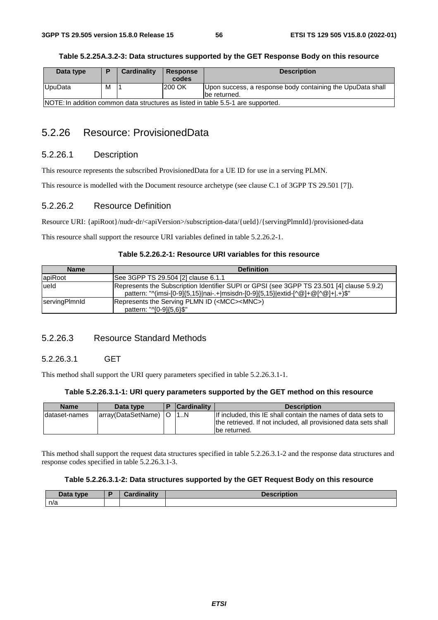| Data type                                                                        |   | <b>Cardinality</b> | Response | <b>Description</b>                                         |  |  |
|----------------------------------------------------------------------------------|---|--------------------|----------|------------------------------------------------------------|--|--|
|                                                                                  |   |                    | codes    |                                                            |  |  |
| UpuData                                                                          | М |                    | 200 OK   | Upon success, a response body containing the UpuData shall |  |  |
|                                                                                  |   |                    |          | lbe returned.                                              |  |  |
| NOTE: In addition common data structures as listed in table 5.5-1 are supported. |   |                    |          |                                                            |  |  |

# 5.2.26 Resource: ProvisionedData

### 5.2.26.1 Description

This resource represents the subscribed ProvisionedData for a UE ID for use in a serving PLMN.

This resource is modelled with the Document resource archetype (see clause C.1 of 3GPP TS 29.501 [7]).

### 5.2.26.2 Resource Definition

Resource URI: {apiRoot}/nudr-dr/<apiVersion>/subscription-data/{ueId}/{servingPlmnId}/provisioned-data

This resource shall support the resource URI variables defined in table 5.2.26.2-1.

| <b>Name</b>   | <b>Definition</b>                                                                                                                                                            |
|---------------|------------------------------------------------------------------------------------------------------------------------------------------------------------------------------|
| apiRoot       | See 3GPP TS 29.504 [2] clause 6.1.1                                                                                                                                          |
| lueld         | Represents the Subscription Identifier SUPI or GPSI (see 3GPP TS 23.501 [4] clause 5.9.2)<br>pattern: "^(imsi-[0-9]{5,15} nai-.+ msisdn-[0-9]{5,15} extid-[^@]+@[^@]+ .+)\$" |
| servingPlmnld | Represents the Serving PLMN ID ( <mcc><mnc>)<br/>pattern: "^[0-9]{5,6}\$"</mnc></mcc>                                                                                        |

### **Table 5.2.26.2-1: Resource URI variables for this resource**

## 5.2.26.3 Resource Standard Methods

### 5.2.26.3.1 GET

This method shall support the URI query parameters specified in table 5.2.26.3.1-1.

### **Table 5.2.26.3.1-1: URI query parameters supported by the GET method on this resource**

| <b>Name</b>    | Data type            | <b>Cardinality</b> | <b>Description</b>                                                                                                                               |
|----------------|----------------------|--------------------|--------------------------------------------------------------------------------------------------------------------------------------------------|
| Idataset-names | array(DataSetName) O | 11N                | If included, this IE shall contain the names of data sets to<br>the retrieved. If not included, all provisioned data sets shall<br>lbe returned. |

This method shall support the request data structures specified in table 5.2.26.3.1-2 and the response data structures and response codes specified in table 5.2.26.3.1-3.

### **Table 5.2.26.3.1-2: Data structures supported by the GET Request Body on this resource**

| Data type | <b>Cordinality</b><br>Garumantv | <b>Description</b> |
|-----------|---------------------------------|--------------------|
| n/a       |                                 |                    |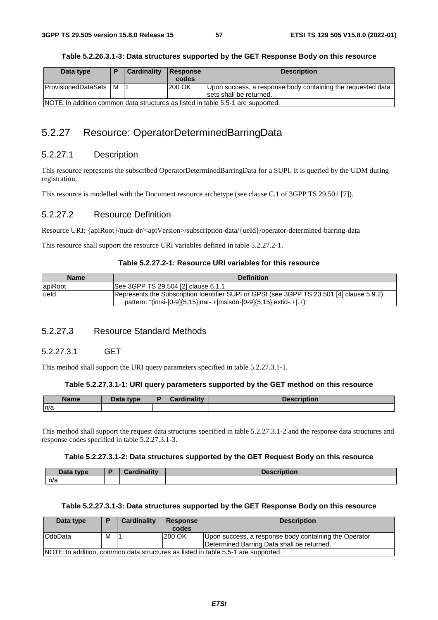| Data type                                                                        |  | Cardinality | <b>Response</b> | <b>Description</b>                                                                     |  |
|----------------------------------------------------------------------------------|--|-------------|-----------------|----------------------------------------------------------------------------------------|--|
|                                                                                  |  |             | codes           |                                                                                        |  |
| <b>ProvisionedDataSets   M</b>                                                   |  |             | 200 OK          | Upon success, a response body containing the requested data<br>sets shall be returned. |  |
| NOTE: In addition common data structures as listed in table 5.5-1 are supported. |  |             |                 |                                                                                        |  |

# 5.2.27 Resource: OperatorDeterminedBarringData

## 5.2.27.1 Description

This resource represents the subscribed OperatorDeterminedBarringData for a SUPI. It is queried by the UDM during registration.

This resource is modelled with the Document resource archetype (see clause C.1 of 3GPP TS 29.501 [7]).

### 5.2.27.2 Resource Definition

Resource URI: {apiRoot}/nudr-dr/<apiVersion>/subscription-data/{ueId}/operator-determined-barring-data

This resource shall support the resource URI variables defined in table 5.2.27.2-1.

### **Table 5.2.27.2-1: Resource URI variables for this resource**

| <b>Name</b> | <b>Definition</b>                                                                                                                                                |
|-------------|------------------------------------------------------------------------------------------------------------------------------------------------------------------|
| apiRoot     | See 3GPP TS 29.504 [2] clause 6.1.1                                                                                                                              |
| lueld       | Represents the Subscription Identifier SUPI or GPSI (see 3GPP TS 23.501 [4] clause 5.9.2)<br>pattern: "(imsi-[0-9]{5,15} nai-.+ msisdn-[0-9]{5,15} extid-.+ .+)" |

## 5.2.27.3 Resource Standard Methods

### 5.2.27.3.1 GET

This method shall support the URI query parameters specified in table 5.2.27.3.1-1.

#### **Table 5.2.27.3.1-1: URI query parameters supported by the GET method on this resource**

| <b>Name</b> | $\Box$ ata type | $-$ in oliteration<br><b>CONTRACTOR</b><br>™all⊾ | $\cdots$<br>Description |
|-------------|-----------------|--------------------------------------------------|-------------------------|
| n/a         |                 |                                                  |                         |

This method shall support the request data structures specified in table 5.2.27.3.1-2 and the response data structures and response codes specified in table 5.2.27.3.1-3.

### **Table 5.2.27.3.1-2: Data structures supported by the GET Request Body on this resource**

| Data type | <b>Cordinality</b><br>ww<br>анк | .<br>чин. |
|-----------|---------------------------------|-----------|
| n/a       |                                 |           |

### **Table 5.2.27.3.1-3: Data structures supported by the GET Response Body on this resource**

| Data type                                                                         | D | <b>Cardinality</b> | <b>Response</b> | <b>Description</b>                                    |  |
|-----------------------------------------------------------------------------------|---|--------------------|-----------------|-------------------------------------------------------|--|
|                                                                                   |   |                    | codes           |                                                       |  |
| OdbData                                                                           | м |                    | 200 OK          | Upon success, a response body containing the Operator |  |
|                                                                                   |   |                    |                 | Determined Barring Data shall be returned.            |  |
| NOTE: In addition, common data structures as listed in table 5.5-1 are supported. |   |                    |                 |                                                       |  |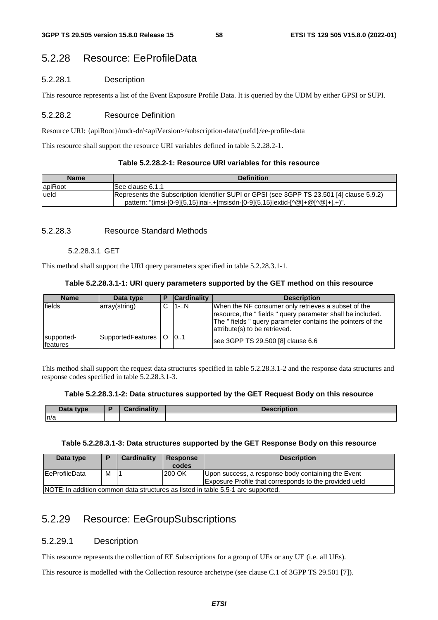# 5.2.28 Resource: EeProfileData

### 5.2.28.1 Description

This resource represents a list of the Event Exposure Profile Data. It is queried by the UDM by either GPSI or SUPI.

### 5.2.28.2 Resource Definition

Resource URI: {apiRoot}/nudr-dr/<apiVersion>/subscription-data/{ueId}/ee-profile-data

This resource shall support the resource URI variables defined in table 5.2.28.2-1.

|  | Table 5.2.28.2-1: Resource URI variables for this resource_ |
|--|-------------------------------------------------------------|
|--|-------------------------------------------------------------|

| <b>Name</b> | <b>Definition</b>                                                                                                                                                          |
|-------------|----------------------------------------------------------------------------------------------------------------------------------------------------------------------------|
| apiRoot     | ISee clause 6.1.1                                                                                                                                                          |
| lueld       | Represents the Subscription Identifier SUPI or GPSI (see 3GPP TS 23.501 [4] clause 5.9.2)<br>pattern: "(imsi-[0-9]{5,15} nai-.+ msisdn-[0-9]{5,15} extid-[^@]+@[^@]+ .+)". |

### 5.2.28.3 Resource Standard Methods

### 5.2.28.3.1 GET

This method shall support the URI query parameters specified in table 5.2.28.3.1-1.

### **Table 5.2.28.3.1-1: URI query parameters supported by the GET method on this resource**

| <b>Name</b>            | Data type         |          | <b>Cardinality</b> | <b>Description</b>                                                                                                                                                                                               |
|------------------------|-------------------|----------|--------------------|------------------------------------------------------------------------------------------------------------------------------------------------------------------------------------------------------------------|
| lfields                | array(string)     |          | $1-.N$             | When the NF consumer only retrieves a subset of the<br>resource, the "fields" query parameter shall be included.<br>The " fields " query parameter contains the pointers of the<br>attribute(s) to be retrieved. |
| supported-<br>features | SupportedFeatures | $\Omega$ | 101                | see 3GPP TS 29.500 [8] clause 6.6                                                                                                                                                                                |

This method shall support the request data structures specified in table 5.2.28.3.1-2 and the response data structures and response codes specified in table 5.2.28.3.1-3.

#### **Table 5.2.28.3.1-2: Data structures supported by the GET Request Body on this resource**

| Data type | Cardinalitv | <b>Description</b> |
|-----------|-------------|--------------------|
| n/a       |             |                    |

#### **Table 5.2.28.3.1-3: Data structures supported by the GET Response Body on this resource**

| Data type             |   | Cardinality | <b>Response</b><br>codes | <b>Description</b>                                                                                           |
|-----------------------|---|-------------|--------------------------|--------------------------------------------------------------------------------------------------------------|
| <b>IEeProfileData</b> | М |             | 200 OK                   | Upon success, a response body containing the Event<br>Exposure Profile that corresponds to the provided ueld |
|                       |   |             |                          | INOTE: In addition common data structures as listed in table 5.5-1 are supported.                            |

NOTE: In addition common data structures as listed in table 5.5-1 are supported.

# 5.2.29 Resource: EeGroupSubscriptions

### 5.2.29.1 Description

This resource represents the collection of EE Subscriptions for a group of UEs or any UE (i.e. all UEs).

This resource is modelled with the Collection resource archetype (see clause C.1 of 3GPP TS 29.501 [7]).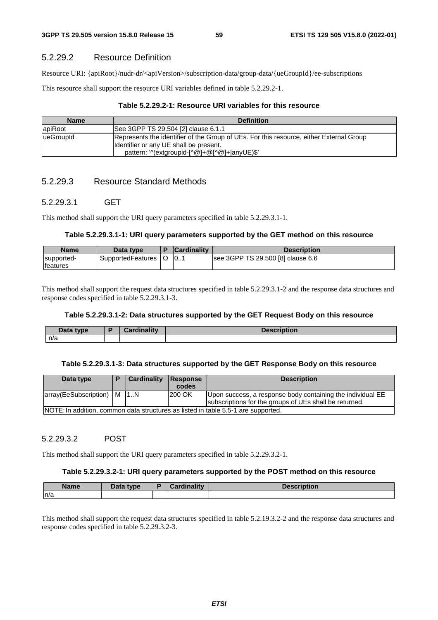### 5.2.29.2 Resource Definition

Resource URI: {apiRoot}/nudr-dr/<apiVersion>/subscription-data/group-data/{ueGroupId}/ee-subscriptions

This resource shall support the resource URI variables defined in table 5.2.29.2-1.

### **Table 5.2.29.2-1: Resource URI variables for this resource**

| <b>Name</b> | <b>Definition</b>                                                                                                                                                                  |
|-------------|------------------------------------------------------------------------------------------------------------------------------------------------------------------------------------|
| lapiRoot    | See 3GPP TS 29.504 [2] clause 6.1.1                                                                                                                                                |
| lueGroupId  | Represents the identifier of the Group of UEs. For this resource, either External Group<br>Ildentifier or any UE shall be present.<br>pattern: '^(extgroupid-[^@]+@[^@]+ anyUE)\$' |

## 5.2.29.3 Resource Standard Methods

### 5.2.29.3.1 GET

This method shall support the URI query parameters specified in table 5.2.29.3.1-1.

#### **Table 5.2.29.3.1-1: URI query parameters supported by the GET method on this resource**

| <b>Name</b>                    | Data tvpe         | <b>Cardinality</b> | Description                       |
|--------------------------------|-------------------|--------------------|-----------------------------------|
| supported-<br><b>Ifeatures</b> | SupportedFeatures | 10                 | see 3GPP TS 29.500 [8] clause 6.6 |

This method shall support the request data structures specified in table 5.2.29.3.1-2 and the response data structures and response codes specified in table 5.2.29.3.1-3.

### **Table 5.2.29.3.1-2: Data structures supported by the GET Request Body on this resource**

| Data<br>tvpe | .<br><br><b><i>Considered in the state of the state of the state of the state of the state of the state of the state of the state of the state of the state of the state of the state of the state of the state of the state of the state o</i></b><br>$\sim$ | .<br><b><i><u>P. R. R. P. R. P. LEWIS CO., LANSING, MICH.</u></i></b> |
|--------------|---------------------------------------------------------------------------------------------------------------------------------------------------------------------------------------------------------------------------------------------------------------|-----------------------------------------------------------------------|
| n/a          |                                                                                                                                                                                                                                                               |                                                                       |

#### **Table 5.2.29.3.1-3: Data structures supported by the GET Response Body on this resource**

| Data type                      | Cardinality | Response<br>codes | <b>Description</b>                                                                                                   |
|--------------------------------|-------------|-------------------|----------------------------------------------------------------------------------------------------------------------|
| array(EeSubscription)   M   1N |             | 200 OK            | Upon success, a response body containing the individual EE<br>subscriptions for the groups of UEs shall be returned. |
|                                |             |                   | NOTE: In addition, common data structures as listed in table 5.5-1 are supported.                                    |

### 5.2.29.3.2 POST

This method shall support the URI query parameters specified in table 5.2.29.3.2-1.

#### **Table 5.2.29.3.2-1: URI query parameters supported by the POST method on this resource**

| <b>Name</b> | Data type | D | <b>Ninality</b><br>.ard | Description |
|-------------|-----------|---|-------------------------|-------------|
| ∣n/a        |           |   |                         |             |

This method shall support the request data structures specified in table 5.2.19.3.2-2 and the response data structures and response codes specified in table 5.2.29.3.2-3.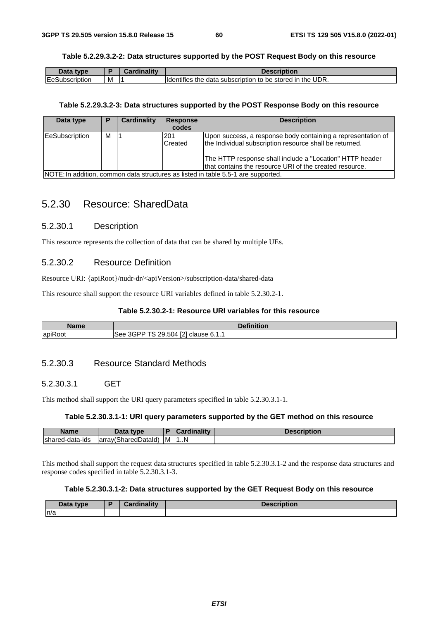### **Table 5.2.29.3.2-2: Data structures supported by the POST Request Body on this resource**

| nata.<br><b>t</b> vne       |   | imalliv | ription                                                                       |
|-----------------------------|---|---------|-------------------------------------------------------------------------------|
| <b>IEeS</b><br>⊰ubscription | M |         | .<br>UDR.<br>odata subscription to be stored in the unit<br>Hdentifies<br>the |

#### **Table 5.2.29.3.2-3: Data structures supported by the POST Response Body on this resource**

| Data type             | Р | Cardinality | <b>Response</b><br>codes | <b>Description</b>                                                                                                                                                                                                                             |
|-----------------------|---|-------------|--------------------------|------------------------------------------------------------------------------------------------------------------------------------------------------------------------------------------------------------------------------------------------|
| <b>EeSubscription</b> | м |             | 201<br>Created           | Upon success, a response body containing a representation of<br>the Individual subscription resource shall be returned.<br>The HTTP response shall include a "Location" HTTP header<br>that contains the resource URI of the created resource. |
|                       |   |             |                          | NOTE: In addition, common data structures as listed in table 5.5-1 are supported.                                                                                                                                                              |

# 5.2.30 Resource: SharedData

### 5.2.30.1 Description

This resource represents the collection of data that can be shared by multiple UEs.

### 5.2.30.2 Resource Definition

Resource URI: {apiRoot}/nudr-dr/<apiVersion>/subscription-data/shared-data

This resource shall support the resource URI variables defined in table 5.2.30.2-1.

## **Table 5.2.30.2-1: Resource URI variables for this resource**

| <b>Name</b>                                | <b>Dofinition</b><br>THUOIL                                                                    |
|--------------------------------------------|------------------------------------------------------------------------------------------------|
| $\overline{\phantom{a}}$<br><b>apiRoot</b> | <b>Feb</b> <sup>1</sup><br>$\triangle$ PD $=$<br>.504<br>See.<br>clause<br><b>U.I.I</b><br>. . |

## 5.2.30.3 Resource Standard Methods

### 5.2.30.3.1 GET

This method shall support the URI query parameters specified in table 5.2.30.3.1-1.

### **Table 5.2.30.3.1-1: URI query parameters supported by the GET method on this resource**

| <b>Name</b>                  | nata<br>tvne<br>Dala                                                  |   |    | scription |
|------------------------------|-----------------------------------------------------------------------|---|----|-----------|
| <b>Isharec</b><br>d-data-ids | $\mathbf{r}$<br>⊾∩י<br>$-12$<br>larrav(\<br>. )at⊆<br>ົາren …<br>המר. | M | 1N |           |

This method shall support the request data structures specified in table 5.2.30.3.1-2 and the response data structures and response codes specified in table 5.2.30.3.1-3.

### **Table 5.2.30.3.1-2: Data structures supported by the GET Request Body on this resource**

| Data tvpe<br>Dala | والمقالم وبالمساء<br>παπιν | <b>Description</b> |
|-------------------|----------------------------|--------------------|
| ln/a              |                            |                    |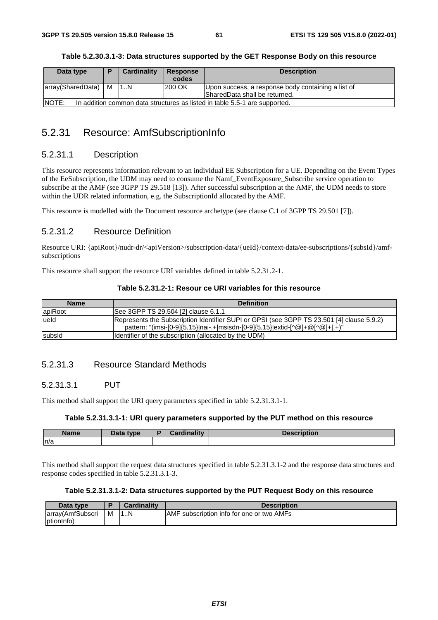| Table 5.2.30.3.1-3: Data structures supported by the GET Response Body on this resource |  |
|-----------------------------------------------------------------------------------------|--|
|-----------------------------------------------------------------------------------------|--|

| Data type                                                                                  | m | Cardinality | <b>Response</b> | <b>Description</b>                                 |  |
|--------------------------------------------------------------------------------------------|---|-------------|-----------------|----------------------------------------------------|--|
|                                                                                            |   |             | codes           |                                                    |  |
| array(SharedData)   M                                                                      |   | 1N          | 200 OK          | Upon success, a response body containing a list of |  |
|                                                                                            |   |             |                 | SharedData shall be returned.                      |  |
| <b>NOTE:</b><br>In addition common data structures as listed in table 5.5-1 are supported. |   |             |                 |                                                    |  |

# 5.2.31 Resource: AmfSubscriptionInfo

# 5.2.31.1 Description

This resource represents information relevant to an individual EE Subscription for a UE. Depending on the Event Types of the EeSubscription, the UDM may need to consume the Namf\_EventExposure\_Subscribe service operation to subscribe at the AMF (see 3GPP TS 29.518 [13]). After successful subscription at the AMF, the UDM needs to store within the UDR related information, e.g. the SubscriptionId allocated by the AMF.

This resource is modelled with the Document resource archetype (see clause C.1 of 3GPP TS 29.501 [7]).

### 5.2.31.2 Resource Definition

Resource URI: {apiRoot}/nudr-dr/<apiVersion>/subscription-data/{ueId}/context-data/ee-subscriptions/{subsId}/amfsubscriptions

This resource shall support the resource URI variables defined in table 5.2.31.2-1.

|  | Table 5.2.31.2-1: Resour ce URI variables for this resource |
|--|-------------------------------------------------------------|
|--|-------------------------------------------------------------|

| <b>Name</b> | <b>Definition</b>                                                                                                                                                         |
|-------------|---------------------------------------------------------------------------------------------------------------------------------------------------------------------------|
| apiRoot     | See 3GPP TS 29.504 [2] clause 6.1.1                                                                                                                                       |
| ueld        | Represents the Subscription Identifier SUPI or GPSI (see 3GPP TS 23.501 [4] clause 5.9.2)<br>pattern: "(imsi-[0-9]{5,15}]nai-.+ msisdn-[0-9]{5,15}]extid-[^@]+@[^@]+ .+)" |
| subsid      | Identifier of the subscription (allocated by the UDM)                                                                                                                     |

### 5.2.31.3 Resource Standard Methods

### 5.2.31.3.1 PUT

This method shall support the URI query parameters specified in table 5.2.31.3.1-1.

### **Table 5.2.31.3.1-1: URI query parameters supported by the PUT method on this resource**

| <b>Name</b> | Data type<br>Dala | <b>The College of College</b> | <b>Contract Contract Contract</b><br>AC<br><b>Description</b> |
|-------------|-------------------|-------------------------------|---------------------------------------------------------------|
| n/a         |                   |                               |                                                               |

This method shall support the request data structures specified in table 5.2.31.3.1-2 and the response data structures and response codes specified in table 5.2.31.3.1-3.

### **Table 5.2.31.3.1-2: Data structures supported by the PUT Request Body on this resource**

| Data type        |   | <b>Cardinality</b> | <b>Description</b>                        |
|------------------|---|--------------------|-------------------------------------------|
| array(AmfSubscri | м | 1N                 | AMF subscription info for one or two AMFs |
| ptionInfo)       |   |                    |                                           |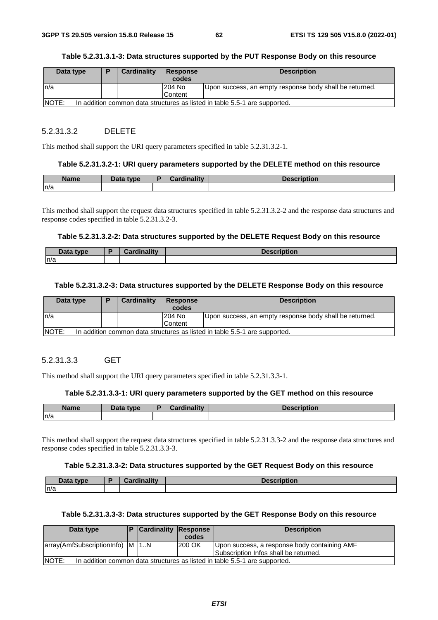#### **Table 5.2.31.3.1-3: Data structures supported by the PUT Response Body on this resource**

| Data type                                                                            | D | <b>Cardinality</b> | Response | <b>Description</b>                                      |  |
|--------------------------------------------------------------------------------------|---|--------------------|----------|---------------------------------------------------------|--|
|                                                                                      |   |                    | codes    |                                                         |  |
| In/a                                                                                 |   |                    | 204 No   | Upon success, an empty response body shall be returned. |  |
|                                                                                      |   |                    | Content  |                                                         |  |
| INOTE:<br>In addition common data structures as listed in table 5.5-1 are supported. |   |                    |          |                                                         |  |

#### 5.2.31.3.2 DELETE

This method shall support the URI query parameters specified in table 5.2.31.3.2-1.

#### **Table 5.2.31.3.2-1: URI query parameters supported by the DELETE method on this resource**

| <b>Name</b> | Data type | Cardinalitv | Description |
|-------------|-----------|-------------|-------------|
| n/a         |           |             |             |

This method shall support the request data structures specified in table 5.2.31.3.2-2 and the response data structures and response codes specified in table 5.2.31.3.2-3.

#### **Table 5.2.31.3.2-2: Data structures supported by the DELETE Request Body on this resource**

| Data type | <b>Cardinality</b> | <b>Description</b> |
|-----------|--------------------|--------------------|
| n/a       |                    |                    |

#### **Table 5.2.31.3.2-3: Data structures supported by the DELETE Response Body on this resource**

| Data type                                                                                  |  | <b>Cardinality</b> | Response<br>codes        | <b>Description</b>                                      |  |
|--------------------------------------------------------------------------------------------|--|--------------------|--------------------------|---------------------------------------------------------|--|
| In/a                                                                                       |  |                    | <b>204 No</b><br>Content | Upon success, an empty response body shall be returned. |  |
| <b>NOTE:</b><br>In addition common data structures as listed in table 5.5-1 are supported. |  |                    |                          |                                                         |  |

### 5.2.31.3.3 GET

This method shall support the URI query parameters specified in table 5.2.31.3.3-1.

### **Table 5.2.31.3.3-1: URI query parameters supported by the GET method on this resource**

| <b>Name</b> | Data type | ardinalitv: | Description |
|-------------|-----------|-------------|-------------|
| n/a         |           |             |             |

This method shall support the request data structures specified in table 5.2.31.3.3-2 and the response data structures and response codes specified in table 5.2.31.3.3-3.

#### **Table 5.2.31.3.3-2: Data structures supported by the GET Request Body on this resource**

| Data type | <b>Cardinality</b> | <b>Description</b> |
|-----------|--------------------|--------------------|
| n/a       |                    |                    |

### **Table 5.2.31.3.3-3: Data structures supported by the GET Response Body on this resource**

| Data type                                                                           |  | <b>Cardinality Response</b> |        | <b>Description</b>                                                                    |  |
|-------------------------------------------------------------------------------------|--|-----------------------------|--------|---------------------------------------------------------------------------------------|--|
|                                                                                     |  |                             | codes  |                                                                                       |  |
| array(AmfSubscriptionInfo) M 1.N                                                    |  |                             | 200 OK | Upon success, a response body containing AMF<br>Subscription Infos shall be returned. |  |
| NOTE:<br>In addition common data structures as listed in table 5.5-1 are supported. |  |                             |        |                                                                                       |  |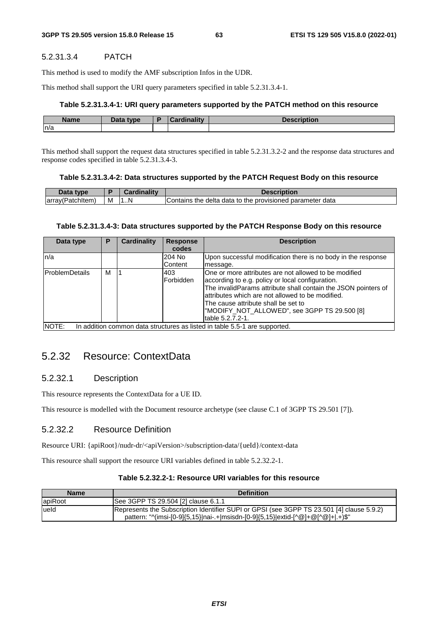### 5.2.31.3.4 PATCH

This method is used to modify the AMF subscription Infos in the UDR.

This method shall support the URI query parameters specified in table 5.2.31.3.4-1.

#### **Table 5.2.31.3.4-1: URI query parameters supported by the PATCH method on this resource**

| <b>Name</b> | <b>Data type</b><br><i><u>Jala</u></i> | boudinolity | $-$<br>чоп |
|-------------|----------------------------------------|-------------|------------|
| n/a         |                                        |             |            |

This method shall support the request data structures specified in table 5.2.31.3.2-2 and the response data structures and response codes specified in table 5.2.31.3.4-3.

#### **Table 5.2.31.3.4-2: Data structures supported by the PATCH Request Body on this resource**

| Data type         |   | <i>Cardinality</i> | Description                                               |
|-------------------|---|--------------------|-----------------------------------------------------------|
| (array(Patchitem) | M | N<br>.             | Contains the delta data to the provisioned parameter data |

#### **Table 5.2.31.3.4-3: Data structures supported by the PATCH Response Body on this resource**

| Data type                                                                           | P | <b>Cardinality</b> | <b>Response</b> | <b>Description</b>                                             |
|-------------------------------------------------------------------------------------|---|--------------------|-----------------|----------------------------------------------------------------|
|                                                                                     |   |                    | codes           |                                                                |
| ln/a                                                                                |   |                    | 204 No          | Upon successful modification there is no body in the response  |
|                                                                                     |   |                    | <b>Content</b>  | message.                                                       |
| ProblemDetails                                                                      | м |                    | 403             | One or more attributes are not allowed to be modified          |
|                                                                                     |   |                    | lForbidden      | according to e.g. policy or local configuration.               |
|                                                                                     |   |                    |                 | The invalidParams attribute shall contain the JSON pointers of |
|                                                                                     |   |                    |                 | attributes which are not allowed to be modified.               |
|                                                                                     |   |                    |                 | The cause attribute shall be set to                            |
|                                                                                     |   |                    |                 | "MODIFY NOT ALLOWED", see 3GPP TS 29.500 [8]                   |
|                                                                                     |   |                    |                 | table 5.2.7.2-1.                                               |
| NOTE:<br>In addition common data structures as listed in table 5.5-1 are supported. |   |                    |                 |                                                                |

## 5.2.32 Resource: ContextData

### 5.2.32.1 Description

This resource represents the ContextData for a UE ID.

This resource is modelled with the Document resource archetype (see clause C.1 of 3GPP TS 29.501 [7]).

### 5.2.32.2 Resource Definition

Resource URI: {apiRoot}/nudr-dr/<apiVersion>/subscription-data/{ueId}/context-data

This resource shall support the resource URI variables defined in table 5.2.32.2-1.

### **Table 5.2.32.2-1: Resource URI variables for this resource**

| <b>Name</b> | <b>Definition</b>                                                                                                                                                                                              |
|-------------|----------------------------------------------------------------------------------------------------------------------------------------------------------------------------------------------------------------|
| apiRoot     | See 3GPP TS 29.504 [2] clause 6.1.1                                                                                                                                                                            |
| lueld       | Represents the Subscription Identifier SUPI or GPSI (see 3GPP TS 23.501 [4] clause 5.9.2)<br>pattern: " $\gamma$ (imsi-[0-9]{5,15} nai-.+ msisdn-[0-9]{5,15} extid-[ $\alpha$ ]+ $\omega$ [ $\alpha$ ]+ .+)\$" |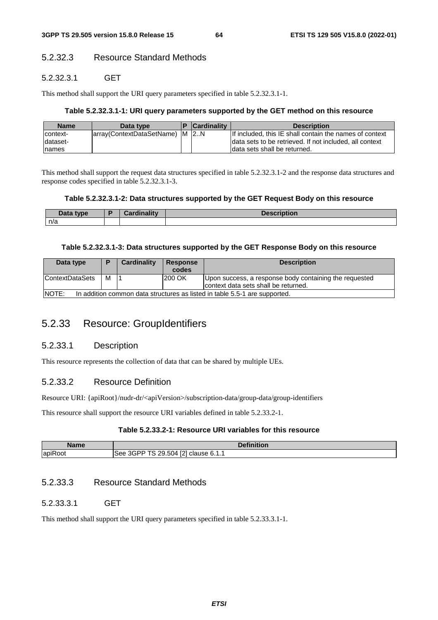## 5.2.32.3 Resource Standard Methods

### 5.2.32.3.1 GET

This method shall support the URI query parameters specified in table 5.2.32.3.1-1.

### **Table 5.2.32.3.1-1: URI query parameters supported by the GET method on this resource**

| <b>Name</b> | Data type                      | <b>Cardinality</b> | <b>Description</b>                                      |
|-------------|--------------------------------|--------------------|---------------------------------------------------------|
| context-    | array(ContextDataSetName) M 2N |                    | If included, this IE shall contain the names of context |
| Idataset-   |                                |                    | data sets to be retrieved. If not included, all context |
| names       |                                |                    | Idata sets shall be returned.                           |

This method shall support the request data structures specified in table 5.2.32.3.1-2 and the response data structures and response codes specified in table 5.2.32.3.1-3.

### **Table 5.2.32.3.1-2: Data structures supported by the GET Request Body on this resource**

| Data tvpe<br>- Dalu | <b>Cordinality</b> | Dooorintion<br>unuun |
|---------------------|--------------------|----------------------|
| n/a                 |                    |                      |

### **Table 5.2.32.3.1-3: Data structures supported by the GET Response Body on this resource**

| Data type                                                                            |   | <b>Cardinality</b> | <b>Response</b> | <b>Description</b>                                     |
|--------------------------------------------------------------------------------------|---|--------------------|-----------------|--------------------------------------------------------|
|                                                                                      |   |                    | codes           |                                                        |
| <b>ContextDataSets</b>                                                               | м |                    | 200 OK          | Upon success, a response body containing the requested |
|                                                                                      |   |                    |                 | context data sets shall be returned.                   |
| INOTE:<br>In addition common data structures as listed in table 5.5-1 are supported. |   |                    |                 |                                                        |

# 5.2.33 Resource: GroupIdentifiers

### 5.2.33.1 Description

This resource represents the collection of data that can be shared by multiple UEs.

## 5.2.33.2 Resource Definition

Resource URI: {apiRoot}/nudr-dr/<apiVersion>/subscription-data/group-data/group-identifiers

This resource shall support the resource URI variables defined in table 5.2.33.2-1.

### **Table 5.2.33.2-1: Resource URI variables for this resource**

| Name          | <b>Definition</b>                                                                                     |
|---------------|-------------------------------------------------------------------------------------------------------|
| lapiR<br>Root | <b>FO1</b><br>$\triangle$ GPP TS $\triangle$<br>29<br>∠9.504 '<br>See<br>clause<br><b>0.I.I</b><br>14 |

# 5.2.33.3 Resource Standard Methods

### 5.2.33.3.1 GET

This method shall support the URI query parameters specified in table 5.2.33.3.1-1.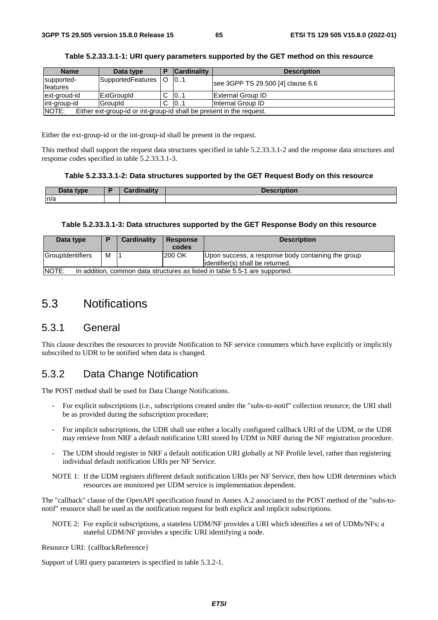| <b>Name</b>            | Data type                                                            |  | <b>Cardinality</b> | <b>Description</b>                |
|------------------------|----------------------------------------------------------------------|--|--------------------|-----------------------------------|
| supported-<br>features | SupportedFeatures   O                                                |  | 101                | see 3GPP TS 29.500 [4] clause 6.6 |
| ext-groud-id           | <b>ExtGroupId</b>                                                    |  | 101                | <b>External Group ID</b>          |
| int-group-id           | GroupId                                                              |  | 101                | Internal Group ID                 |
| <b>NOTE:</b>           | Either ext-group-id or int-group-id shall be present in the request. |  |                    |                                   |

|  |  |  | Table 5.2.33.3.1-1: URI query parameters supported by the GET method on this resource |
|--|--|--|---------------------------------------------------------------------------------------|
|--|--|--|---------------------------------------------------------------------------------------|

Either the ext-group-id or the int-group-id shall be present in the request.

This method shall support the request data structures specified in table 5.2.33.3.1-2 and the response data structures and response codes specified in table 5.2.33.3.1-3.

#### **Table 5.2.33.3.1-2: Data structures supported by the GET Request Body on this resource**

| <b>Data</b><br>type. | Cardinalitv | Description |
|----------------------|-------------|-------------|
| n/a                  |             |             |

#### **Table 5.2.33.3.1-3: Data structures supported by the GET Response Body on this resource**

| Data type                                                                             |   | Cardinality | <b>Response</b> | <b>Description</b>                                                                      |  |  |
|---------------------------------------------------------------------------------------|---|-------------|-----------------|-----------------------------------------------------------------------------------------|--|--|
|                                                                                       |   |             | codes           |                                                                                         |  |  |
| GroupIdentifiers                                                                      | М |             | 200 OK          | Upon success, a response body containing the group<br>lidentifier(s) shall be returned. |  |  |
| INOTE:<br>In addition, common data structures as listed in table 5.5-1 are supported. |   |             |                 |                                                                                         |  |  |

# 5.3 Notifications

## 5.3.1 General

This clause describes the resources to provide Notification to NF service consumers which have explicitly or implicitly subscribed to UDR to be notified when data is changed.

## 5.3.2 Data Change Notification

The POST method shall be used for Data Change Notifications.

- For explicit subscriptions (i.e., subscriptions created under the "subs-to-notif" collection resource, the URI shall be as provided during the subscription procedure;
- For implicit subscriptions, the UDR shall use either a locally configured callback URI of the UDM, or the UDR may retrieve from NRF a default notification URI stored by UDM in NRF during the NF registration procedure.
- The UDM should register in NRF a default notification URI globally at NF Profile level, rather than registering individual default notification URIs per NF Service.
- NOTE 1: If the UDM registers different default notification URIs per NF Service, then how UDR determines which resources are monitored per UDM service is implementation dependent.

The "callback" clause of the OpenAPI specification found in Annex A.2 associated to the POST method of the "subs-tonotif" resource shall be used as the notification request for both explicit and implicit subscriptions.

NOTE 2: For explicit subscriptions, a stateless UDM/NF provides a URI which identifies a set of UDMs/NFs; a stateful UDM/NF provides a specific URI identifying a node.

Resource URI: {callbackReference}

Support of URI query parameters is specified in table 5.3.2-1.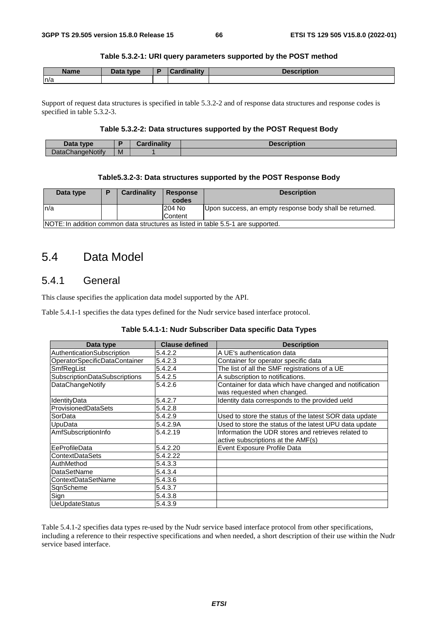### **Table 5.3.2-1: URI query parameters supported by the POST method**

| <b>Name</b> | Data type | "nality | <b>Description</b> |
|-------------|-----------|---------|--------------------|
| n/a         |           |         |                    |

Support of request data structures is specified in table 5.3.2-2 and of response data structures and response codes is specified in table 5.3.2-3.

### **Table 5.3.2-2: Data structures supported by the POST Request Body**

| Data type               |   | <b>Cardinality</b> | <b>Description</b> |
|-------------------------|---|--------------------|--------------------|
| <b>DataChangeNotify</b> | M |                    |                    |

#### **Table5.3.2-3: Data structures supported by the POST Response Body**

| Data type |                                                                                  | Cardinality | <b>Response</b><br>codes | <b>Description</b>                                      |  |  |  |
|-----------|----------------------------------------------------------------------------------|-------------|--------------------------|---------------------------------------------------------|--|--|--|
| ln/a      |                                                                                  |             | 204 No                   | Upon success, an empty response body shall be returned. |  |  |  |
|           |                                                                                  |             | <b>Content</b>           |                                                         |  |  |  |
|           | NOTE: In addition common data structures as listed in table 5.5-1 are supported. |             |                          |                                                         |  |  |  |

# 5.4 Data Model

# 5.4.1 General

This clause specifies the application data model supported by the API.

Table 5.4.1-1 specifies the data types defined for the Nudr service based interface protocol.

#### **Table 5.4.1-1: Nudr Subscriber Data specific Data Types**

| Data type                            | <b>Clause defined</b> | <b>Description</b>                                                                    |  |  |
|--------------------------------------|-----------------------|---------------------------------------------------------------------------------------|--|--|
| AuthenticationSubscription           | 5.4.2.2               | A UE's authentication data                                                            |  |  |
| OperatorSpecificDataContainer        | 5.4.2.3               | Container for operator specific data                                                  |  |  |
| SmfRegList                           | 5.4.2.4               | The list of all the SMF registrations of a UE                                         |  |  |
| <b>SubscriptionDataSubscriptions</b> | 5.4.2.5               | A subscription to notifications.                                                      |  |  |
| DataChangeNotify                     | 5.4.2.6               | Container for data which have changed and notification<br>was requested when changed. |  |  |
| IdentityData                         | 5.4.2.7               | Identity data corresponds to the provided ueld                                        |  |  |
| <b>ProvisionedDataSets</b>           | 5.4.2.8               |                                                                                       |  |  |
| SorData                              | 5.4.2.9               | Used to store the status of the latest SOR data update                                |  |  |
| UpuData                              | 5.4.2.9A              | Used to store the status of the latest UPU data update                                |  |  |
| AmfSubscriptionInfo                  | 5.4.2.19              | Information the UDR stores and retrieves related to                                   |  |  |
|                                      |                       | active subscriptions at the AMF(s)                                                    |  |  |
| lEeProfileData                       | 5.4.2.20              | Event Exposure Profile Data                                                           |  |  |
| lContextDataSets                     | 5.4.2.22              |                                                                                       |  |  |
| AuthMethod                           | 5.4.3.3               |                                                                                       |  |  |
| <b>DataSetName</b>                   | 5.4.3.4               |                                                                                       |  |  |
| <b>ContextDataSetName</b>            | 5.4.3.6               |                                                                                       |  |  |
| SqnScheme                            | 5.4.3.7               |                                                                                       |  |  |
| Sign                                 | 5.4.3.8               |                                                                                       |  |  |
| UeUpdateStatus                       | 5.4.3.9               |                                                                                       |  |  |

Table 5.4.1-2 specifies data types re-used by the Nudr service based interface protocol from other specifications, including a reference to their respective specifications and when needed, a short description of their use within the Nudr service based interface.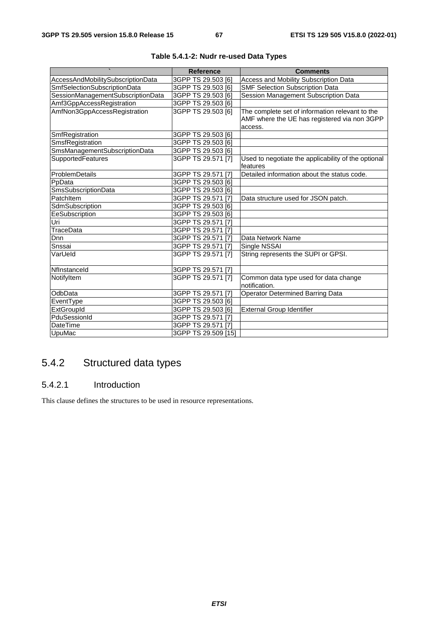|                                   | <b>Reference</b>    | <b>Comments</b>                                         |
|-----------------------------------|---------------------|---------------------------------------------------------|
| AccessAndMobilitySubscriptionData | 3GPP TS 29.503 [6]  | Access and Mobility Subscription Data                   |
| SmfSelectionSubscriptionData      | 3GPP TS 29.503 [6]  | <b>SMF Selection Subscription Data</b>                  |
| SessionManagementSubscriptionData | 3GPP TS 29.503 [6]  | Session Management Subscription Data                    |
| Amf3GppAccessRegistration         | 3GPP TS 29.503 [6]  |                                                         |
| AmfNon3GppAccessRegistration      | 3GPP TS 29.503 [6]  | The complete set of information relevant to the         |
|                                   |                     | AMF where the UE has registered via non 3GPP            |
|                                   |                     | access.                                                 |
| SmfRegistration                   | 3GPP TS 29.503 [6]  |                                                         |
| SmsfRegistration                  | 3GPP TS 29.503 [6]  |                                                         |
| SmsManagementSubscriptionData     | 3GPP TS 29.503 [6]  |                                                         |
| <b>SupportedFeatures</b>          | 3GPP TS 29.571 [7]  | Used to negotiate the applicability of the optional     |
|                                   |                     | features                                                |
| ProblemDetails                    | 3GPP TS 29.571 [7]  | Detailed information about the status code.             |
| PpData                            | 3GPP TS 29.503 [6]  |                                                         |
| SmsSubscriptionData               | 3GPP TS 29.503 [6]  |                                                         |
| PatchItem                         | 3GPP TS 29.571 [7]  | Data structure used for JSON patch.                     |
| SdmSubscription                   | 3GPP TS 29.503 [6]  |                                                         |
| EeSubscription                    | 3GPP TS 29.503 [6]  |                                                         |
| Uri                               | 3GPP TS 29.571 [7]  |                                                         |
| TraceData                         | 3GPP TS 29.571 [7]  |                                                         |
| Dnn                               | 3GPP TS 29.571 [7]  | Data Network Name                                       |
| Snssai                            | 3GPP TS 29.571 [7]  | Single NSSAI                                            |
| VarUeld                           | 3GPP TS 29.571 [7]  | String represents the SUPI or GPSI.                     |
| Nflnstanceld                      | 3GPP TS 29.571 [7]  |                                                         |
| NotifyItem                        | 3GPP TS 29.571 [7]  | Common data type used for data change<br>Inotification. |
| OdbData                           | 3GPP TS 29.571 [7]  | Operator Determined Barring Data                        |
| EventType                         | 3GPP TS 29.503 [6]  |                                                         |
| ExtGroupId                        | 3GPP TS 29.503 [6]  | <b>External Group Identifier</b>                        |
| PduSessionId                      | 3GPP TS 29.571 [7]  |                                                         |
| <b>DateTime</b>                   | 3GPP TS 29.571 [7]  |                                                         |
| UpuMac                            | 3GPP TS 29.509 [15] |                                                         |

|  | Table 5.4.1-2: Nudr re-used Data Types |  |
|--|----------------------------------------|--|
|--|----------------------------------------|--|

# 5.4.2 Structured data types

## 5.4.2.1 Introduction

This clause defines the structures to be used in resource representations.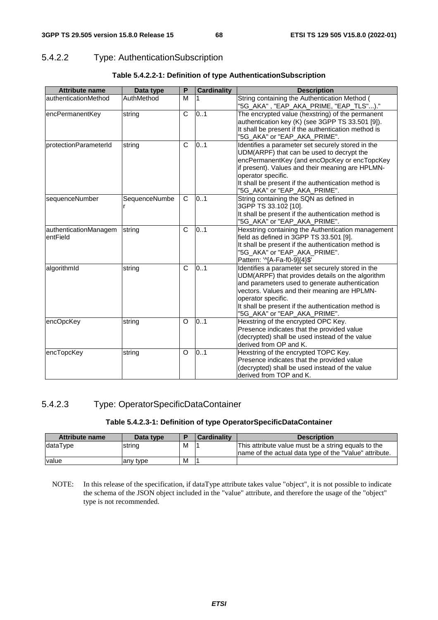# 5.4.2.2 Type: AuthenticationSubscription

| <b>Attribute name</b>             | Data type     | P            | <b>Cardinality</b> | <b>Description</b>                                                                                                                                                                                                                                                                                                   |
|-----------------------------------|---------------|--------------|--------------------|----------------------------------------------------------------------------------------------------------------------------------------------------------------------------------------------------------------------------------------------------------------------------------------------------------------------|
| authenticationMethod              | AuthMethod    | M            |                    | String containing the Authentication Method (                                                                                                                                                                                                                                                                        |
| encPermanentKey                   | string        | $\mathsf{C}$ | 0.1                | The encrypted value (hexstring) of the permanent<br>authentication key (K) (see 3GPP TS 33.501 [9]).<br>It shall be present if the authentication method is<br>"5G_AKA" or "EAP_AKA_PRIME".                                                                                                                          |
| protectionParameterId             | string        | $\mathsf{C}$ | 0.1                | Identifies a parameter set securely stored in the<br>UDM(ARPF) that can be used to decrypt the<br>encPermanentKey (and encOpcKey or encTopcKey<br>if present). Values and their meaning are HPLMN-<br>operator specific.<br>It shall be present if the authentication method is<br>"5G_AKA" or "EAP_AKA_PRIME".      |
| sequenceNumber                    | SequenceNumbe | C            | 0.1                | String containing the SQN as defined in<br>3GPP TS 33.102 [10].<br>It shall be present if the authentication method is<br>"5G_AKA" or "EAP_AKA_PRIME".                                                                                                                                                               |
| authenticationManagem<br>entField | string        | $\mathsf{C}$ | 0.1                | Hexstring containing the Authentication management<br>field as defined in 3GPP TS 33.501 [9].<br>It shall be present if the authentication method is<br>"5G_AKA" or "EAP_AKA_PRIME".<br>Pattern: '^[A-Fa-f0-9]{4}\$'                                                                                                 |
| algorithmId                       | string        | C            | 0.1                | Identifies a parameter set securely stored in the<br>UDM(ARPF) that provides details on the algorithm<br>and parameters used to generate authentication<br>vectors. Values and their meaning are HPLMN-<br>operator specific.<br>It shall be present if the authentication method is<br>"5G_AKA" or "EAP_AKA_PRIME". |
| encOpcKey                         | string        | O            | 0.1                | Hexstring of the encrypted OPC Key.<br>Presence indicates that the provided value<br>(decrypted) shall be used instead of the value<br>derived from OP and K.                                                                                                                                                        |
| encTopcKey                        | string        | O            | 0.1                | Hexstring of the encrypted TOPC Key.<br>Presence indicates that the provided value<br>(decrypted) shall be used instead of the value<br>derived from TOP and K.                                                                                                                                                      |

|  |  | Table 5.4.2.2-1: Definition of type AuthenticationSubscription |
|--|--|----------------------------------------------------------------|
|--|--|----------------------------------------------------------------|

# 5.4.2.3 Type: OperatorSpecificDataContainer

### **Table 5.4.2.3-1: Definition of type OperatorSpecificDataContainer**

| <b>Attribute name</b> | Data type |   | Cardinalitv | <b>Description</b>                                      |
|-----------------------|-----------|---|-------------|---------------------------------------------------------|
| dataType              | string    | м |             | This attribute value must be a string equals to the     |
|                       |           |   |             | Iname of the actual data type of the "Value" attribute. |
| value                 | any type  | M |             |                                                         |

NOTE: In this release of the specification, if dataType attribute takes value "object", it is not possible to indicate the schema of the JSON object included in the "value" attribute, and therefore the usage of the "object" type is not recommended.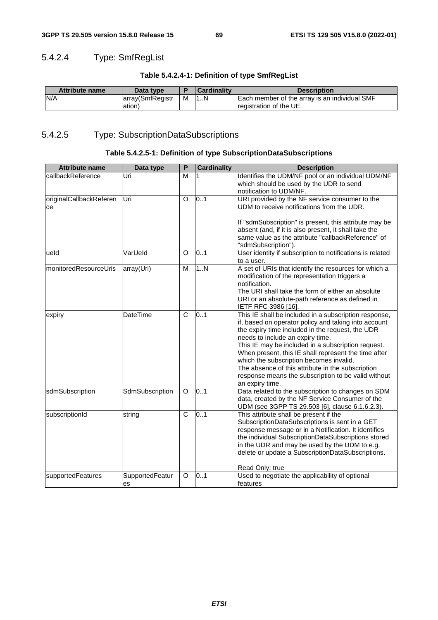# 5.4.2.4 Type: SmfRegList

| Table 5.4.2.4-1: Definition of type SmfRegList |  |  |  |
|------------------------------------------------|--|--|--|
|------------------------------------------------|--|--|--|

| <b>Attribute name</b> | Data type        |   | <b>Cardinality</b> | <b>Description</b>                            |
|-----------------------|------------------|---|--------------------|-----------------------------------------------|
| N/A                   | array(SmfRegistr | M | 1N                 | Each member of the array is an individual SMF |
|                       | ation)           |   |                    | Iregistration of the UE.                      |

# 5.4.2.5 Type: SubscriptionDataSubscriptions

# **Table 5.4.2.5-1: Definition of type SubscriptionDataSubscriptions**

| <b>Attribute name</b>         | Data type             | P | <b>Cardinality</b> | <b>Description</b>                                                                                                                                                                                                                                                                                                                                                                                                                                                                            |
|-------------------------------|-----------------------|---|--------------------|-----------------------------------------------------------------------------------------------------------------------------------------------------------------------------------------------------------------------------------------------------------------------------------------------------------------------------------------------------------------------------------------------------------------------------------------------------------------------------------------------|
| callbackReference             | Uri                   | M |                    | Identifies the UDM/NF pool or an individual UDM/NF<br>which should be used by the UDR to send<br>notification to UDM/NF.                                                                                                                                                                                                                                                                                                                                                                      |
| originalCallbackReferen<br>ce | Uri                   | O | 0.1                | URI provided by the NF service consumer to the<br>UDM to receive notifications from the UDR.                                                                                                                                                                                                                                                                                                                                                                                                  |
|                               |                       |   |                    | If "sdmSubscription" is present, this attribute may be<br>absent (and, if it is also present, it shall take the<br>same value as the attribute "callbackReference" of<br>"sdmSubscription").                                                                                                                                                                                                                                                                                                  |
| ueld                          | VarUeld               | O | 0.1                | User identity if subscription to notifications is related<br>to a user.                                                                                                                                                                                                                                                                                                                                                                                                                       |
| monitoredResourceUris         | array(Uri)            | M | 1N                 | A set of URIs that identify the resources for which a<br>modification of the representation triggers a<br>notification.<br>The URI shall take the form of either an absolute<br>URI or an absolute-path reference as defined in<br>IETF RFC 3986 [16].                                                                                                                                                                                                                                        |
| expiry                        | DateTime              | C | 0.1                | This IE shall be included in a subscription response,<br>if, based on operator policy and taking into account<br>the expiry time included in the request, the UDR<br>needs to include an expiry time.<br>This IE may be included in a subscription request.<br>When present, this IE shall represent the time after<br>which the subscription becomes invalid.<br>The absence of this attribute in the subscription<br>response means the subscription to be valid without<br>an expiry time. |
| sdmSubscription               | SdmSubscription       | O | 0.1                | Data related to the subscription to changes on SDM<br>data, created by the NF Service Consumer of the<br>UDM (see 3GPP TS 29.503 [6], clause 6.1.6.2.3).                                                                                                                                                                                                                                                                                                                                      |
| subscriptionId                | string                | C | 0.1                | This attribute shall be present if the<br>SubscriptionDataSubscriptions is sent in a GET<br>response message or in a Notification. It identifies<br>the individual SubscriptionDataSubscriptions stored<br>in the UDR and may be used by the UDM to e.g.<br>delete or update a SubscriptionDataSubscriptions.<br>Read Only: true                                                                                                                                                              |
| supportedFeatures             | SupportedFeatur<br>es | O | 0.1                | Used to negotiate the applicability of optional<br>features                                                                                                                                                                                                                                                                                                                                                                                                                                   |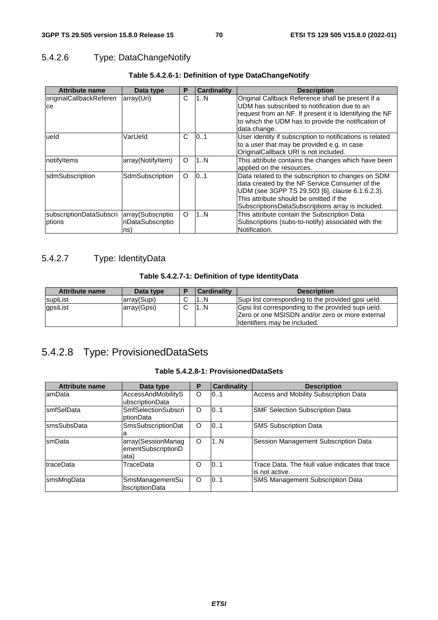# 5.4.2.6 Type: DataChangeNotify

| <b>Attribute name</b>   | Data type         | P       | <b>Cardinality</b> | <b>Description</b>                                        |
|-------------------------|-------------------|---------|--------------------|-----------------------------------------------------------|
| originalCallbackReferen | array(Uri)        | C       | 1N                 | Original Callback Reference shall be present if a         |
| ce                      |                   |         |                    | UDM has subscribed to notification due to an              |
|                         |                   |         |                    | request from an NF. If present it is Identifying the NF   |
|                         |                   |         |                    | to which the UDM has to provide the notification of       |
|                         |                   |         |                    | data change.                                              |
| ueld                    | VarUeld           | C       | 101                | User identity if subscription to notifications is related |
|                         |                   |         |                    | to a user that may be provided e.g. in case               |
|                         |                   |         |                    | OriginalCallback URI is not included.                     |
| notifyltems             | array(NotifyItem) | O       | 1N                 | This attribute contains the changes which have been       |
|                         |                   |         |                    | applied on the resources.                                 |
| sdmSubscription         | SdmSubscription   | $\circ$ | 0.1                | Data related to the subscription to changes on SDM        |
|                         |                   |         |                    | data created by the NF Service Consumer of the            |
|                         |                   |         |                    | UDM (see 3GPP TS 29.503 [6], clause 6.1.6.2.3).           |
|                         |                   |         |                    | This attribute should be omitted if the                   |
|                         |                   |         |                    | SubscriptionsDataSubscriptions array is included.         |
| subscriptionDataSubscri | array(Subscriptio | O       | 1N                 | This attribute contain the Subscription Data              |
| ptions                  | nDataSubscriptio  |         |                    | Subscriptions (subs-to-notify) associated with the        |
|                         | ns)               |         |                    | Notification.                                             |

# **Table 5.4.2.6-1: Definition of type DataChangeNotify**

# 5.4.2.7 Type: IdentityData

### **Table 5.4.2.7-1: Definition of type IdentityData**

| <b>Attribute name</b> | Data type   | D | Cardinality | <b>Description</b>                                 |
|-----------------------|-------------|---|-------------|----------------------------------------------------|
| <b>IsupiList</b>      | array(Supi) |   | 1N          | Supi list corresponding to the provided gpsi ueld. |
| gpsiList              | array(Gpsi) |   | 1N          | Gpsi list corresponding to the provided supi ueld. |
|                       |             |   |             | Zero or one MSISDN and/or zero or more external    |
|                       |             |   |             | Identifiers may be included.                       |

# 5.4.2.8 Type: ProvisionedDataSets

### **Table 5.4.2.8-1: ProvisionedDataSets**

| <b>Attribute name</b> | Data type                  | P       | <b>Cardinality</b> | <b>Description</b>                              |
|-----------------------|----------------------------|---------|--------------------|-------------------------------------------------|
| lamData               | AccessAndMobilityS         | O       | 0.1                | Access and Mobility Subscription Data           |
|                       | ubscriptionData            |         |                    |                                                 |
| <b>smfSelData</b>     | <b>SmfSelectionSubscri</b> | O       | 101                | <b>SMF Selection Subscription Data</b>          |
|                       | ptionData                  |         |                    |                                                 |
| <b>smsSubsData</b>    | SmsSubscriptionDat         | O       | 0.1                | <b>SMS Subscription Data</b>                    |
|                       |                            |         |                    |                                                 |
| smData                | array(SessionManag         | O       | 1N                 | Session Management Subscription Data            |
|                       | ementSubscriptionD         |         |                    |                                                 |
|                       | ata)                       |         |                    |                                                 |
| traceData             | TraceData                  | Ω       | 0.1                | Trace Data. The Null value indicates that trace |
|                       |                            |         |                    | lis not active.                                 |
| smsMngData            | <b>SmsManagementSu</b>     | $\circ$ | 101                | <b>SMS Management Subscription Data</b>         |
|                       | bscriptionData             |         |                    |                                                 |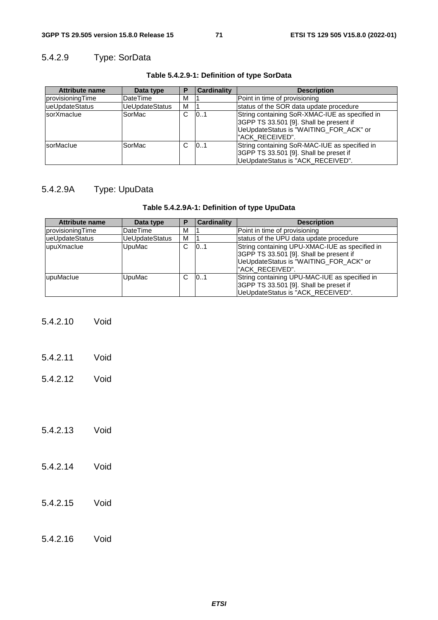# 5.4.2.9 Type: SorData

| <b>Attribute name</b> | Data type             | P | <b>Cardinality</b> | <b>Description</b>                                                                                                                                      |
|-----------------------|-----------------------|---|--------------------|---------------------------------------------------------------------------------------------------------------------------------------------------------|
| provisioningTime      | DateTime              | M |                    | Point in time of provisioning                                                                                                                           |
| ueUpdateStatus        | <b>UeUpdateStatus</b> | M |                    | status of the SOR data update procedure                                                                                                                 |
| sorXmaclue            | SorMac                | C | 101                | String containing SoR-XMAC-IUE as specified in<br>3GPP TS 33.501 [9]. Shall be present if<br>UeUpdateStatus is "WAITING_FOR_ACK" or<br>l"ACK RECEIVED". |
| sorMaclue             | SorMac                | C | 0.1                | String containing SoR-MAC-IUE as specified in<br>3GPP TS 33.501 [9]. Shall be preset if<br>UeUpdateStatus is "ACK_RECEIVED".                            |

### **Table 5.4.2.9-1: Definition of type SorData**

# 5.4.2.9A Type: UpuData

### **Table 5.4.2.9A-1: Definition of type UpuData**

| <b>Attribute name</b> | Data type             | P | <b>Cardinality</b> | <b>Description</b>                                                                                                                                     |
|-----------------------|-----------------------|---|--------------------|--------------------------------------------------------------------------------------------------------------------------------------------------------|
| provisioningTime      | <b>DateTime</b>       | М |                    | Point in time of provisioning                                                                                                                          |
| lueUpdateStatus       | <b>UeUpdateStatus</b> | м |                    | status of the UPU data update procedure                                                                                                                |
| upuXmaclue            | UpuMac                | C | 101                | String containing UPU-XMAC-IUE as specified in<br>3GPP TS 33.501 [9]. Shall be present if<br>UeUpdateStatus is "WAITING_FOR_ACK" or<br>"ACK RECEIVED". |
| lupuMaclue            | UpuMac                | C | 101                | String containing UPU-MAC-IUE as specified in<br>3GPP TS 33.501 [9]. Shall be preset if<br>UeUpdateStatus is "ACK_RECEIVED".                           |

- 5.4.2.10 Void
- 5.4.2.11 Void
- 5.4.2.12 Void
- 5.4.2.13 Void
- 5.4.2.14 Void
- 5.4.2.15 Void
- 5.4.2.16 Void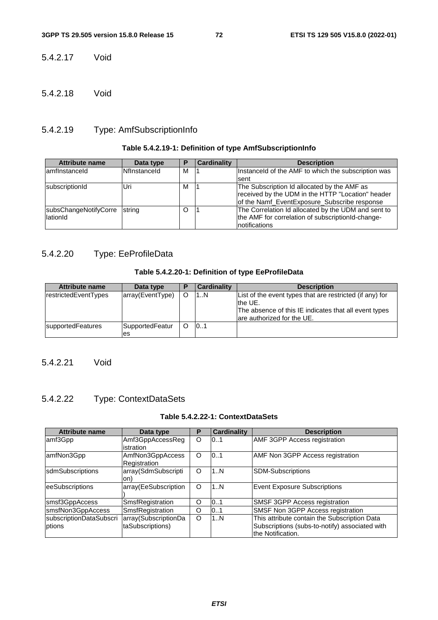5.4.2.17 Void

5.4.2.18 Void

## 5.4.2.19 Type: AmfSubscriptionInfo

## **Table 5.4.2.19-1: Definition of type AmfSubscriptionInfo**

| <b>Attribute name</b> | Data type           | D | <b>Cardinality</b> | <b>Description</b>                                  |
|-----------------------|---------------------|---|--------------------|-----------------------------------------------------|
| lamfinstanceld        | <b>Nflnstanceld</b> | м |                    | Instanceld of the AMF to which the subscription was |
|                       |                     |   |                    | sent                                                |
| subscriptionId        | Uri                 | M |                    | The Subscription Id allocated by the AMF as         |
|                       |                     |   |                    | received by the UDM in the HTTP "Location" header   |
|                       |                     |   |                    | of the Namf_EventExposure_Subscribe response        |
| subsChangeNotifyCorre | string              | O |                    | The Correlation Id allocated by the UDM and sent to |
| lationId              |                     |   |                    | the AMF for correlation of subscriptionId-change-   |
|                       |                     |   |                    | Inotifications                                      |

## 5.4.2.20 Type: EeProfileData

#### **Table 5.4.2.20-1: Definition of type EeProfileData**

| <b>Attribute name</b>    | Data type             | Ð | <b>Cardinality</b> | <b>Description</b>                                                                                                                                         |
|--------------------------|-----------------------|---|--------------------|------------------------------------------------------------------------------------------------------------------------------------------------------------|
| restrictedEventTypes     | array(EventType)      |   | 1N                 | List of the event types that are restricted (if any) for<br>the UE.<br>The absence of this IE indicates that all event types<br>are authorized for the UE. |
| <b>supportedFeatures</b> | SupportedFeatur<br>es | O | 101                |                                                                                                                                                            |

## 5.4.2.21 Void

## 5.4.2.22 Type: ContextDataSets

## **Table 5.4.2.22-1: ContextDataSets**

| <b>Attribute name</b>   | Data type                        | Р | Cardinality | <b>Description</b>                                                  |
|-------------------------|----------------------------------|---|-------------|---------------------------------------------------------------------|
| amf3Gpp                 | Amf3GppAccessReg<br>istration    | O | 101         | AMF 3GPP Access registration                                        |
| amfNon3Gpp              | AmfNon3GppAccess<br>Registration | O | 10.1        | AMF Non 3GPP Access registration                                    |
| sdmSubscriptions        | array(SdmSubscripti<br>on)       | O | 1N          | <b>SDM-Subscriptions</b>                                            |
| eeSubscriptions         | array(EeSubscription             | O | 1N          | <b>Event Exposure Subscriptions</b>                                 |
| smsf3GppAccess          | SmsfRegistration                 | O | 0.1         | SMSF 3GPP Access registration                                       |
| smsfNon3GppAccess       | SmsfRegistration                 | O | 0.1         | SMSF Non 3GPP Access registration                                   |
| subscriptionDataSubscri | array(SubscriptionDa             | O | 1N          | This attribute contain the Subscription Data                        |
| ptions                  | taSubscriptions)                 |   |             | Subscriptions (subs-to-notify) associated with<br>the Notification. |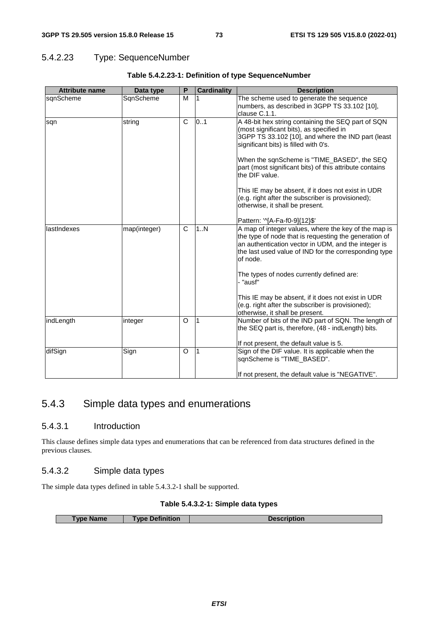## 5.4.2.23 Type: SequenceNumber

| <b>Attribute name</b> | Data type    | P | <b>Cardinality</b> | <b>Description</b>                                                                                                                                                                                                                                                         |
|-----------------------|--------------|---|--------------------|----------------------------------------------------------------------------------------------------------------------------------------------------------------------------------------------------------------------------------------------------------------------------|
| sgnScheme             | SqnScheme    | м |                    | The scheme used to generate the sequence<br>numbers, as described in 3GPP TS 33.102 [10],<br>clause C.1.1.                                                                                                                                                                 |
| sqn                   | string       | C | 0.1                | A 48-bit hex string containing the SEQ part of SQN<br>(most significant bits), as specified in<br>3GPP TS 33.102 [10], and where the IND part (least<br>significant bits) is filled with 0's.                                                                              |
|                       |              |   |                    | When the sqnScheme is "TIME_BASED", the SEQ<br>part (most significant bits) of this attribute contains<br>the DIF value.                                                                                                                                                   |
|                       |              |   |                    | This IE may be absent, if it does not exist in UDR<br>(e.g. right after the subscriber is provisioned);<br>otherwise, it shall be present.                                                                                                                                 |
| llastIndexes          | map(integer) | C | 1N                 | Pattern: '^[A-Fa-f0-9]{12}\$'<br>A map of integer values, where the key of the map is<br>the type of node that is requesting the generation of<br>an authentication vector in UDM, and the integer is<br>the last used value of IND for the corresponding type<br>of node. |
|                       |              |   |                    | The types of nodes currently defined are:<br>- "ausf"                                                                                                                                                                                                                      |
|                       |              |   |                    | This IE may be absent, if it does not exist in UDR<br>(e.g. right after the subscriber is provisioned);<br>otherwise, it shall be present.                                                                                                                                 |
| indLength             | integer      | O | 1                  | Number of bits of the IND part of SQN. The length of<br>the SEQ part is, therefore, (48 - indLength) bits.                                                                                                                                                                 |
| difSign               | Sign         | O | 1                  | If not present, the default value is 5.<br>Sign of the DIF value. It is applicable when the<br>sqnScheme is "TIME_BASED".<br>If not present, the default value is "NEGATIVE".                                                                                              |

#### **Table 5.4.2.23-1: Definition of type SequenceNumber**

## 5.4.3 Simple data types and enumerations

### 5.4.3.1 Introduction

This clause defines simple data types and enumerations that can be referenced from data structures defined in the previous clauses.

### 5.4.3.2 Simple data types

The simple data types defined in table 5.4.3.2-1 shall be supported.

#### **Table 5.4.3.2-1: Simple data types**

| Type Name | <b>Type Definition</b> | <b>Description</b> |
|-----------|------------------------|--------------------|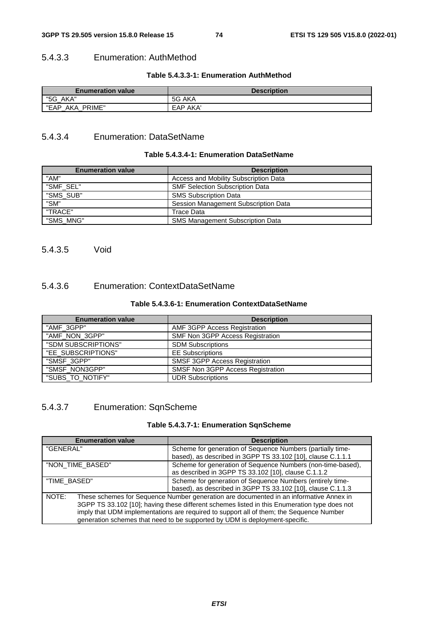### 5.4.3.3 Enumeration: AuthMethod

#### **Table 5.4.3.3-1: Enumeration AuthMethod**

| <b>Enumeration value</b> | <b>Description</b> |
|--------------------------|--------------------|
| "5G AKA"                 | 5G AKA             |
| PRIME"<br>"EAP<br>AKA    | EAP AKA'           |

## 5.4.3.4 Enumeration: DataSetName

#### **Table 5.4.3.4-1: Enumeration DataSetName**

| <b>Enumeration value</b> | <b>Description</b>                      |
|--------------------------|-----------------------------------------|
| "AM"                     | Access and Mobility Subscription Data   |
| "SMF SEL"                | <b>SMF Selection Subscription Data</b>  |
| "SMS_SUB"                | <b>SMS Subscription Data</b>            |
| "SM"                     | Session Management Subscription Data    |
| "TRACE"                  | Trace Data                              |
| "SMS MNG"                | <b>SMS Management Subscription Data</b> |

## 5.4.3.5 Void

## 5.4.3.6 Enumeration: ContextDataSetName

#### **Table 5.4.3.6-1: Enumeration ContextDataSetName**

| <b>Enumeration value</b> | <b>Description</b>                   |
|--------------------------|--------------------------------------|
| "AMF 3GPP"               | AMF 3GPP Access Registration         |
| "AMF_NON_3GPP"           | SMF Non 3GPP Access Registration     |
| "SDM SUBSCRIPTIONS"      | <b>SDM Subscriptions</b>             |
| "EE_SUBSCRIPTIONS"       | <b>EE Subscriptions</b>              |
| "SMSF_3GPP"              | <b>SMSF 3GPP Access Registration</b> |
| "SMSF_NON3GPP"           | SMSF Non 3GPP Access Registration    |
| "SUBS_TO_NOTIFY"         | <b>UDR Subscriptions</b>             |

## 5.4.3.7 Enumeration: SqnScheme

#### **Table 5.4.3.7-1: Enumeration SqnScheme**

| <b>Enumeration value</b> | <b>Description</b>                                                                                                                                                                                                                                                                                                                                               |  |  |
|--------------------------|------------------------------------------------------------------------------------------------------------------------------------------------------------------------------------------------------------------------------------------------------------------------------------------------------------------------------------------------------------------|--|--|
| "GENERAL"                | Scheme for generation of Sequence Numbers (partially time-<br>based), as described in 3GPP TS 33.102 [10], clause C.1.1.1                                                                                                                                                                                                                                        |  |  |
| "NON_TIME_BASED"         | Scheme for generation of Sequence Numbers (non-time-based),<br>as described in 3GPP TS 33.102 [10], clause C.1.1.2                                                                                                                                                                                                                                               |  |  |
| "TIME BASED"             | Scheme for generation of Sequence Numbers (entirely time-<br>based), as described in 3GPP TS 33.102 [10], clause C.1.1.3                                                                                                                                                                                                                                         |  |  |
| NOTE:                    | These schemes for Sequence Number generation are documented in an informative Annex in<br>3GPP TS 33.102 [10]; having these different schemes listed in this Enumeration type does not<br>imply that UDM implementations are required to support all of them; the Sequence Number<br>generation schemes that need to be supported by UDM is deployment-specific. |  |  |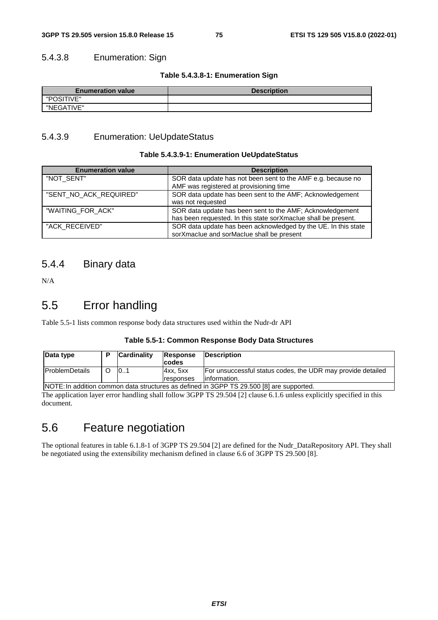## 5.4.3.8 Enumeration: Sign

#### **Table 5.4.3.8-1: Enumeration Sign**

| <b>Enumeration value</b> | <b>Description</b> |
|--------------------------|--------------------|
| "POSITIVE"               |                    |
| "NEGATIVE"               |                    |

## 5.4.3.9 Enumeration: UeUpdateStatus

#### **Table 5.4.3.9-1: Enumeration UeUpdateStatus**

| <b>Enumeration value</b> | <b>Description</b>                                                                                                          |
|--------------------------|-----------------------------------------------------------------------------------------------------------------------------|
| "NOT_SENT"               | SOR data update has not been sent to the AMF e.g. because no<br>AMF was registered at provisioning time                     |
| "SENT NO ACK REQUIRED"   | SOR data update has been sent to the AMF; Acknowledgement<br>was not requested                                              |
| "WAITING_FOR_ACK"        | SOR data update has been sent to the AMF; Acknowledgement<br>has been requested. In this state sorXmaclue shall be present. |
| "ACK_RECEIVED"           | SOR data update has been acknowledged by the UE. In this state<br>sorXmaclue and sorMaclue shall be present                 |

## 5.4.4 Binary data

N/A

## 5.5 Error handling

Table 5.5-1 lists common response body data structures used within the Nudr-dr API

#### **Table 5.5-1: Common Response Body Data Structures**

| Data type                                                                                |  | Cardinality | Response<br><b>codes</b> | <b>IDescription</b>                                                          |
|------------------------------------------------------------------------------------------|--|-------------|--------------------------|------------------------------------------------------------------------------|
| <b>IProblemDetails</b>                                                                   |  | 10.1        | Axx, 5xx<br>responses    | For unsuccessful status codes, the UDR may provide detailed<br>linformation. |
| NOTE: In addition common data structures as defined in 3GPP TS 29.500 [8] are supported. |  |             |                          |                                                                              |

NOTE: In addition common data structures as defined in 3GPP TS 29.500 [8] are supported. The application layer error handling shall follow 3GPP TS 29.504 [2] clause 6.1.6 unless explicitly specified in this document.

## 5.6 Feature negotiation

The optional features in table 6.1.8-1 of 3GPP TS 29.504 [2] are defined for the Nudr\_DataRepository API. They shall be negotiated using the extensibility mechanism defined in clause 6.6 of 3GPP TS 29.500 [8].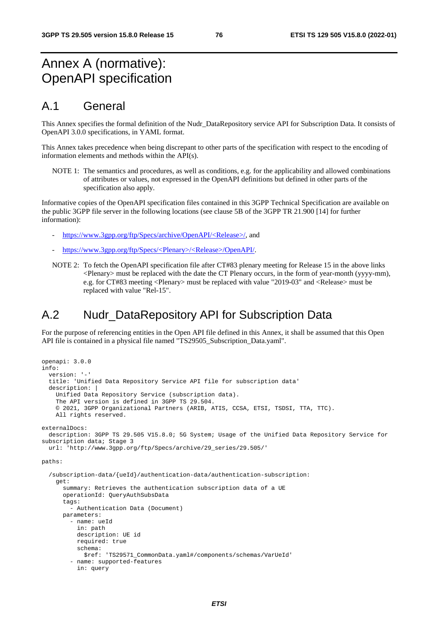# Annex A (normative): OpenAPI specification

## A.1 General

This Annex specifies the formal definition of the Nudr\_DataRepository service API for Subscription Data. It consists of OpenAPI 3.0.0 specifications, in YAML format.

This Annex takes precedence when being discrepant to other parts of the specification with respect to the encoding of information elements and methods within the API(s).

NOTE 1: The semantics and procedures, as well as conditions, e.g. for the applicability and allowed combinations of attributes or values, not expressed in the OpenAPI definitions but defined in other parts of the specification also apply.

Informative copies of the OpenAPI specification files contained in this 3GPP Technical Specification are available on the public 3GPP file server in the following locations (see clause 5B of the 3GPP TR 21.900 [14] for further information):

- [https://www.3gpp.org/ftp/Specs/archive/OpenAPI/<Release>/](https://www.3gpp.org/ftp/Specs/archive/OpenAPI/%3cRelease%3e/), and
- [https://www.3gpp.org/ftp/Specs/<Plenary>/<Release>/OpenAPI/](https://www.3gpp.org/ftp/Specs/%3cPlenary%3e/%3cRelease%3e/OpenAPI/).
- NOTE 2: To fetch the OpenAPI specification file after CT#83 plenary meeting for Release 15 in the above links  $\leq$ Plenary must be replaced with the date the CT Plenary occurs, in the form of year-month (yyyy-mm), e.g. for CT#83 meeting <Plenary> must be replaced with value "2019-03" and <Release> must be replaced with value "Rel-15".

## A.2 Nudr DataRepository API for Subscription Data

For the purpose of referencing entities in the Open API file defined in this Annex, it shall be assumed that this Open API file is contained in a physical file named "TS29505\_Subscription\_Data.yaml".

```
openapi: 3.0.0 
info: 
   version: '-' 
   title: 'Unified Data Repository Service API file for subscription data' 
   description: | 
     Unified Data Repository Service (subscription data). 
     The API version is defined in 3GPP TS 29.504. 
     © 2021, 3GPP Organizational Partners (ARIB, ATIS, CCSA, ETSI, TSDSI, TTA, TTC). 
     All rights reserved. 
externalDocs: 
   description: 3GPP TS 29.505 V15.8.0; 5G System; Usage of the Unified Data Repository Service for 
subscription data; Stage 3
   url: 'http://www.3gpp.org/ftp/Specs/archive/29_series/29.505/' 
paths: 
   /subscription-data/{ueId}/authentication-data/authentication-subscription: 
     get: 
       summary: Retrieves the authentication subscription data of a UE 
       operationId: QueryAuthSubsData 
       tags: 
          - Authentication Data (Document) 
       parameters: 
          - name: ueId 
           in: path 
           description: UE id 
           required: true 
           schema: 
             $ref: 'TS29571_CommonData.yaml#/components/schemas/VarUeId' 
          - name: supported-features 
           in: query
```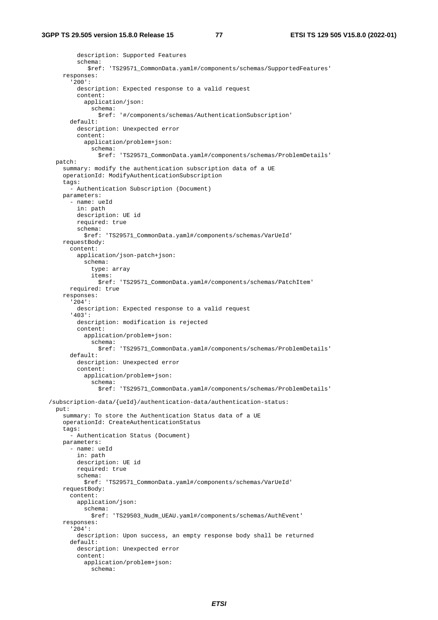```
 description: Supported Features 
         schema: 
            $ref: 'TS29571_CommonData.yaml#/components/schemas/SupportedFeatures' 
    responses: 
       '200': 
         description: Expected response to a valid request 
         content: 
           application/json: 
             schema: 
               $ref: '#/components/schemas/AuthenticationSubscription' 
       default: 
         description: Unexpected error 
         content: 
           application/problem+json: 
             schema: 
                $ref: 'TS29571_CommonData.yaml#/components/schemas/ProblemDetails' 
  patch: 
     summary: modify the authentication subscription data of a UE 
     operationId: ModifyAuthenticationSubscription 
     tags: 
      - Authentication Subscription (Document) 
    parameters: 
       - name: ueId 
         in: path 
         description: UE id 
         required: true 
         schema: 
           $ref: 'TS29571_CommonData.yaml#/components/schemas/VarUeId' 
    requestBody: 
       content: 
         application/json-patch+json: 
           schema: 
             type: array 
             items: 
                $ref: 'TS29571_CommonData.yaml#/components/schemas/PatchItem' 
       required: true 
    responses: 
       '204': 
         description: Expected response to a valid request 
       '403': 
         description: modification is rejected 
         content: 
           application/problem+json: 
             schema: 
                $ref: 'TS29571_CommonData.yaml#/components/schemas/ProblemDetails' 
       default: 
         description: Unexpected error 
         content: 
           application/problem+json: 
             schema: 
                $ref: 'TS29571_CommonData.yaml#/components/schemas/ProblemDetails' 
 /subscription-data/{ueId}/authentication-data/authentication-status: 
  put: 
    summary: To store the Authentication Status data of a UE 
    operationId: CreateAuthenticationStatus 
     tags: 
       - Authentication Status (Document) 
    parameters: 
       - name: ueId 
         in: path 
         description: UE id 
         required: true 
         schema: 
           $ref: 'TS29571_CommonData.yaml#/components/schemas/VarUeId' 
    requestBody: 
       content: 
         application/json: 
           schema: 
             $ref: 'TS29503_Nudm_UEAU.yaml#/components/schemas/AuthEvent' 
     responses: 
       '204': 
         description: Upon success, an empty response body shall be returned 
       default: 
         description: Unexpected error 
         content: 
           application/problem+json: 
             schema:
```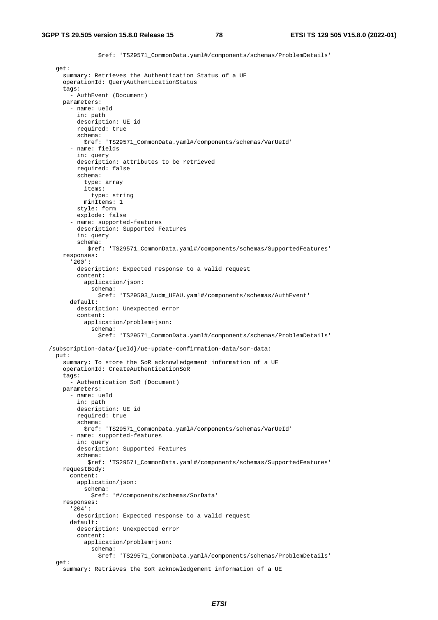\$ref: 'TS29571\_CommonData.yaml#/components/schemas/ProblemDetails' get: summary: Retrieves the Authentication Status of a UE operationId: QueryAuthenticationStatus tags: - AuthEvent (Document) parameters: - name: ueId in: path description: UE id required: true schema: \$ref: 'TS29571\_CommonData.yaml#/components/schemas/VarUeId' - name: fields in: query description: attributes to be retrieved required: false schema: type: array items: type: string minItems: 1 style: form explode: false - name: supported-features description: Supported Features in: query schema: \$ref: 'TS29571\_CommonData.yaml#/components/schemas/SupportedFeatures' responses: '200': description: Expected response to a valid request content: application/json: schema: \$ref: 'TS29503\_Nudm\_UEAU.yaml#/components/schemas/AuthEvent' default: description: Unexpected error content: application/problem+json: schema: \$ref: 'TS29571\_CommonData.yaml#/components/schemas/ProblemDetails' /subscription-data/{ueId}/ue-update-confirmation-data/sor-data: put: summary: To store the SoR acknowledgement information of a UE operationId: CreateAuthenticationSoR tags: - Authentication SoR (Document) parameters: - name: ueId in: path description: UE id required: true schema: \$ref: 'TS29571\_CommonData.yaml#/components/schemas/VarUeId' - name: supported-features in: query description: Supported Features schema: \$ref: 'TS29571\_CommonData.yaml#/components/schemas/SupportedFeatures' requestBody: content: application/json: schema: \$ref: '#/components/schemas/SorData' responses: '204': description: Expected response to a valid request default: description: Unexpected error content: application/problem+json: schema: \$ref: 'TS29571\_CommonData.yaml#/components/schemas/ProblemDetails' get:

summary: Retrieves the SoR acknowledgement information of a UE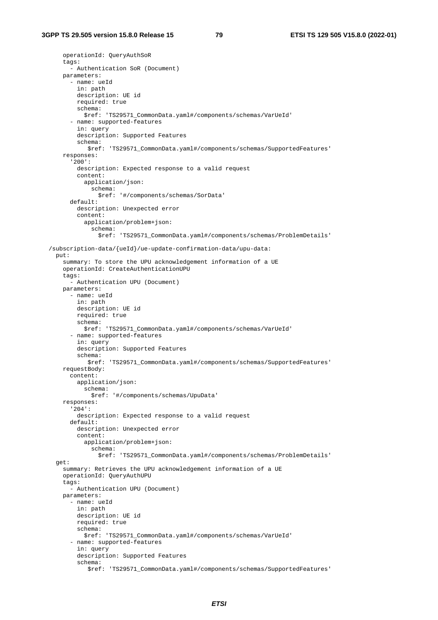```
 operationId: QueryAuthSoR 
    tags:
       - Authentication SoR (Document) 
     parameters: 
       - name: ueId 
         in: path 
         description: UE id 
         required: true 
         schema: 
           $ref: 'TS29571_CommonData.yaml#/components/schemas/VarUeId' 
       - name: supported-features 
         in: query 
         description: Supported Features 
         schema: 
            $ref: 'TS29571_CommonData.yaml#/components/schemas/SupportedFeatures' 
     responses: 
       '200': 
         description: Expected response to a valid request 
         content: 
           application/json: 
             schema: 
                $ref: '#/components/schemas/SorData' 
       default: 
         description: Unexpected error 
         content: 
           application/problem+json: 
              schema: 
                $ref: 'TS29571_CommonData.yaml#/components/schemas/ProblemDetails' 
 /subscription-data/{ueId}/ue-update-confirmation-data/upu-data: 
  put: 
     summary: To store the UPU acknowledgement information of a UE 
     operationId: CreateAuthenticationUPU 
     tags: 
       - Authentication UPU (Document) 
     parameters: 
       - name: ueId 
         in: path 
         description: UE id 
         required: true 
         schema: 
           $ref: 'TS29571_CommonData.yaml#/components/schemas/VarUeId' 
       - name: supported-features 
         in: query 
         description: Supported Features 
         schema: 
            $ref: 'TS29571_CommonData.yaml#/components/schemas/SupportedFeatures' 
     requestBody: 
       content: 
         application/json: 
           schema: 
             $ref: '#/components/schemas/UpuData' 
     responses: 
       '204': 
         description: Expected response to a valid request 
       default: 
         description: Unexpected error 
         content: 
           application/problem+json: 
             schema: 
                $ref: 'TS29571_CommonData.yaml#/components/schemas/ProblemDetails' 
   get: 
     summary: Retrieves the UPU acknowledgement information of a UE 
     operationId: QueryAuthUPU 
     tags: 
       - Authentication UPU (Document) 
     parameters: 
       - name: ueId 
         in: path 
         description: UE id 
         required: true 
         schema: 
           $ref: 'TS29571_CommonData.yaml#/components/schemas/VarUeId' 
       - name: supported-features 
         in: query 
         description: Supported Features 
         schema: 
            $ref: 'TS29571_CommonData.yaml#/components/schemas/SupportedFeatures'
```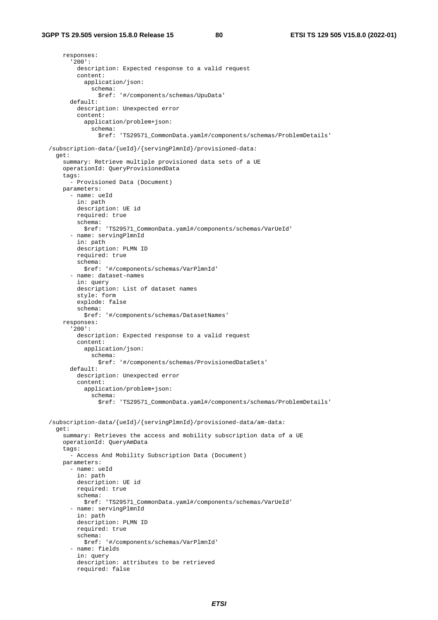responses: '200': description: Expected response to a valid request content: application/json: schema: \$ref: '#/components/schemas/UpuData' default: description: Unexpected error content: application/problem+json: schema: \$ref: 'TS29571\_CommonData.yaml#/components/schemas/ProblemDetails' /subscription-data/{ueId}/{servingPlmnId}/provisioned-data: get: summary: Retrieve multiple provisioned data sets of a UE operationId: QueryProvisionedData tags: - Provisioned Data (Document) parameters: - name: ueId in: path description: UE id required: true schema: \$ref: 'TS29571\_CommonData.yaml#/components/schemas/VarUeId' - name: servingPlmnId in: path description: PLMN ID required: true schema: \$ref: '#/components/schemas/VarPlmnId' - name: dataset-names in: query description: List of dataset names style: form explode: false schema: \$ref: '#/components/schemas/DatasetNames' responses: '200': description: Expected response to a valid request content: application/json: schema: \$ref: '#/components/schemas/ProvisionedDataSets' default: description: Unexpected error content: application/problem+json: schema: \$ref: 'TS29571\_CommonData.yaml#/components/schemas/ProblemDetails' /subscription-data/{ueId}/{servingPlmnId}/provisioned-data/am-data: get: summary: Retrieves the access and mobility subscription data of a UE operationId: QueryAmData tags: - Access And Mobility Subscription Data (Document) parameters: - name: ueId in: path description: UE id required: true schema: \$ref: 'TS29571\_CommonData.yaml#/components/schemas/VarUeId' - name: servingPlmnId in: path description: PLMN ID required: true schema: \$ref: '#/components/schemas/VarPlmnId' - name: fields in: query description: attributes to be retrieved required: false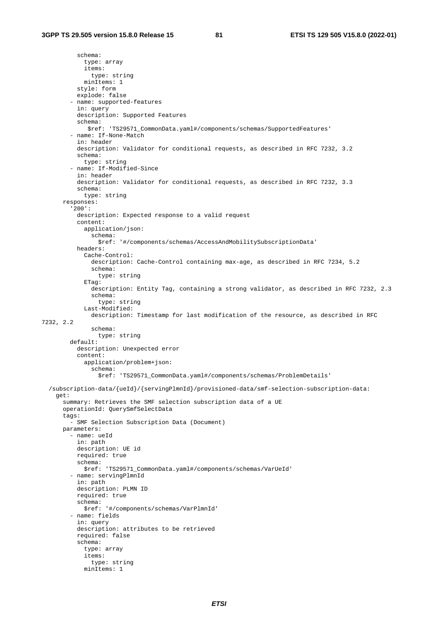schema: type: array items: type: string minItems: 1 style: form explode: false - name: supported-features in: query description: Supported Features schema: \$ref: 'TS29571\_CommonData.yaml#/components/schemas/SupportedFeatures' - name: If-None-Match in: header description: Validator for conditional requests, as described in RFC 7232, 3.2 schema: type: string - name: If-Modified-Since in: header description: Validator for conditional requests, as described in RFC 7232, 3.3 schema: type: string responses: '200': description: Expected response to a valid request content: application/json: schema: \$ref: '#/components/schemas/AccessAndMobilitySubscriptionData' headers: Cache-Control: description: Cache-Control containing max-age, as described in RFC 7234, 5.2 schema: type: string ETag: description: Entity Tag, containing a strong validator, as described in RFC 7232, 2.3 schema: type: string Last-Modified: description: Timestamp for last modification of the resource, as described in RFC 7232, 2.2 schema: type: string default: description: Unexpected error content: application/problem+json: schema: \$ref: 'TS29571\_CommonData.yaml#/components/schemas/ProblemDetails' /subscription-data/{ueId}/{servingPlmnId}/provisioned-data/smf-selection-subscription-data: get: summary: Retrieves the SMF selection subscription data of a UE operationId: QuerySmfSelectData tags: - SMF Selection Subscription Data (Document) parameters: - name: ueId in: path description: UE id required: true schema: \$ref: 'TS29571\_CommonData.yaml#/components/schemas/VarUeId' - name: servingPlmnId in: path description: PLMN ID required: true schema: \$ref: '#/components/schemas/VarPlmnId' - name: fields in: query description: attributes to be retrieved required: false schema: type: array items: type: string minItems: 1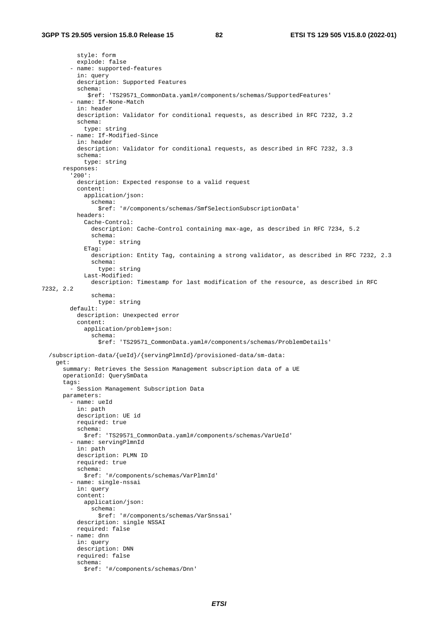style: form explode: false - name: supported-features in: query description: Supported Features schema: \$ref: 'TS29571\_CommonData.yaml#/components/schemas/SupportedFeatures' - name: If-None-Match in: header description: Validator for conditional requests, as described in RFC 7232, 3.2 schema: type: string - name: If-Modified-Since in: header description: Validator for conditional requests, as described in RFC 7232, 3.3 schema: type: string responses: '200': description: Expected response to a valid request content: application/json: schema: \$ref: '#/components/schemas/SmfSelectionSubscriptionData' headers: Cache-Control: description: Cache-Control containing max-age, as described in RFC 7234, 5.2 schema: type: string ETag: description: Entity Tag, containing a strong validator, as described in RFC 7232, 2.3 schema: type: string Last-Modified: description: Timestamp for last modification of the resource, as described in RFC 7232, 2.2 schema: type: string default: description: Unexpected error content: application/problem+json: schema: \$ref: 'TS29571\_CommonData.yaml#/components/schemas/ProblemDetails' /subscription-data/{ueId}/{servingPlmnId}/provisioned-data/sm-data: get: summary: Retrieves the Session Management subscription data of a UE operationId: QuerySmData tags: - Session Management Subscription Data parameters: - name: ueId in: path description: UE id required: true schema: \$ref: 'TS29571\_CommonData.yaml#/components/schemas/VarUeId' - name: servingPlmnId in: path description: PLMN ID required: true schema: \$ref: '#/components/schemas/VarPlmnId' - name: single-nssai in: query content: application/json: schema: \$ref: '#/components/schemas/VarSnssai' description: single NSSAI required: false - name: dnn in: query description: DNN required: false schema: \$ref: '#/components/schemas/Dnn'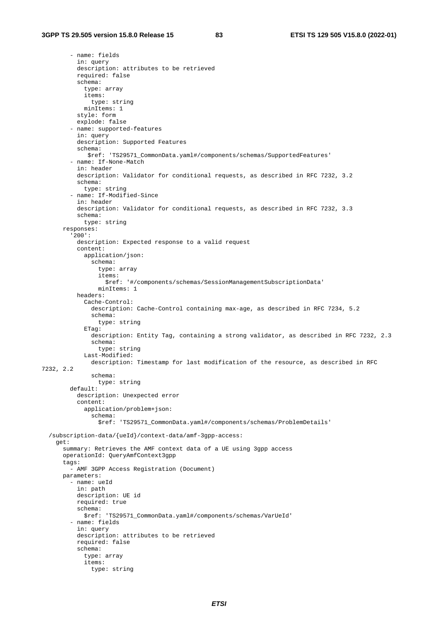- name: fields in: query description: attributes to be retrieved required: false schema: type: array items: type: string minItems: 1 style: form explode: false - name: supported-features in: query description: Supported Features schema: \$ref: 'TS29571\_CommonData.yaml#/components/schemas/SupportedFeatures' - name: If-None-Match in: header description: Validator for conditional requests, as described in RFC 7232, 3.2 schema: type: string - name: If-Modified-Since in: header description: Validator for conditional requests, as described in RFC 7232, 3.3 schema: type: string responses: '200': description: Expected response to a valid request content: application/json: schema: type: array items: \$ref: '#/components/schemas/SessionManagementSubscriptionData' minItems: 1 headers: Cache-Control: description: Cache-Control containing max-age, as described in RFC 7234, 5.2 schema: type: string  $ETaG$ : description: Entity Tag, containing a strong validator, as described in RFC 7232, 2.3 schema: type: string Last-Modified: description: Timestamp for last modification of the resource, as described in RFC 7232, 2.2 schema: type: string default: description: Unexpected error content: application/problem+json: schema: \$ref: 'TS29571\_CommonData.yaml#/components/schemas/ProblemDetails' /subscription-data/{ueId}/context-data/amf-3gpp-access: get: summary: Retrieves the AMF context data of a UE using 3gpp access operationId: QueryAmfContext3gpp tags: - AMF 3GPP Access Registration (Document) parameters: - name: ueId in: path description: UE id required: true schema: \$ref: 'TS29571\_CommonData.yaml#/components/schemas/VarUeId' - name: fields in: query description: attributes to be retrieved required: false schema: type: array items: type: string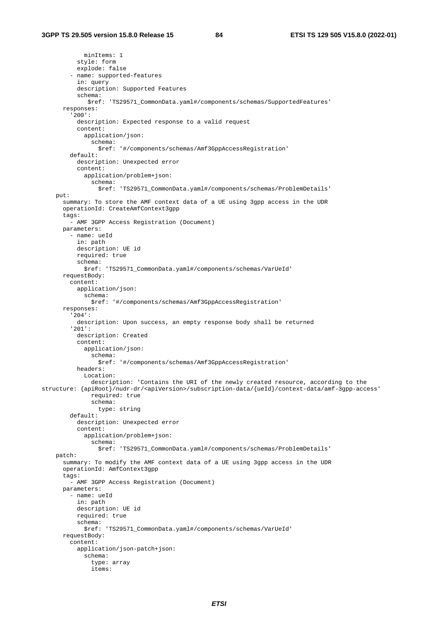minItems: 1 style: form explode: false - name: supported-features in: query description: Supported Features schema: \$ref: 'TS29571\_CommonData.yaml#/components/schemas/SupportedFeatures' responses: '200': description: Expected response to a valid request content: application/json: schema: \$ref: '#/components/schemas/Amf3GppAccessRegistration' default: description: Unexpected error content: application/problem+json: schema: \$ref: 'TS29571\_CommonData.yaml#/components/schemas/ProblemDetails' put: summary: To store the AMF context data of a UE using 3gpp access in the UDR operationId: CreateAmfContext3gpp tags: - AMF 3GPP Access Registration (Document) parameters: - name: ueId in: path description: UE id required: true schema: \$ref: 'TS29571\_CommonData.yaml#/components/schemas/VarUeId' requestBody: content: application/json: schema: \$ref: '#/components/schemas/Amf3GppAccessRegistration' responses: '204': description: Upon success, an empty response body shall be returned '201': description: Created content: application/json: schema: \$ref: '#/components/schemas/Amf3GppAccessRegistration' headers: Location: description: 'Contains the URI of the newly created resource, according to the structure: {apiRoot}/nudr-dr/<apiVersion>/subscription-data/{ueId}/context-data/amf-3gpp-access' required: true schema: type: string default: description: Unexpected error content: application/problem+json: schema: \$ref: 'TS29571\_CommonData.yaml#/components/schemas/ProblemDetails' patch: summary: To modify the AMF context data of a UE using 3gpp access in the UDR operationId: AmfContext3gpp tags: - AMF 3GPP Access Registration (Document) parameters: - name: ueId in: path description: UE id required: true schema: \$ref: 'TS29571\_CommonData.yaml#/components/schemas/VarUeId' requestBody: content: application/json-patch+json: schema: type: array items: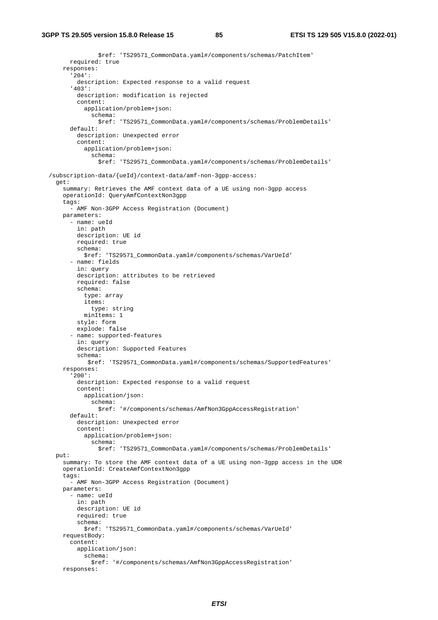\$ref: 'TS29571\_CommonData.yaml#/components/schemas/PatchItem' required: true responses: '204': description: Expected response to a valid request '403': description: modification is rejected content: application/problem+json: schema: \$ref: 'TS29571\_CommonData.yaml#/components/schemas/ProblemDetails' default: description: Unexpected error content: application/problem+json: schema: \$ref: 'TS29571\_CommonData.yaml#/components/schemas/ProblemDetails' /subscription-data/{ueId}/context-data/amf-non-3gpp-access: get: summary: Retrieves the AMF context data of a UE using non-3gpp access operationId: QueryAmfContextNon3gpp tags: - AMF Non-3GPP Access Registration (Document) parameters: - name: ueId in: path description: UE id required: true schema: \$ref: 'TS29571\_CommonData.yaml#/components/schemas/VarUeId' - name: fields in: query description: attributes to be retrieved required: false schema: type: array items: type: string minItems: 1 style: form explode: false - name: supported-features in: query description: Supported Features schema: \$ref: 'TS29571\_CommonData.yaml#/components/schemas/SupportedFeatures' responses: '200': description: Expected response to a valid request content: application/json: schema: \$ref: '#/components/schemas/AmfNon3GppAccessRegistration' default: description: Unexpected error content: application/problem+json: schema: \$ref: 'TS29571\_CommonData.yaml#/components/schemas/ProblemDetails' put: summary: To store the AMF context data of a UE using non-3gpp access in the UDR operationId: CreateAmfContextNon3gpp tags: - AMF Non-3GPP Access Registration (Document) parameters: - name: ueId in: path description: UE id required: true schema: \$ref: 'TS29571\_CommonData.yaml#/components/schemas/VarUeId' requestBody: content: application/json: schema: \$ref: '#/components/schemas/AmfNon3GppAccessRegistration' responses: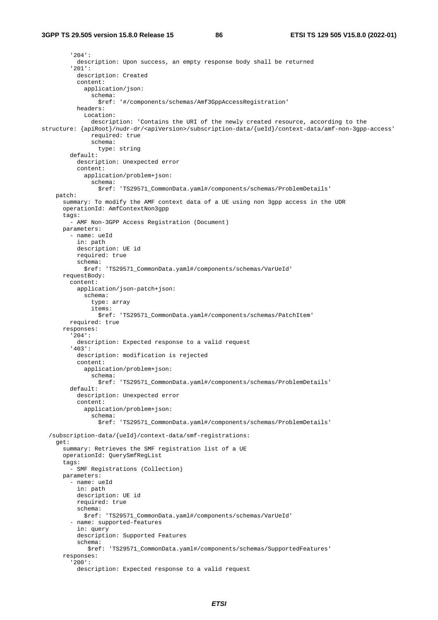'204': description: Upon success, an empty response body shall be returned '201': description: Created content: application/json: schema: \$ref: '#/components/schemas/Amf3GppAccessRegistration' headers: Location: description: 'Contains the URI of the newly created resource, according to the structure: {apiRoot}/nudr-dr/<apiVersion>/subscription-data/{ueId}/context-data/amf-non-3gpp-access' required: true schema: type: string default: description: Unexpected error content: application/problem+json: schema: \$ref: 'TS29571\_CommonData.yaml#/components/schemas/ProblemDetails' patch: summary: To modify the AMF context data of a UE using non 3gpp access in the UDR operationId: AmfContextNon3gpp tags: - AMF Non-3GPP Access Registration (Document) parameters: - name: ueId in: path description: UE id required: true schema: \$ref: 'TS29571\_CommonData.yaml#/components/schemas/VarUeId' requestBody: content: application/json-patch+json: schema: type: array items: \$ref: 'TS29571\_CommonData.yaml#/components/schemas/PatchItem' required: true responses: '204': description: Expected response to a valid request '403': description: modification is rejected content: application/problem+json: schema: \$ref: 'TS29571\_CommonData.yaml#/components/schemas/ProblemDetails' default: description: Unexpected error content: application/problem+json: schema: \$ref: 'TS29571\_CommonData.yaml#/components/schemas/ProblemDetails' /subscription-data/{ueId}/context-data/smf-registrations: get: summary: Retrieves the SMF registration list of a UE operationId: QuerySmfRegList tags: - SMF Registrations (Collection) parameters: - name: ueId in: path description: UE id required: true schema: \$ref: 'TS29571\_CommonData.yaml#/components/schemas/VarUeId' - name: supported-features in: query description: Supported Features schema: \$ref: 'TS29571\_CommonData.yaml#/components/schemas/SupportedFeatures' responses: '200': description: Expected response to a valid request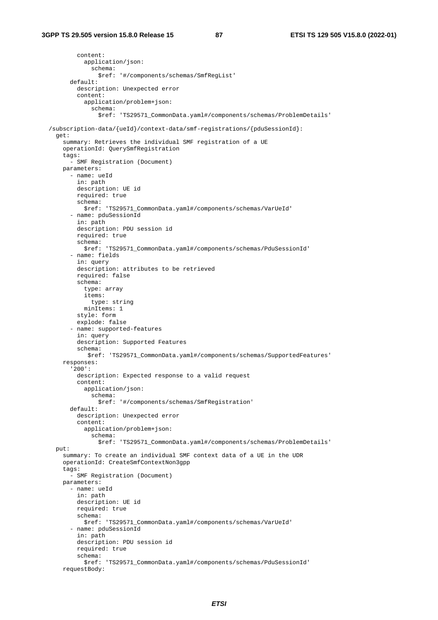content: application/json: schema: \$ref: '#/components/schemas/SmfRegList' default: description: Unexpected error content: application/problem+json: schema: \$ref: 'TS29571\_CommonData.yaml#/components/schemas/ProblemDetails' /subscription-data/{ueId}/context-data/smf-registrations/{pduSessionId}: get: summary: Retrieves the individual SMF registration of a UE operationId: QuerySmfRegistration tags: - SMF Registration (Document) parameters: - name: ueId in: path description: UE id required: true schema: \$ref: 'TS29571\_CommonData.yaml#/components/schemas/VarUeId' - name: pduSessionId in: path description: PDU session id required: true schema: \$ref: 'TS29571\_CommonData.yaml#/components/schemas/PduSessionId' - name: fields in: query description: attributes to be retrieved required: false schema: type: array items: type: string minItems: 1 style: form explode: false - name: supported-features in: query description: Supported Features schema: \$ref: 'TS29571\_CommonData.yaml#/components/schemas/SupportedFeatures' responses: '200': description: Expected response to a valid request content: application/json: schema: \$ref: '#/components/schemas/SmfRegistration' default: description: Unexpected error content: application/problem+json: schema: \$ref: 'TS29571\_CommonData.yaml#/components/schemas/ProblemDetails' put: summary: To create an individual SMF context data of a UE in the UDR operationId: CreateSmfContextNon3gpp tags: - SMF Registration (Document) parameters: - name: ueId in: path description: UE id required: true schema: \$ref: 'TS29571\_CommonData.yaml#/components/schemas/VarUeId' - name: pduSessionId in: path description: PDU session id required: true schema: \$ref: 'TS29571\_CommonData.yaml#/components/schemas/PduSessionId' requestBody: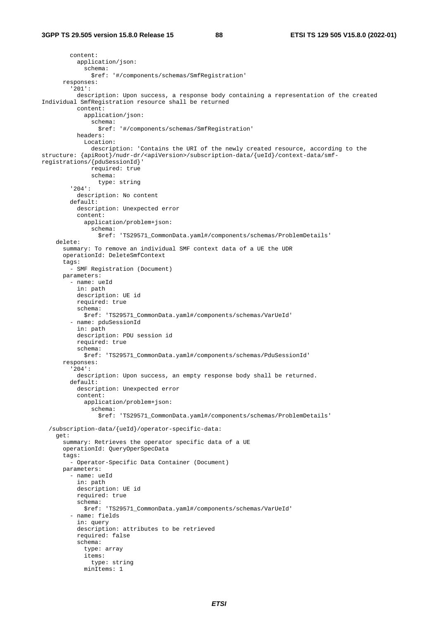content: application/json: schema: \$ref: '#/components/schemas/SmfRegistration' responses: '201': description: Upon success, a response body containing a representation of the created Individual SmfRegistration resource shall be returned content: application/json: schema: \$ref: '#/components/schemas/SmfRegistration' headers: Location: description: 'Contains the URI of the newly created resource, according to the structure: {apiRoot}/nudr-dr/<apiVersion>/subscription-data/{ueId}/context-data/smfregistrations/{pduSessionId}' required: true schema: type: string '204': description: No content default: description: Unexpected error content: application/problem+json: schema: \$ref: 'TS29571\_CommonData.yaml#/components/schemas/ProblemDetails' delete: summary: To remove an individual SMF context data of a UE the UDR operationId: DeleteSmfContext tags: - SMF Registration (Document) parameters: - name: ueId in: path description: UE id required: true schema: \$ref: 'TS29571\_CommonData.yaml#/components/schemas/VarUeId' - name: pduSessionId in: path description: PDU session id required: true schema: \$ref: 'TS29571\_CommonData.yaml#/components/schemas/PduSessionId' responses: '204': description: Upon success, an empty response body shall be returned. default: description: Unexpected error content: application/problem+json: schema: \$ref: 'TS29571\_CommonData.yaml#/components/schemas/ProblemDetails' /subscription-data/{ueId}/operator-specific-data: get: summary: Retrieves the operator specific data of a UE operationId: QueryOperSpecData tags: - Operator-Specific Data Container (Document) parameters: - name: ueId in: path description: UE id required: true schema: \$ref: 'TS29571\_CommonData.yaml#/components/schemas/VarUeId' - name: fields in: query description: attributes to be retrieved required: false schema: type: array items: type: string minItems: 1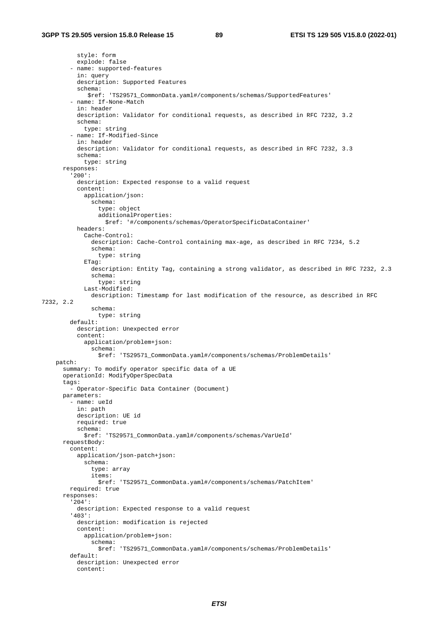style: form explode: false - name: supported-features in: query description: Supported Features schema: \$ref: 'TS29571\_CommonData.yaml#/components/schemas/SupportedFeatures' - name: If-None-Match in: header description: Validator for conditional requests, as described in RFC 7232, 3.2 schema: type: string - name: If-Modified-Since in: header description: Validator for conditional requests, as described in RFC 7232, 3.3 schema: type: string responses: '200': description: Expected response to a valid request content: application/json: schema: type: object additionalProperties: \$ref: '#/components/schemas/OperatorSpecificDataContainer' headers: Cache-Control: description: Cache-Control containing max-age, as described in RFC 7234, 5.2 schema: type: string ETag: description: Entity Tag, containing a strong validator, as described in RFC 7232, 2.3 schema: type: string Last-Modified: description: Timestamp for last modification of the resource, as described in RFC 7232, 2.2 schema: type: string default: description: Unexpected error content: application/problem+json: schema: \$ref: 'TS29571\_CommonData.yaml#/components/schemas/ProblemDetails' patch: summary: To modify operator specific data of a UE operationId: ModifyOperSpecData tags: - Operator-Specific Data Container (Document) parameters: - name: ueId in: path description: UE id required: true schema: \$ref: 'TS29571\_CommonData.yaml#/components/schemas/VarUeId' requestBody: content: application/json-patch+json: schema: type: array items: \$ref: 'TS29571\_CommonData.yaml#/components/schemas/PatchItem' required: true responses: '204': description: Expected response to a valid request '403': description: modification is rejected content: application/problem+json: schema: \$ref: 'TS29571\_CommonData.yaml#/components/schemas/ProblemDetails' default: description: Unexpected error content: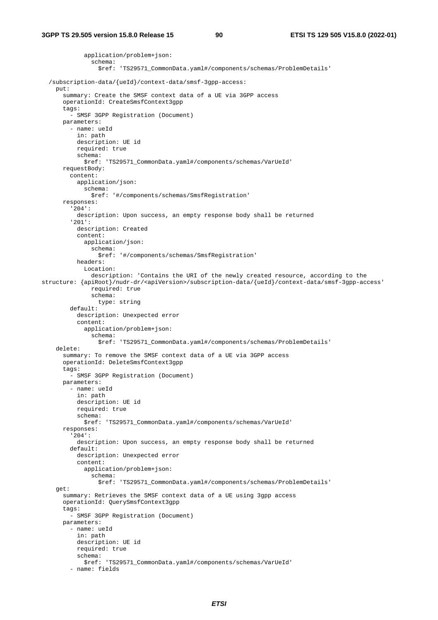```
 application/problem+json: 
                schema: 
                  $ref: 'TS29571_CommonData.yaml#/components/schemas/ProblemDetails' 
   /subscription-data/{ueId}/context-data/smsf-3gpp-access: 
     put: 
       summary: Create the SMSF context data of a UE via 3GPP access 
       operationId: CreateSmsfContext3gpp 
       tags: 
          - SMSF 3GPP Registration (Document) 
       parameters: 
         - name: ueId 
           in: path 
           description: UE id 
           required: true 
           schema: 
              $ref: 'TS29571_CommonData.yaml#/components/schemas/VarUeId' 
       requestBody: 
         content: 
           application/json: 
              schema: 
                $ref: '#/components/schemas/SmsfRegistration' 
       responses: 
          '204': 
           description: Upon success, an empty response body shall be returned 
          '201': 
           description: Created 
           content: 
             application/json: 
                schema: 
                  $ref: '#/components/schemas/SmsfRegistration' 
           headers: 
              Location: 
                description: 'Contains the URI of the newly created resource, according to the 
structure: {apiRoot}/nudr-dr/<apiVersion>/subscription-data/{ueId}/context-data/smsf-3gpp-access' 
                required: true 
                schema: 
                  type: string 
         default: 
           description: Unexpected error 
            content: 
              application/problem+json: 
                schema: 
                  $ref: 'TS29571_CommonData.yaml#/components/schemas/ProblemDetails' 
     delete: 
       summary: To remove the SMSF context data of a UE via 3GPP access 
       operationId: DeleteSmsfContext3gpp 
       tags: 
          - SMSF 3GPP Registration (Document) 
       parameters: 
         - name: ueId 
           in: path 
           description: UE id 
           required: true 
           schema: 
             $ref: 'TS29571_CommonData.yaml#/components/schemas/VarUeId' 
       responses: 
          '204': 
           description: Upon success, an empty response body shall be returned 
         default: 
           description: Unexpected error 
            content: 
             application/problem+json: 
                schema: 
                  $ref: 'TS29571_CommonData.yaml#/components/schemas/ProblemDetails' 
     get: 
       summary: Retrieves the SMSF context data of a UE using 3gpp access 
       operationId: QuerySmsfContext3gpp 
       tags: 
         - SMSF 3GPP Registration (Document) 
       parameters: 
         - name: ueId 
           in: path 
           description: UE id 
           required: true 
           schema: 
              $ref: 'TS29571_CommonData.yaml#/components/schemas/VarUeId' 
          - name: fields
```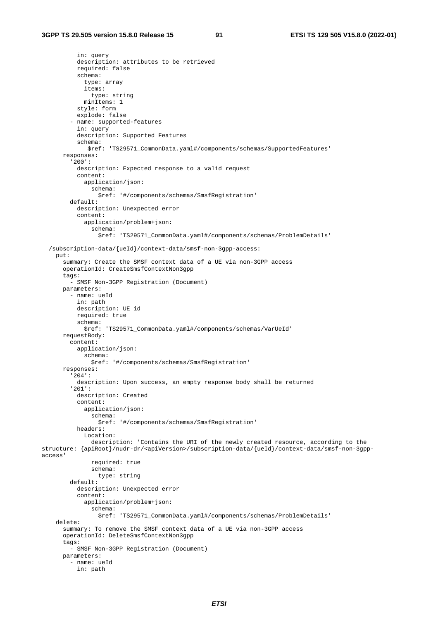in: query

```
 description: attributes to be retrieved 
           required: false 
            schema: 
              type: array 
              items: 
                type: string 
            minTtems: 1
           style: form 
            explode: false 
          - name: supported-features 
           in: query 
           description: Supported Features 
            schema: 
              $ref: 'TS29571_CommonData.yaml#/components/schemas/SupportedFeatures' 
       responses: 
          '200': 
           description: Expected response to a valid request 
            content: 
             application/json: 
                schema: 
                  $ref: '#/components/schemas/SmsfRegistration' 
         default: 
           description: Unexpected error 
            content: 
              application/problem+json: 
                schema: 
                  $ref: 'TS29571_CommonData.yaml#/components/schemas/ProblemDetails' 
   /subscription-data/{ueId}/context-data/smsf-non-3gpp-access: 
     put: 
       summary: Create the SMSF context data of a UE via non-3GPP access 
       operationId: CreateSmsfContextNon3gpp 
       tags: 
          - SMSF Non-3GPP Registration (Document) 
       parameters: 
         - name: ueId 
           in: path 
           description: UE id 
           required: true 
           schema: 
             $ref: 'TS29571_CommonData.yaml#/components/schemas/VarUeId' 
       requestBody: 
         content: 
            application/json: 
              schema: 
                $ref: '#/components/schemas/SmsfRegistration' 
       responses: 
          '204': 
           description: Upon success, an empty response body shall be returned 
          '201': 
           description: Created 
           content: 
              application/json: 
                schema: 
                  $ref: '#/components/schemas/SmsfRegistration' 
           headers: 
              Location: 
                description: 'Contains the URI of the newly created resource, according to the 
structure: {apiRoot}/nudr-dr/<apiVersion>/subscription-data/{ueId}/context-data/smsf-non-3gpp-
access' 
                required: true 
                schema: 
                  type: string 
         default: 
           description: Unexpected error 
            content: 
              application/problem+json: 
                schema: 
                  $ref: 'TS29571_CommonData.yaml#/components/schemas/ProblemDetails' 
     delete: 
       summary: To remove the SMSF context data of a UE via non-3GPP access 
       operationId: DeleteSmsfContextNon3gpp 
       tags: 
          - SMSF Non-3GPP Registration (Document) 
       parameters: 
         - name: ueId 
           in: path
```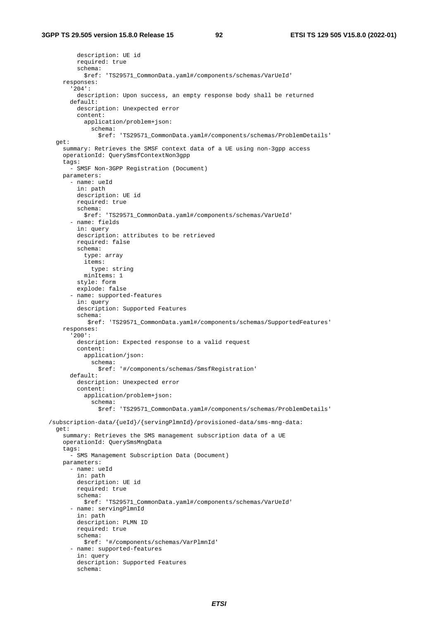description: UE id required: true schema: \$ref: 'TS29571\_CommonData.yaml#/components/schemas/VarUeId' responses: '204': description: Upon success, an empty response body shall be returned default: description: Unexpected error content: application/problem+json: schema: \$ref: 'TS29571\_CommonData.yaml#/components/schemas/ProblemDetails' get: summary: Retrieves the SMSF context data of a UE using non-3gpp access operationId: QuerySmsfContextNon3gpp tags: - SMSF Non-3GPP Registration (Document) parameters: - name: ueId in: path description: UE id required: true schema: \$ref: 'TS29571\_CommonData.yaml#/components/schemas/VarUeId' - name: fields in: query description: attributes to be retrieved required: false schema: type: array items: type: string minItems: 1 style: form explode: false - name: supported-features in: query description: Supported Features schema: \$ref: 'TS29571\_CommonData.yaml#/components/schemas/SupportedFeatures' responses: '200': description: Expected response to a valid request content: application/json: schema: \$ref: '#/components/schemas/SmsfRegistration' default: description: Unexpected error content: application/problem+json: schema: \$ref: 'TS29571\_CommonData.yaml#/components/schemas/ProblemDetails' /subscription-data/{ueId}/{servingPlmnId}/provisioned-data/sms-mng-data: get: summary: Retrieves the SMS management subscription data of a UE operationId: QuerySmsMngData tags: - SMS Management Subscription Data (Document) parameters: - name: ueId in: path description: UE id required: true schema: \$ref: 'TS29571\_CommonData.yaml#/components/schemas/VarUeId' - name: servingPlmnId in: path description: PLMN ID required: true schema: \$ref: '#/components/schemas/VarPlmnId' - name: supported-features in: query description: Supported Features schema: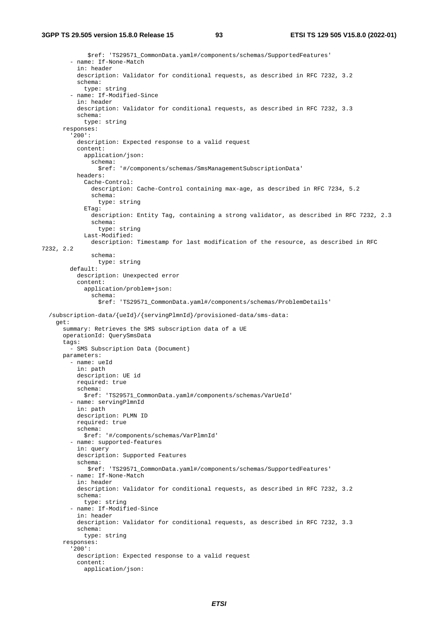```
 $ref: 'TS29571_CommonData.yaml#/components/schemas/SupportedFeatures' 
          - name: If-None-Match 
           in: header 
           description: Validator for conditional requests, as described in RFC 7232, 3.2 
           schema: 
             type: string 
          - name: If-Modified-Since 
           in: header 
           description: Validator for conditional requests, as described in RFC 7232, 3.3 
           schema: 
             type: string 
       responses: 
          '200': 
           description: Expected response to a valid request 
           content: 
             application/json: 
                schema: 
                  $ref: '#/components/schemas/SmsManagementSubscriptionData' 
           headers: 
              Cache-Control: 
                description: Cache-Control containing max-age, as described in RFC 7234, 5.2 
                schema: 
                  type: string 
              ETag: 
                description: Entity Tag, containing a strong validator, as described in RFC 7232, 2.3 
                schema: 
                  type: string 
              Last-Modified: 
                description: Timestamp for last modification of the resource, as described in RFC 
7232, 2.2 
                schema: 
                 type: string 
         default: 
           description: Unexpected error 
           content: 
              application/problem+json: 
                schema: 
                  $ref: 'TS29571_CommonData.yaml#/components/schemas/ProblemDetails' 
   /subscription-data/{ueId}/{servingPlmnId}/provisioned-data/sms-data: 
     get: 
       summary: Retrieves the SMS subscription data of a UE 
       operationId: QuerySmsData 
       tags: 
         - SMS Subscription Data (Document) 
       parameters: 
         - name: ueId 
           in: path 
           description: UE id 
           required: true 
           schema: 
             $ref: 'TS29571_CommonData.yaml#/components/schemas/VarUeId' 
          - name: servingPlmnId 
            in: path 
           description: PLMN ID 
           required: true 
           schema: 
             $ref: '#/components/schemas/VarPlmnId' 
          - name: supported-features 
           in: query 
           description: Supported Features 
           schema: 
              $ref: 'TS29571_CommonData.yaml#/components/schemas/SupportedFeatures' 
          - name: If-None-Match 
           in: header 
           description: Validator for conditional requests, as described in RFC 7232, 3.2 
           schema: 
             type: string 
          - name: If-Modified-Since 
           in: header 
           description: Validator for conditional requests, as described in RFC 7232, 3.3 
           schema: 
             type: string 
       responses: 
          '200': 
           description: Expected response to a valid request 
           content: 
              application/json:
```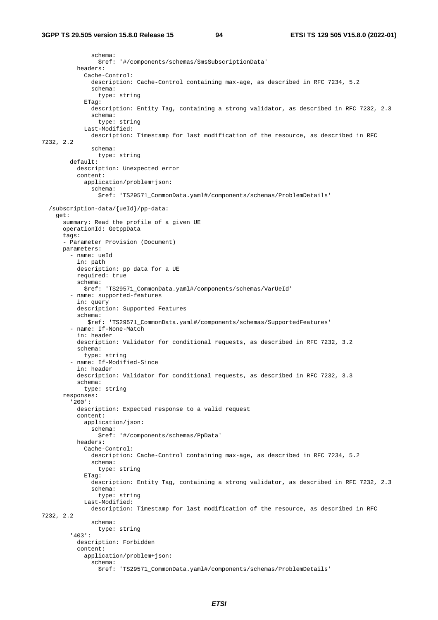schema: \$ref: '#/components/schemas/SmsSubscriptionData' headers: Cache-Control: description: Cache-Control containing max-age, as described in RFC 7234, 5.2 schema: type: string ETag: description: Entity Tag, containing a strong validator, as described in RFC 7232, 2.3 schema: type: string Last-Modified: description: Timestamp for last modification of the resource, as described in RFC 7232, 2.2 schema: type: string default: description: Unexpected error content: application/problem+json: schema: \$ref: 'TS29571\_CommonData.yaml#/components/schemas/ProblemDetails' /subscription-data/{ueId}/pp-data: get: summary: Read the profile of a given UE operationId: GetppData tags: - Parameter Provision (Document) parameters: - name: ueId in: path description: pp data for a UE required: true schema: \$ref: 'TS29571\_CommonData.yaml#/components/schemas/VarUeId' - name: supported-features in: query description: Supported Features schema: \$ref: 'TS29571\_CommonData.yaml#/components/schemas/SupportedFeatures' - name: If-None-Match in: header description: Validator for conditional requests, as described in RFC 7232, 3.2 schema: type: string - name: If-Modified-Since in: header description: Validator for conditional requests, as described in RFC 7232, 3.3 schema: type: string responses: '200': description: Expected response to a valid request content: application/json: schema: \$ref: '#/components/schemas/PpData' headers: Cache-Control: description: Cache-Control containing max-age, as described in RFC 7234, 5.2 schema: type: string ETag: description: Entity Tag, containing a strong validator, as described in RFC 7232, 2.3 schema: type: string Last-Modified: description: Timestamp for last modification of the resource, as described in RFC 7232, 2.2 schema: type: string '403': description: Forbidden content: application/problem+json: schema: \$ref: 'TS29571\_CommonData.yaml#/components/schemas/ProblemDetails'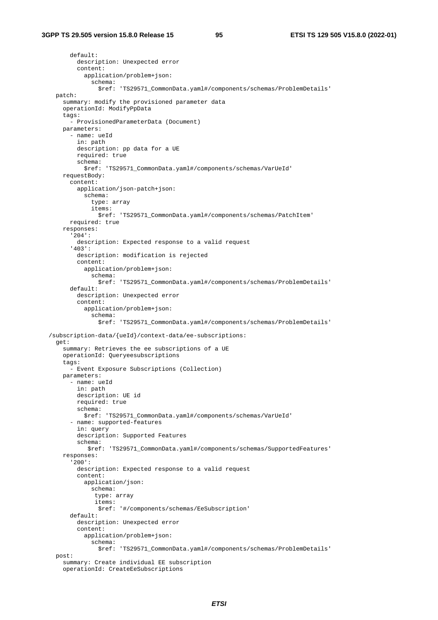default:

 description: Unexpected error content: application/problem+json: schema: \$ref: 'TS29571\_CommonData.yaml#/components/schemas/ProblemDetails' patch: summary: modify the provisioned parameter data operationId: ModifyPpData tags: - ProvisionedParameterData (Document) parameters: - name: ueId in: path description: pp data for a UE required: true schema: \$ref: 'TS29571\_CommonData.yaml#/components/schemas/VarUeId' requestBody: content: application/json-patch+json: schema: type: array items: \$ref: 'TS29571\_CommonData.yaml#/components/schemas/PatchItem' required: true responses: '204': description: Expected response to a valid request '403': description: modification is rejected content: application/problem+json: schema: \$ref: 'TS29571\_CommonData.yaml#/components/schemas/ProblemDetails' default: description: Unexpected error content: application/problem+json: schema: \$ref: 'TS29571\_CommonData.yaml#/components/schemas/ProblemDetails' /subscription-data/{ueId}/context-data/ee-subscriptions: get: summary: Retrieves the ee subscriptions of a UE operationId: Queryeesubscriptions tags: - Event Exposure Subscriptions (Collection) parameters: - name: ueId in: path description: UE id required: true schema: \$ref: 'TS29571\_CommonData.yaml#/components/schemas/VarUeId' - name: supported-features in: query description: Supported Features schema: \$ref: 'TS29571\_CommonData.yaml#/components/schemas/SupportedFeatures' responses: '200': description: Expected response to a valid request content: application/json: schema: type: array items: \$ref: '#/components/schemas/EeSubscription' default: description: Unexpected error content: application/problem+json: schema: \$ref: 'TS29571\_CommonData.yaml#/components/schemas/ProblemDetails' post: summary: Create individual EE subscription operationId: CreateEeSubscriptions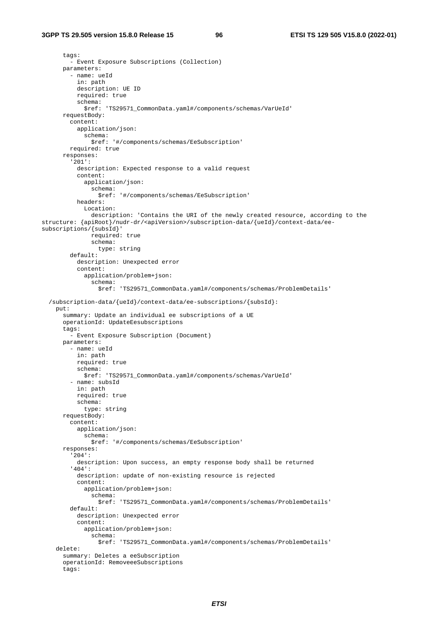#### **3GPP TS 29.505 version 15.8.0 Release 15 96 ETSI TS 129 505 V15.8.0 (2022-01)**

```
 tags: 
          - Event Exposure Subscriptions (Collection) 
       parameters: 
          - name: ueId 
           in: path 
           description: UE ID 
           required: true 
           schema: 
              $ref: 'TS29571_CommonData.yaml#/components/schemas/VarUeId' 
       requestBody: 
         content: 
           application/json: 
              schema: 
                $ref: '#/components/schemas/EeSubscription' 
         required: true 
       responses: 
          '201': 
           description: Expected response to a valid request 
            content: 
             application/json: 
                schema: 
                  $ref: '#/components/schemas/EeSubscription' 
           headers: 
              Location: 
                description: 'Contains the URI of the newly created resource, according to the 
structure: {apiRoot}/nudr-dr/<apiVersion>/subscription-data/{ueId}/context-data/ee-
subscriptions/{subsId}' 
                required: true 
                schema: 
                  type: string 
         default: 
           description: Unexpected error 
            content: 
              application/problem+json: 
                schema: 
                  $ref: 'TS29571_CommonData.yaml#/components/schemas/ProblemDetails' 
   /subscription-data/{ueId}/context-data/ee-subscriptions/{subsId}: 
     put: 
       summary: Update an individual ee subscriptions of a UE 
       operationId: UpdateEesubscriptions 
       tags: 
          - Event Exposure Subscription (Document) 
       parameters: 
          - name: ueId 
           in: path 
           required: true 
           schema: 
              $ref: 'TS29571_CommonData.yaml#/components/schemas/VarUeId' 
          - name: subsId 
           in: path 
           required: true 
            schema: 
              type: string 
       requestBody: 
         content: 
            application/json: 
              schema: 
                $ref: '#/components/schemas/EeSubscription' 
       responses: 
          '204': 
           description: Upon success, an empty response body shall be returned 
          '404': 
           description: update of non-existing resource is rejected 
           content: 
              application/problem+json: 
                schema: 
                  $ref: 'TS29571_CommonData.yaml#/components/schemas/ProblemDetails' 
         default: 
           description: Unexpected error 
            content: 
              application/problem+json: 
                schema: 
                  $ref: 'TS29571_CommonData.yaml#/components/schemas/ProblemDetails' 
     delete: 
       summary: Deletes a eeSubscription 
       operationId: RemoveeeSubscriptions 
       tags:
```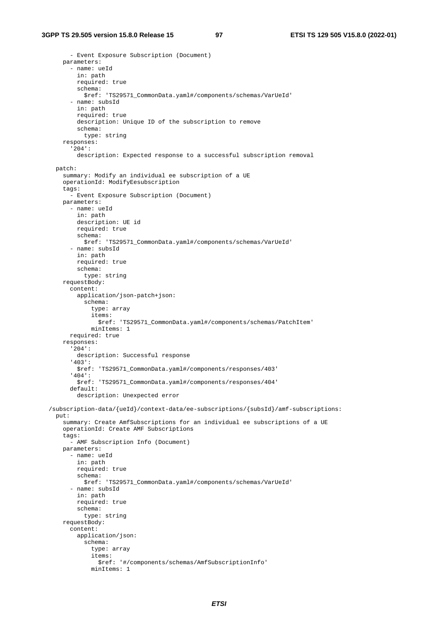```
 - Event Exposure Subscription (Document) 
     parameters: 
       - name: ueId 
         in: path 
         required: true 
         schema: 
           $ref: 'TS29571_CommonData.yaml#/components/schemas/VarUeId' 
       - name: subsId 
         in: path 
         required: true 
         description: Unique ID of the subscription to remove 
         schema: 
           type: string 
     responses: 
       '204': 
         description: Expected response to a successful subscription removal 
  patch: 
     summary: Modify an individual ee subscription of a UE 
     operationId: ModifyEesubscription 
     tags: 
       - Event Exposure Subscription (Document) 
     parameters: 
       - name: ueId 
         in: path 
         description: UE id 
         required: true 
         schema: 
           $ref: 'TS29571_CommonData.yaml#/components/schemas/VarUeId' 
       - name: subsId 
         in: path 
         required: true 
         schema: 
           type: string 
     requestBody: 
       content: 
         application/json-patch+json: 
           schema: 
              type: array 
              items: 
                $ref: 'TS29571_CommonData.yaml#/components/schemas/PatchItem' 
             minItems: 1 
       required: true 
     responses: 
       '204': 
         description: Successful response 
       '403': 
         $ref: 'TS29571_CommonData.yaml#/components/responses/403' 
       '404': 
         $ref: 'TS29571_CommonData.yaml#/components/responses/404' 
       default: 
         description: Unexpected error 
 /subscription-data/{ueId}/context-data/ee-subscriptions/{subsId}/amf-subscriptions: 
  put: 
     summary: Create AmfSubscriptions for an individual ee subscriptions of a UE 
     operationId: Create AMF Subscriptions 
     tags: 
       - AMF Subscription Info (Document) 
     parameters: 
       - name: ueId 
         in: path 
         required: true 
         schema: 
           $ref: 'TS29571_CommonData.yaml#/components/schemas/VarUeId' 
       - name: subsId 
         in: path 
         required: true 
         schema: 
           type: string 
     requestBody: 
       content: 
         application/json: 
           schema: 
              type: array 
              items: 
                $ref: '#/components/schemas/AmfSubscriptionInfo' 
             minItems: 1
```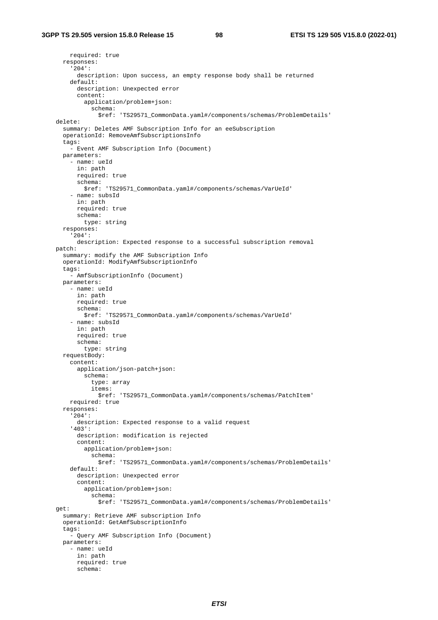```
 required: true 
   responses: 
     '204': 
       description: Upon success, an empty response body shall be returned 
     default: 
       description: Unexpected error 
       content: 
         application/problem+json: 
           schema: 
              $ref: 'TS29571_CommonData.yaml#/components/schemas/ProblemDetails' 
 delete: 
   summary: Deletes AMF Subscription Info for an eeSubscription 
   operationId: RemoveAmfSubscriptionsInfo 
   tags: 
     - Event AMF Subscription Info (Document) 
   parameters: 
     - name: ueId 
       in: path 
       required: true 
       schema: 
         $ref: 'TS29571_CommonData.yaml#/components/schemas/VarUeId' 
     - name: subsId 
       in: path 
       required: true 
       schema: 
         type: string 
   responses: 
     '204': 
       description: Expected response to a successful subscription removal 
 patch: 
   summary: modify the AMF Subscription Info 
   operationId: ModifyAmfSubscriptionInfo 
   tags: 
     - AmfSubscriptionInfo (Document) 
   parameters: 
     - name: ueId 
       in: path 
       required: true 
       schema: 
         $ref: 'TS29571_CommonData.yaml#/components/schemas/VarUeId' 
     - name: subsId 
       in: path 
       required: true 
       schema: 
         type: string 
   requestBody: 
     content: 
       application/json-patch+json: 
         schema: 
           type: array 
           items: 
              $ref: 'TS29571_CommonData.yaml#/components/schemas/PatchItem' 
     required: true 
   responses: 
     '204': 
       description: Expected response to a valid request 
     '403': 
       description: modification is rejected 
       content: 
         application/problem+json: 
           schema: 
              $ref: 'TS29571_CommonData.yaml#/components/schemas/ProblemDetails' 
     default: 
       description: Unexpected error 
       content: 
         application/problem+json: 
            schema: 
              $ref: 'TS29571_CommonData.yaml#/components/schemas/ProblemDetails' 
 get: 
   summary: Retrieve AMF subscription Info 
   operationId: GetAmfSubscriptionInfo 
   tags: 
     - Query AMF Subscription Info (Document) 
   parameters: 
      - name: ueId 
       in: path 
       required: true 
       schema:
```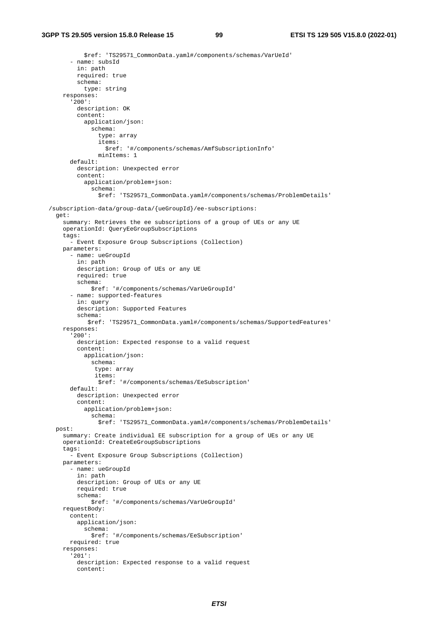\$ref: 'TS29571\_CommonData.yaml#/components/schemas/VarUeId' - name: subsId in: path required: true schema: type: string responses: '200': description: OK content: application/json: schema: type: array items: \$ref: '#/components/schemas/AmfSubscriptionInfo' minItems: 1 default: description: Unexpected error content: application/problem+json: schema: \$ref: 'TS29571\_CommonData.yaml#/components/schemas/ProblemDetails' /subscription-data/group-data/{ueGroupId}/ee-subscriptions: get: summary: Retrieves the ee subscriptions of a group of UEs or any UE operationId: QueryEeGroupSubscriptions tags: - Event Exposure Group Subscriptions (Collection) parameters: - name: ueGroupId in: path description: Group of UEs or any UE required: true schema: \$ref: '#/components/schemas/VarUeGroupId' - name: supported-features in: query description: Supported Features schema: \$ref: 'TS29571\_CommonData.yaml#/components/schemas/SupportedFeatures' responses: '200': description: Expected response to a valid request content: application/json: schema: type: array items: \$ref: '#/components/schemas/EeSubscription' default: description: Unexpected error content: application/problem+json: schema: \$ref: 'TS29571\_CommonData.yaml#/components/schemas/ProblemDetails' post: summary: Create individual EE subscription for a group of UEs or any UE operationId: CreateEeGroupSubscriptions tags: - Event Exposure Group Subscriptions (Collection) parameters: - name: ueGroupId in: path description: Group of UEs or any UE required: true schema: \$ref: '#/components/schemas/VarUeGroupId' requestBody: content: application/json: schema: \$ref: '#/components/schemas/EeSubscription' required: true responses: '201': description: Expected response to a valid request content: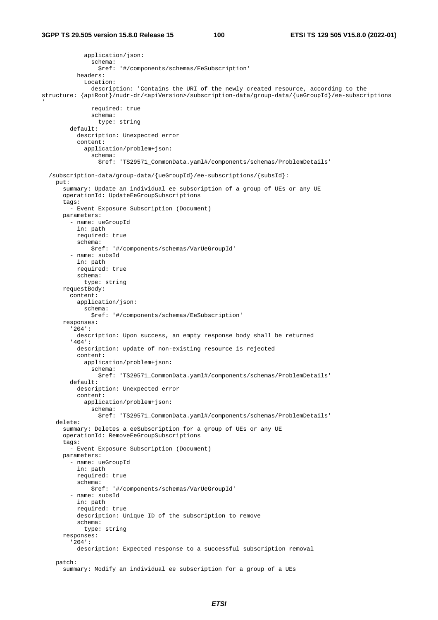```
 application/json: 
                schema: 
                  $ref: '#/components/schemas/EeSubscription' 
           headers: 
              Location: 
                description: 'Contains the URI of the newly created resource, according to the 
structure: {apiRoot}/nudr-dr/<apiVersion>/subscription-data/group-data/{ueGroupId}/ee-subscriptions 
' 
                required: true 
                schema: 
                  type: string 
         default: 
           description: Unexpected error 
           content: 
              application/problem+json: 
               schema: 
                  $ref: 'TS29571_CommonData.yaml#/components/schemas/ProblemDetails' 
   /subscription-data/group-data/{ueGroupId}/ee-subscriptions/{subsId}: 
     put: 
       summary: Update an individual ee subscription of a group of UEs or any UE 
       operationId: UpdateEeGroupSubscriptions 
       tags: 
         - Event Exposure Subscription (Document) 
       parameters: 
          - name: ueGroupId 
           in: path 
           required: true 
           schema: 
               $ref: '#/components/schemas/VarUeGroupId' 
         - name: subsId 
           in: path 
           required: true 
           schema: 
             type: string 
       requestBody: 
         content: 
           application/json: 
              schema: 
               $ref: '#/components/schemas/EeSubscription' 
       responses: 
          '204': 
           description: Upon success, an empty response body shall be returned 
          '404': 
           description: update of non-existing resource is rejected 
           content: 
              application/problem+json: 
                schema: 
                  $ref: 'TS29571_CommonData.yaml#/components/schemas/ProblemDetails' 
         default: 
           description: Unexpected error 
           content: 
              application/problem+json: 
                schema: 
                  $ref: 'TS29571_CommonData.yaml#/components/schemas/ProblemDetails' 
     delete: 
       summary: Deletes a eeSubscription for a group of UEs or any UE 
       operationId: RemoveEeGroupSubscriptions 
       tags: 
         - Event Exposure Subscription (Document) 
       parameters: 
         - name: ueGroupId 
           in: path 
           required: true 
           schema: 
                $ref: '#/components/schemas/VarUeGroupId' 
          - name: subsId 
           in: path 
           required: true 
           description: Unique ID of the subscription to remove 
           schema: 
             type: string 
       responses: 
          '204': 
           description: Expected response to a successful subscription removal 
     patch: 
       summary: Modify an individual ee subscription for a group of a UEs
```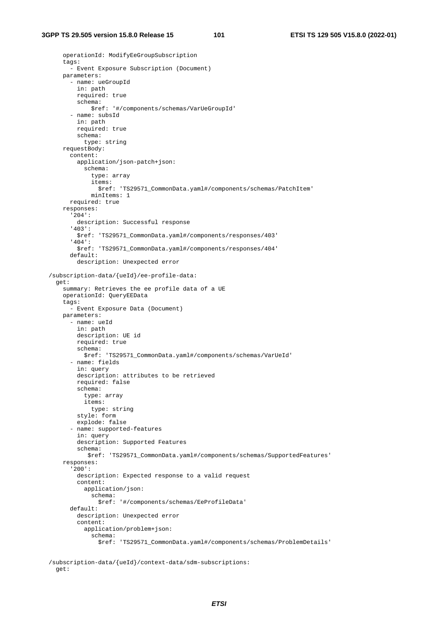```
 operationId: ModifyEeGroupSubscription 
    tags:
       - Event Exposure Subscription (Document) 
     parameters: 
       - name: ueGroupId 
         in: path 
         required: true 
         schema: 
             $ref: '#/components/schemas/VarUeGroupId' 
       - name: subsId 
         in: path 
         required: true 
         schema: 
           type: string 
     requestBody: 
       content: 
         application/json-patch+json: 
            schema: 
              type: array 
              items: 
               $ref: 'TS29571_CommonData.yaml#/components/schemas/PatchItem' 
              minItems: 1 
       required: true 
     responses: 
       '204': 
         description: Successful response 
       '403': 
         $ref: 'TS29571_CommonData.yaml#/components/responses/403' 
       '404': 
         $ref: 'TS29571_CommonData.yaml#/components/responses/404' 
       default: 
         description: Unexpected error 
 /subscription-data/{ueId}/ee-profile-data: 
   get: 
     summary: Retrieves the ee profile data of a UE 
     operationId: QueryEEData 
    tags:
       - Event Exposure Data (Document) 
     parameters: 
       - name: ueId 
         in: path 
         description: UE id 
         required: true 
         schema: 
           $ref: 'TS29571_CommonData.yaml#/components/schemas/VarUeId' 
       - name: fields 
         in: query 
         description: attributes to be retrieved 
         required: false 
         schema: 
           type: array 
           items: 
              type: string 
         style: form 
         explode: false 
       - name: supported-features 
         in: query 
         description: Supported Features 
         schema: 
            $ref: 'TS29571_CommonData.yaml#/components/schemas/SupportedFeatures' 
     responses: 
       '200': 
         description: Expected response to a valid request 
         content: 
            application/json: 
              schema: 
               $ref: '#/components/schemas/EeProfileData' 
       default: 
         description: Unexpected error 
         content: 
           application/problem+json: 
              schema: 
                $ref: 'TS29571_CommonData.yaml#/components/schemas/ProblemDetails'
```
 /subscription-data/{ueId}/context-data/sdm-subscriptions: get: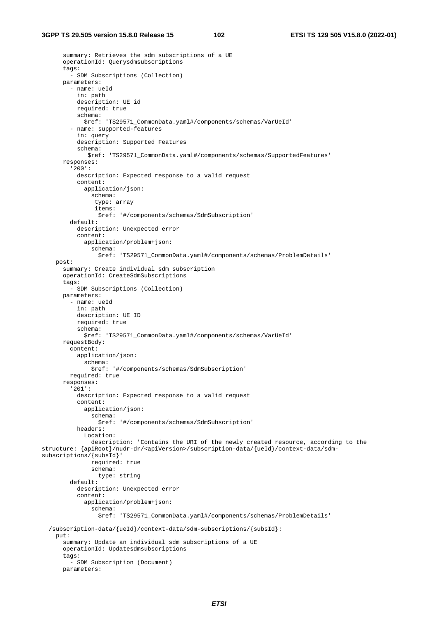```
 summary: Retrieves the sdm subscriptions of a UE 
       operationId: Querysdmsubscriptions 
       tags: 
         - SDM Subscriptions (Collection) 
       parameters: 
          - name: ueId 
            in: path 
           description: UE id 
           required: true 
           schema: 
             $ref: 'TS29571_CommonData.yaml#/components/schemas/VarUeId' 
          - name: supported-features 
            in: query 
            description: Supported Features 
           schema: 
              $ref: 'TS29571_CommonData.yaml#/components/schemas/SupportedFeatures' 
       responses: 
          '200': 
           description: Expected response to a valid request 
           content: 
              application/json: 
                schema: 
                 type: array 
                 items: 
                  $ref: '#/components/schemas/SdmSubscription' 
         default: 
            description: Unexpected error 
            content: 
              application/problem+json: 
                schema: 
                  $ref: 'TS29571_CommonData.yaml#/components/schemas/ProblemDetails' 
     post: 
       summary: Create individual sdm subscription 
       operationId: CreateSdmSubscriptions 
       tags: 
          - SDM Subscriptions (Collection) 
       parameters: 
         - name: ueId 
           in: path 
           description: UE ID 
           required: true 
           schema: 
              $ref: 'TS29571_CommonData.yaml#/components/schemas/VarUeId' 
       requestBody: 
         content: 
           application/json: 
              schema: 
                $ref: '#/components/schemas/SdmSubscription' 
         required: true 
       responses: 
          '201': 
           description: Expected response to a valid request 
            content: 
              application/json: 
                schema: 
                  $ref: '#/components/schemas/SdmSubscription' 
           headers: 
              Location: 
                description: 'Contains the URI of the newly created resource, according to the 
structure: {apiRoot}/nudr-dr/<apiVersion>/subscription-data/{ueId}/context-data/sdm-
subscriptions/{subsId}' 
                required: true 
                schema: 
                  type: string 
         default: 
           description: Unexpected error 
            content: 
              application/problem+json: 
                schema: 
                  $ref: 'TS29571_CommonData.yaml#/components/schemas/ProblemDetails' 
   /subscription-data/{ueId}/context-data/sdm-subscriptions/{subsId}: 
     put: 
       summary: Update an individual sdm subscriptions of a UE 
       operationId: Updatesdmsubscriptions 
       tags: 
          - SDM Subscription (Document) 
       parameters:
```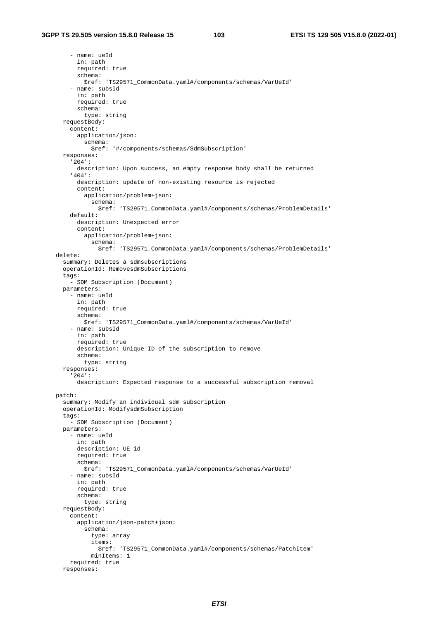- name: ueId in: path required: true schema: \$ref: 'TS29571\_CommonData.yaml#/components/schemas/VarUeId' - name: subsId in: path required: true schema: type: string requestBody: content: application/json: schema: \$ref: '#/components/schemas/SdmSubscription' responses: '204': description: Upon success, an empty response body shall be returned '404': description: update of non-existing resource is rejected content: application/problem+json: schema: \$ref: 'TS29571\_CommonData.yaml#/components/schemas/ProblemDetails' default: description: Unexpected error content: application/problem+json: schema: \$ref: 'TS29571\_CommonData.yaml#/components/schemas/ProblemDetails' delete: summary: Deletes a sdmsubscriptions operationId: RemovesdmSubscriptions tags: - SDM Subscription (Document) parameters: - name: ueId in: path required: true schema: \$ref: 'TS29571\_CommonData.yaml#/components/schemas/VarUeId' - name: subsId in: path required: true description: Unique ID of the subscription to remove schema: type: string responses: '204': description: Expected response to a successful subscription removal patch: summary: Modify an individual sdm subscription operationId: ModifysdmSubscription tags: - SDM Subscription (Document) parameters: - name: ueId in: path description: UE id required: true schema: \$ref: 'TS29571\_CommonData.yaml#/components/schemas/VarUeId' - name: subsId in: path required: true schema: type: string requestBody: content: application/json-patch+json: schema: type: array items: \$ref: 'TS29571\_CommonData.yaml#/components/schemas/PatchItem' minItems: 1 required: true responses: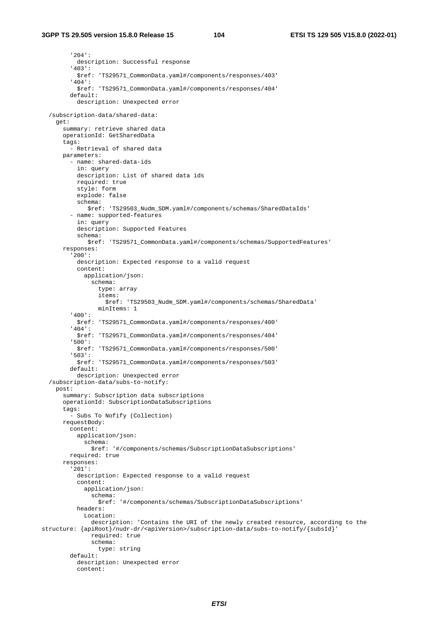'204': description: Successful response '403': \$ref: 'TS29571\_CommonData.yaml#/components/responses/403' '404': \$ref: 'TS29571\_CommonData.yaml#/components/responses/404' default: description: Unexpected error /subscription-data/shared-data: get: summary: retrieve shared data operationId: GetSharedData tags: - Retrieval of shared data parameters: - name: shared-data-ids in: query description: List of shared data ids required: true style: form explode: false schema: \$ref: 'TS29503\_Nudm\_SDM.yaml#/components/schemas/SharedDataIds' - name: supported-features in: query description: Supported Features schema: \$ref: 'TS29571\_CommonData.yaml#/components/schemas/SupportedFeatures' responses: '200': description: Expected response to a valid request content: application/json: schema: type: array items: \$ref: 'TS29503\_Nudm\_SDM.yaml#/components/schemas/SharedData' minItems: 1 '400': \$ref: 'TS29571\_CommonData.yaml#/components/responses/400' '404': \$ref: 'TS29571\_CommonData.yaml#/components/responses/404' '500': \$ref: 'TS29571\_CommonData.yaml#/components/responses/500' '503': \$ref: 'TS29571\_CommonData.yaml#/components/responses/503' default: description: Unexpected error /subscription-data/subs-to-notify: post: summary: Subscription data subscriptions operationId: SubscriptionDataSubscriptions tags: - Subs To Nofify (Collection) requestBody: content: application/json: schema: \$ref: '#/components/schemas/SubscriptionDataSubscriptions' required: true responses: '201': description: Expected response to a valid request content: application/json: schema: \$ref: '#/components/schemas/SubscriptionDataSubscriptions' headers: Location: description: 'Contains the URI of the newly created resource, according to the structure: {apiRoot}/nudr-dr/<apiVersion>/subscription-data/subs-to-notify/{subsId} required: true schema: type: string default: description: Unexpected error content: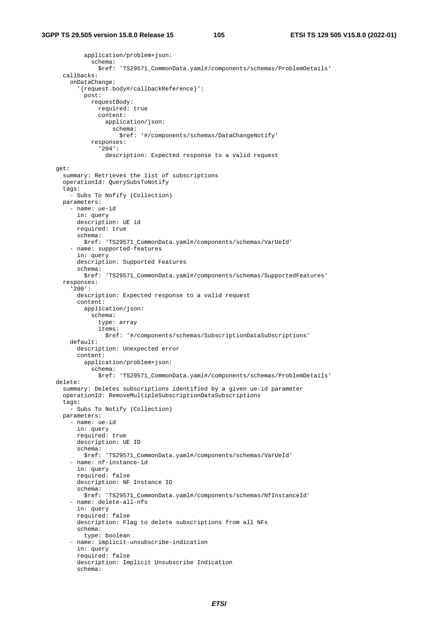```
 application/problem+json: 
            schema: 
              $ref: 'TS29571_CommonData.yaml#/components/schemas/ProblemDetails' 
   callbacks: 
     onDataChange: 
       '{request.body#/callbackReference}': 
         post: 
           requestBody: 
              required: true 
              content: 
                application/json: 
                  schema: 
                    $ref: '#/components/schemas/DataChangeNotify' 
            responses: 
              '204': 
                description: Expected response to a valid request 
 get: 
   summary: Retrieves the list of subscriptions 
   operationId: QuerySubsToNotify 
   tags: 
     - Subs To Nofify (Collection) 
   parameters: 
     - name: ue-id 
       in: query 
       description: UE id 
       required: true 
       schema: 
         $ref: 'TS29571_CommonData.yaml#/components/schemas/VarUeId' 
     - name: supported-features 
       in: query 
       description: Supported Features 
       schema: 
         $ref: 'TS29571_CommonData.yaml#/components/schemas/SupportedFeatures' 
   responses: 
     '200': 
       description: Expected response to a valid request 
       content: 
         application/json: 
           schema: 
              type: array 
              items: 
                $ref: '#/components/schemas/SubscriptionDataSubscriptions' 
     default: 
       description: Unexpected error 
       content: 
         application/problem+json: 
           schema: 
              $ref: 'TS29571_CommonData.yaml#/components/schemas/ProblemDetails' 
 delete: 
   summary: Deletes subscriptions identified by a given ue-id parameter 
   operationId: RemoveMultipleSubscriptionDataSubscriptions 
   tags: 
      - Subs To Notify (Collection) 
   parameters: 
     - name: ue-id 
       in: query 
       required: true 
       description: UE ID 
       schema: 
         $ref: 'TS29571_CommonData.yaml#/components/schemas/VarUeId' 
     - name: nf-instance-id 
       in: query 
       required: false 
       description: NF Instance ID 
       schema: 
         $ref: 'TS29571_CommonData.yaml#/components/schemas/NfInstanceId' 
     - name: delete-all-nfs 
       in: query 
       required: false 
       description: Flag to delete subscriptions from all NFs 
       schema: 
         type: boolean 
     - name: implicit-unsubscribe-indication 
       in: query 
       required: false 
       description: Implicit Unsubscribe Indication 
       schema:
```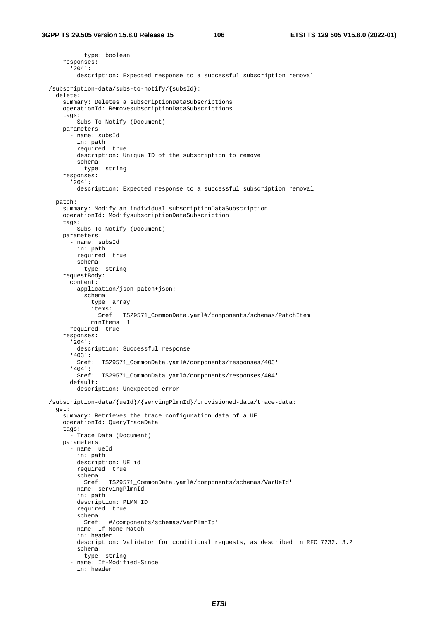```
 type: boolean 
    responses: 
       '204': 
         description: Expected response to a successful subscription removal 
 /subscription-data/subs-to-notify/{subsId}: 
  delete: 
    summary: Deletes a subscriptionDataSubscriptions 
    operationId: RemovesubscriptionDataSubscriptions 
     tags: 
      - Subs To Notify (Document) 
    parameters: 
       - name: subsId 
        in: path 
         required: true 
         description: Unique ID of the subscription to remove 
         schema: 
           type: string 
    responses: 
       '204': 
         description: Expected response to a successful subscription removal 
  patch: 
    summary: Modify an individual subscriptionDataSubscription 
     operationId: ModifysubscriptionDataSubscription 
     tags: 
       - Subs To Notify (Document) 
    parameters: 
       - name: subsId 
         in: path 
         required: true 
         schema: 
           type: string 
    requestBody: 
       content: 
         application/json-patch+json: 
           schema: 
             type: array 
             items: 
                $ref: 'TS29571_CommonData.yaml#/components/schemas/PatchItem' 
             minItems: 1 
       required: true 
    responses: 
       '204': 
         description: Successful response 
       '403': 
         $ref: 'TS29571_CommonData.yaml#/components/responses/403' 
       '404': 
         $ref: 'TS29571_CommonData.yaml#/components/responses/404' 
       default: 
         description: Unexpected error 
 /subscription-data/{ueId}/{servingPlmnId}/provisioned-data/trace-data: 
  get: 
    summary: Retrieves the trace configuration data of a UE 
    operationId: QueryTraceData 
     tags: 
       - Trace Data (Document) 
    parameters: 
       - name: ueId 
         in: path 
         description: UE id 
         required: true 
         schema: 
           $ref: 'TS29571_CommonData.yaml#/components/schemas/VarUeId' 
       - name: servingPlmnId 
         in: path 
         description: PLMN ID 
         required: true 
         schema: 
           $ref: '#/components/schemas/VarPlmnId' 
       - name: If-None-Match 
         in: header 
         description: Validator for conditional requests, as described in RFC 7232, 3.2 
         schema: 
           type: string 
       - name: If-Modified-Since 
         in: header
```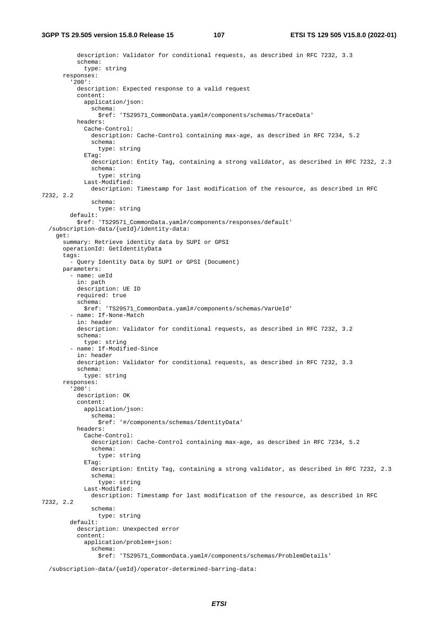```
 description: Validator for conditional requests, as described in RFC 7232, 3.3 
           schema: 
             type: string 
       responses: 
          '200': 
           description: Expected response to a valid request 
           content: 
             application/json: 
                schema: 
                 $ref: 'TS29571_CommonData.yaml#/components/schemas/TraceData' 
           headers: 
             Cache-Control: 
                description: Cache-Control containing max-age, as described in RFC 7234, 5.2 
                schema: 
                 type: string 
              ETag: 
                description: Entity Tag, containing a strong validator, as described in RFC 7232, 2.3 
                schema: 
                 type: string 
             Last-Modified: 
               description: Timestamp for last modification of the resource, as described in RFC 
7232, 2.2 
                schema: 
                 type: string 
         default: 
           $ref: 'TS29571_CommonData.yaml#/components/responses/default' 
   /subscription-data/{ueId}/identity-data: 
     get: 
       summary: Retrieve identity data by SUPI or GPSI 
       operationId: GetIdentityData 
       tags: 
         - Query Identity Data by SUPI or GPSI (Document) 
       parameters: 
         - name: ueId 
           in: path 
           description: UE ID 
           required: true 
           schema: 
             $ref: 'TS29571_CommonData.yaml#/components/schemas/VarUeId' 
         - name: If-None-Match 
            in: header 
           description: Validator for conditional requests, as described in RFC 7232, 3.2 
           schema: 
             type: string 
         - name: If-Modified-Since 
           in: header 
           description: Validator for conditional requests, as described in RFC 7232, 3.3 
           schema: 
             type: string 
       responses: 
          '200': 
           description: OK 
           content: 
             application/json: 
               schema: 
                 $ref: '#/components/schemas/IdentityData' 
           headers: 
             Cache-Control: 
                description: Cache-Control containing max-age, as described in RFC 7234, 5.2 
                schema: 
                 type: string 
              ETag: 
               description: Entity Tag, containing a strong validator, as described in RFC 7232, 2.3 
                schema: 
                  type: string 
             Last-Modified: 
                description: Timestamp for last modification of the resource, as described in RFC 
7232, 2.2 
                schema: 
                  type: string 
         default: 
           description: Unexpected error 
           content: 
              application/problem+json: 
                schema: 
                  $ref: 'TS29571_CommonData.yaml#/components/schemas/ProblemDetails'
```
/subscription-data/{ueId}/operator-determined-barring-data: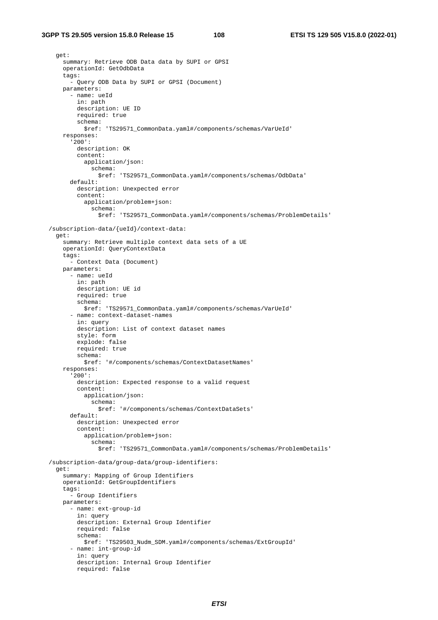## **3GPP TS 29.505 version 15.8.0 Release 15 108 ETSI TS 129 505 V15.8.0 (2022-01)**

```
 get: 
    summary: Retrieve ODB Data data by SUPI or GPSI 
    operationId: GetOdbData 
    tags: 
      - Query ODB Data by SUPI or GPSI (Document) 
    parameters: 
      - name: ueId 
        in: path 
        description: UE ID 
        required: true 
        schema: 
          $ref: 'TS29571_CommonData.yaml#/components/schemas/VarUeId' 
    responses: 
      '200': 
        description: OK 
        content: 
          application/json: 
             schema: 
               $ref: 'TS29571_CommonData.yaml#/components/schemas/OdbData' 
      default: 
        description: Unexpected error 
        content: 
          application/problem+json: 
            schema: 
               $ref: 'TS29571_CommonData.yaml#/components/schemas/ProblemDetails' 
/subscription-data/{ueId}/context-data: 
 get: 
    summary: Retrieve multiple context data sets of a UE 
    operationId: QueryContextData 
    tags: 
      - Context Data (Document) 
    parameters: 
      - name: ueId 
        in: path 
        description: UE id 
        required: true 
        schema: 
          $ref: 'TS29571_CommonData.yaml#/components/schemas/VarUeId' 
      - name: context-dataset-names 
        in: query 
        description: List of context dataset names 
        style: form 
        explode: false 
        required: true 
        schema: 
          $ref: '#/components/schemas/ContextDatasetNames' 
    responses: 
      '200': 
        description: Expected response to a valid request 
        content: 
          application/json: 
             schema: 
               $ref: '#/components/schemas/ContextDataSets' 
      default: 
        description: Unexpected error 
        content: 
          application/problem+json: 
             schema: 
               $ref: 'TS29571_CommonData.yaml#/components/schemas/ProblemDetails' 
/subscription-data/group-data/group-identifiers: 
 get: 
    summary: Mapping of Group Identifiers 
    operationId: GetGroupIdentifiers 
    tags: 
      - Group Identifiers 
    parameters: 
      - name: ext-group-id 
        in: query 
        description: External Group Identifier 
        required: false 
        schema: 
          $ref: 'TS29503_Nudm_SDM.yaml#/components/schemas/ExtGroupId' 
      - name: int-group-id 
        in: query 
        description: Internal Group Identifier 
        required: false
```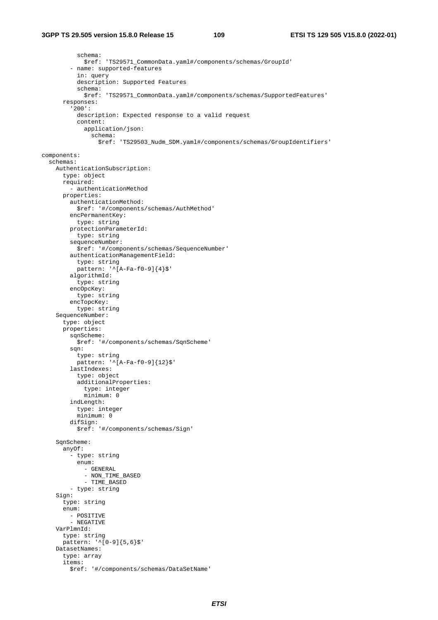## **3GPP TS 29.505 version 15.8.0 Release 15 109 ETSI TS 129 505 V15.8.0 (2022-01)**

 schema: \$ref: 'TS29571\_CommonData.yaml#/components/schemas/GroupId' - name: supported-features in: query description: Supported Features schema: \$ref: 'TS29571\_CommonData.yaml#/components/schemas/SupportedFeatures' responses: '200': description: Expected response to a valid request content: application/json: schema: \$ref: 'TS29503\_Nudm\_SDM.yaml#/components/schemas/GroupIdentifiers' components: schemas: AuthenticationSubscription: type: object required: - authenticationMethod properties: authenticationMethod: \$ref: '#/components/schemas/AuthMethod' encPermanentKey: type: string protectionParameterId: type: string sequenceNumber: \$ref: '#/components/schemas/SequenceNumber' authenticationManagementField: type: string pattern:  $\sqrt{[A-Fa-f0-9]}{4}$ algorithmId: type: string encOpcKey: type: string encTopcKey: type: string SequenceNumber: type: object properties: sqnScheme: \$ref: '#/components/schemas/SqnScheme' sqn: type: string pattern: '^[A-Fa-f0-9]{12}\$' lastIndexes: type: object additionalProperties: type: integer minimum: 0 indLength: type: integer minimum: 0 difSign: \$ref: '#/components/schemas/Sign' SqnScheme: anyOf: - type: string enum: - GENERAL - NON TIME BASED - TIME BASED - type: string Sign: type: string enum: - POSITIVE - NEGATIVE VarPlmnId: type: string pattern: '^[0-9]{5,6}\$' DatasetNames: type: array items: \$ref: '#/components/schemas/DataSetName'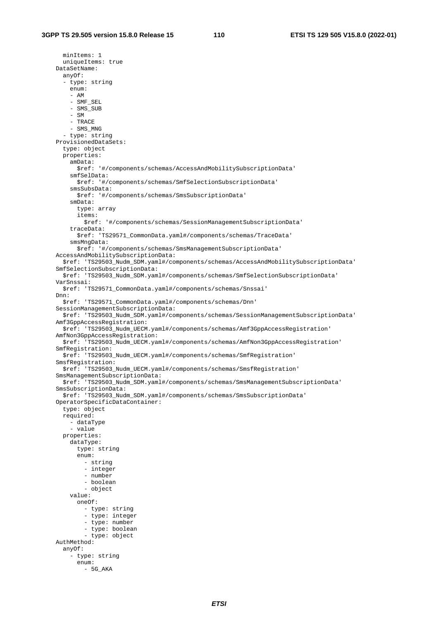minItems: 1 uniqueItems: true DataSetName: anyOf: - type: string enum: - AM - SMF\_SEL - SMS\_SUB - SM - TRACE - SMS\_MNG - type: string ProvisionedDataSets: type: object properties: amData: \$ref: '#/components/schemas/AccessAndMobilitySubscriptionData' smfSelData: \$ref: '#/components/schemas/SmfSelectionSubscriptionData' smsSubsData: \$ref: '#/components/schemas/SmsSubscriptionData' smData: type: array items: \$ref: '#/components/schemas/SessionManagementSubscriptionData' traceData: \$ref: 'TS29571\_CommonData.yaml#/components/schemas/TraceData' smsMngData: \$ref: '#/components/schemas/SmsManagementSubscriptionData' AccessAndMobilitySubscriptionData: \$ref: 'TS29503\_Nudm\_SDM.yaml#/components/schemas/AccessAndMobilitySubscriptionData' SmfSelectionSubscriptionData: \$ref: 'TS29503\_Nudm\_SDM.yaml#/components/schemas/SmfSelectionSubscriptionData' VarSnssai: \$ref: 'TS29571\_CommonData.yaml#/components/schemas/Snssai' Dnn: \$ref: 'TS29571\_CommonData.yaml#/components/schemas/Dnn' SessionManagementSubscriptionData: \$ref: 'TS29503\_Nudm\_SDM.yaml#/components/schemas/SessionManagementSubscriptionData' Amf3GppAccessRegistration: \$ref: 'TS29503\_Nudm\_UECM.yaml#/components/schemas/Amf3GppAccessRegistration' AmfNon3GppAccessRegistration: \$ref: 'TS29503\_Nudm\_UECM.yaml#/components/schemas/AmfNon3GppAccessRegistration' SmfRegistration: \$ref: 'TS29503\_Nudm\_UECM.yaml#/components/schemas/SmfRegistration' SmsfRegistration: \$ref: 'TS29503\_Nudm\_UECM.yaml#/components/schemas/SmsfRegistration' SmsManagementSubscriptionData: \$ref: 'TS29503\_Nudm\_SDM.yaml#/components/schemas/SmsManagementSubscriptionData' SmsSubscriptionData: \$ref: 'TS29503\_Nudm\_SDM.yaml#/components/schemas/SmsSubscriptionData' OperatorSpecificDataContainer: type: object required: - dataType - value properties: dataType: type: string enum: - string - integer - number - boolean - object value: oneOf: - type: string - type: integer - type: number - type: boolean - type: object AuthMethod: anyOf: - type: string enum: - 5G\_AKA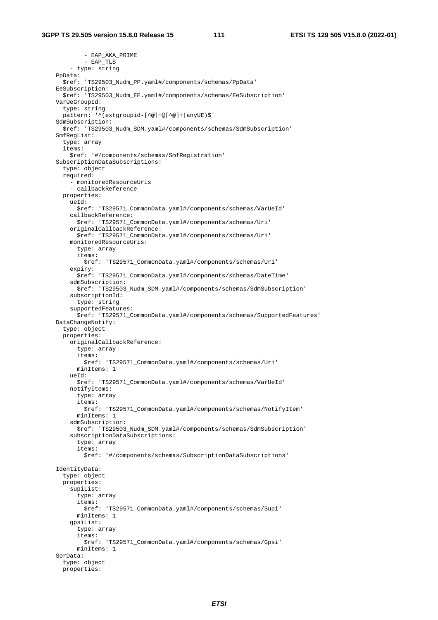- EAP\_AKA\_PRIME - EAP\_TLS - type: string PpData: \$ref: 'TS29503\_Nudm\_PP.yaml#/components/schemas/PpData' EeSubscription: \$ref: 'TS29503\_Nudm\_EE.yaml#/components/schemas/EeSubscription' VarUeGroupId: type: string pattern: '^(extgroupid-[^@]+@[^@]+|anyUE)\$' SdmSubscription: \$ref: 'TS29503\_Nudm\_SDM.yaml#/components/schemas/SdmSubscription' SmfRegList: type: array items: \$ref: '#/components/schemas/SmfRegistration' SubscriptionDataSubscriptions: type: object required: - monitoredResourceUris - callbackReference properties: ueId: \$ref: 'TS29571\_CommonData.yaml#/components/schemas/VarUeId' callbackReference: \$ref: 'TS29571\_CommonData.yaml#/components/schemas/Uri' originalCallbackReference: \$ref: 'TS29571\_CommonData.yaml#/components/schemas/Uri' monitoredResourceUris: type: array items: \$ref: 'TS29571\_CommonData.yaml#/components/schemas/Uri' expiry: \$ref: 'TS29571\_CommonData.yaml#/components/schemas/DateTime' sdmSubscription: \$ref: 'TS29503\_Nudm\_SDM.yaml#/components/schemas/SdmSubscription' subscriptionId: type: string supportedFeatures: \$ref: 'TS29571\_CommonData.yaml#/components/schemas/SupportedFeatures' DataChangeNotify: type: object properties: originalCallbackReference: type: array items: \$ref: 'TS29571\_CommonData.yaml#/components/schemas/Uri' minItems: 1 ueId: \$ref: 'TS29571\_CommonData.yaml#/components/schemas/VarUeId' notifyItems: type: array items: \$ref: 'TS29571\_CommonData.yaml#/components/schemas/NotifyItem' minItems: 1 sdmSubscription: \$ref: 'TS29503\_Nudm\_SDM.yaml#/components/schemas/SdmSubscription' subscriptionDataSubscriptions: type: array items: \$ref: '#/components/schemas/SubscriptionDataSubscriptions' IdentityData: type: object properties: supiList: type: array items: \$ref: 'TS29571\_CommonData.yaml#/components/schemas/Supi' minItems: 1 gpsiList: type: array items: \$ref: 'TS29571\_CommonData.yaml#/components/schemas/Gpsi' minItems: 1 SorData: type: object properties: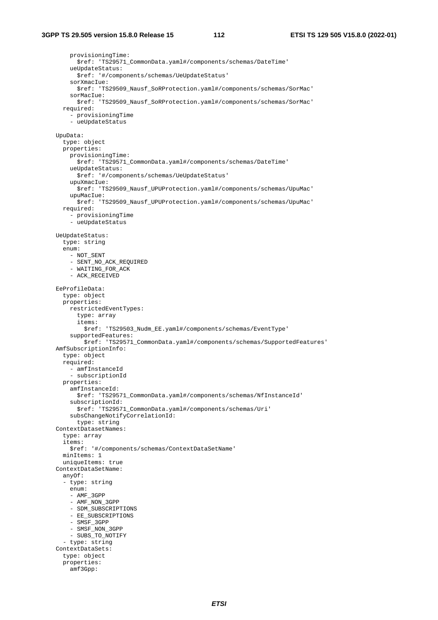provisioningTime: \$ref: 'TS29571\_CommonData.yaml#/components/schemas/DateTime' ueUpdateStatus: \$ref: '#/components/schemas/UeUpdateStatus' sorXmacIue: \$ref: 'TS29509\_Nausf\_SoRProtection.yaml#/components/schemas/SorMac' sorMacIue: \$ref: 'TS29509\_Nausf\_SoRProtection.yaml#/components/schemas/SorMac' required: - provisioningTime - ueUpdateStatus UpuData: type: object properties: provisioningTime: \$ref: 'TS29571\_CommonData.yaml#/components/schemas/DateTime' ueUpdateStatus: \$ref: '#/components/schemas/UeUpdateStatus' upuXmacIue: .<br>\$ref: 'TS29509\_Nausf\_UPUProtection.yaml#/components/schemas/UpuMac' upuMacIue: \$ref: 'TS29509\_Nausf\_UPUProtection.yaml#/components/schemas/UpuMac' required: - provisioningTime - ueUpdateStatus UeUpdateStatus: type: string enum: - NOT SENT - SENT\_NO\_ACK\_REQUIRED - WAITING FOR ACK - ACK RECEIVED EeProfileData: type: object properties: restrictedEventTypes: type: array items: \$ref: 'TS29503\_Nudm\_EE.yaml#/components/schemas/EventType' supportedFeatures: \$ref: 'TS29571\_CommonData.yaml#/components/schemas/SupportedFeatures' AmfSubscriptionInfo: type: object required: - amfInstanceId - subscriptionId properties: amfInstanceId: \$ref: 'TS29571\_CommonData.yaml#/components/schemas/NfInstanceId' subscriptionId: \$ref: 'TS29571\_CommonData.yaml#/components/schemas/Uri' subsChangeNotifyCorrelationId: type: string ContextDatasetNames: type: array items: \$ref: '#/components/schemas/ContextDataSetName' minItems: 1 uniqueItems: true ContextDataSetName: anyOf: - type: string enum: - AMF\_3GPP - AMF\_NON\_3GPP - SDM SUBSCRIPTIONS - EE\_SUBSCRIPTIONS - SMSF\_3GPP - SMSF\_NON\_3GPP - SUBS\_TO\_NOTIFY - type: string ContextDataSets: type: object properties: amf3Gpp: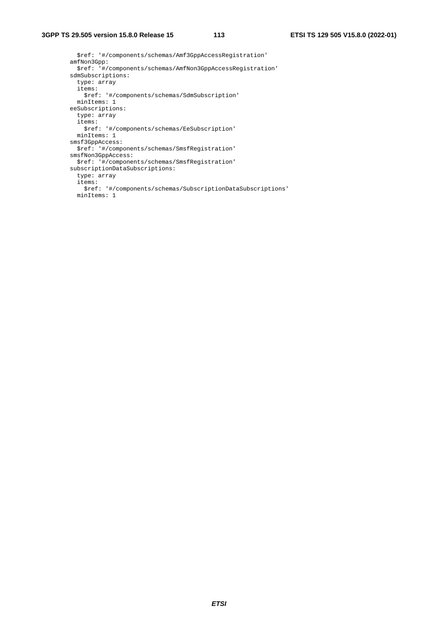\$ref: '#/components/schemas/Amf3GppAccessRegistration' amfNon3Gpp: \$ref: '#/components/schemas/AmfNon3GppAccessRegistration' sdmSubscriptions: type: array items: \$ref: '#/components/schemas/SdmSubscription' minItems: 1 eeSubscriptions: type: array items: \$ref: '#/components/schemas/EeSubscription' minItems: 1 smsf3GppAccess: \$ref: '#/components/schemas/SmsfRegistration' smsfNon3GppAccess: \$ref: '#/components/schemas/SmsfRegistration' subscriptionDataSubscriptions: type: array items: \$ref: '#/components/schemas/SubscriptionDataSubscriptions' minItems: 1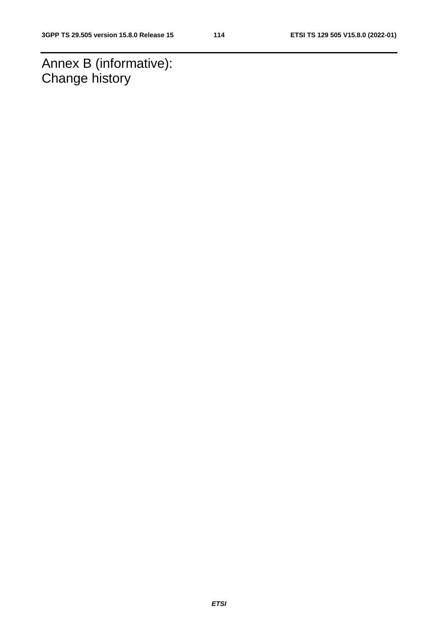Annex B (informative): Change history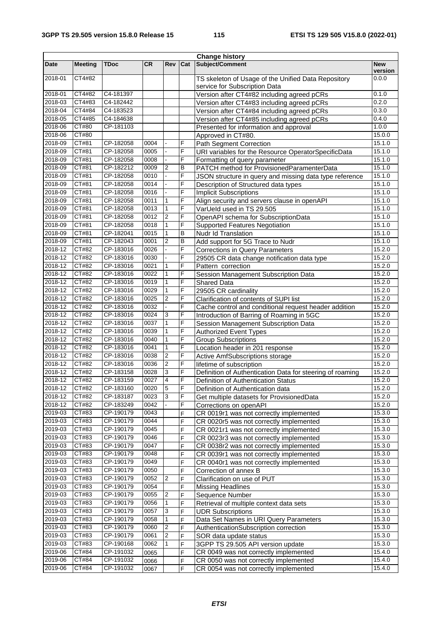|         |                |             |           |                         |     | <b>Change history</b>                                     |                       |
|---------|----------------|-------------|-----------|-------------------------|-----|-----------------------------------------------------------|-----------------------|
| Date    | <b>Meeting</b> | <b>TDoc</b> | <b>CR</b> | Rev                     | Cat | <b>Subject/Comment</b>                                    | <b>New</b><br>version |
| 2018-01 | CT4#82         |             |           |                         |     | TS skeleton of Usage of the Unified Data Repository       | 0.0.0                 |
|         | CT4#82         |             |           |                         |     | service for Subscription Data                             |                       |
| 2018-01 | CT4#83         | C4-181397   |           |                         |     | Version after CT4#82 including agreed pCRs                | 0.1.0                 |
| 2018-03 |                | C4-182442   |           |                         |     | Version after CT4#83 including agreed pCRs                | 0.2.0                 |
| 2018-04 | CT4#84         | C4-183523   |           |                         |     | Version after CT4#84 including agreed pCRs                | 0.3.0                 |
| 2018-05 | CT4#85         | C4-184638   |           |                         |     | Version after CT4#85 including agreed pCRs                | 0.4.0                 |
| 2018-06 | CT#80          | CP-181103   |           |                         |     | Presented for information and approval                    | 1.0.0                 |
| 2018-06 | CT#80          |             |           |                         |     | Approved in CT#80.                                        | 15.0.0                |
| 2018-09 | CT#81          | CP-182058   | 0004      |                         | F   | Path Segment Correction                                   | 15.1.0                |
| 2018-09 | CT#81          | CP-182058   | 0005      | $\blacksquare$          | F   | URI variables for the Resource OperatorSpecificData       | 15.1.0                |
| 2018-09 | CT#81          | CP-182058   | 0008      | $\blacksquare$          | F   | Formatting of query parameter                             | 15.1.0                |
| 2018-09 | CT#81          | CP-182212   | 0009      | $\overline{2}$          | B   | PATCH method for ProvisionedParamenterData                | 15.1.0                |
| 2018-09 | CT#81          | CP-182058   | 0010      | L.                      | F   | JSON structure in query and missing data type reference   | 15.1.0                |
| 2018-09 | CT#81          | CP-182058   | 0014      | ä,                      | F   | Description of Structured data types                      | 15.1.0                |
| 2018-09 | CT#81          | CP-182058   | 0016      | ä,                      | F   | <b>Implicit Subscriptions</b>                             | 15.1.0                |
| 2018-09 | CT#81          | CP-182058   | 0011      | $\mathbf{1}$            | F   | Align security and servers clause in openAPI              | 15.1.0                |
| 2018-09 | CT#81          | CP-182058   | 0013      | $\mathbf{1}$            | F   | VarUeld used in TS 29.505                                 | 15.1.0                |
| 2018-09 | CT#81          | CP-182058   | 0012      | $\overline{2}$          | F   | OpenAPI schema for SubscriptionData                       | 15.1.0                |
| 2018-09 | CT#81          | CP-182058   | 0018      | $\mathbf{1}$            | F   | <b>Supported Features Negotiation</b>                     | 15.1.0                |
| 2018-09 | CT#81          | CP-182041   | 0015      | $\mathbf{1}$            | B   | Nudr Id Translation                                       | 15.1.0                |
| 2018-09 | CT#81          | CP-182043   | 0001      | $\overline{c}$          | B   | Add support for 5G Trace to Nudr                          | 15.1.0                |
| 2018-12 | <b>CT#82</b>   | CP-183016   | 0026      |                         | F   | <b>Corrections in Query Parameters</b>                    | 15.2.0                |
| 2018-12 | CT#82          | CP-183016   | 0030      |                         | F   |                                                           | 15.2.0                |
| 2018-12 | CT#82          | CP-183016   | 0021      | $\mathbf{1}$            | F   | 29505 CR data change notification data type               | 15.2.0                |
| 2018-12 | CT#82          |             | 0022      | $\mathbf{1}$            | F   | Pattern correction                                        |                       |
|         |                | CP-183016   |           |                         |     | Session Management Subscription Data                      | 15.2.0                |
| 2018-12 | CT#82          | CP-183016   | 0019      | $\mathbf{1}$            | F   | <b>Shared Data</b>                                        | 15.2.0                |
| 2018-12 | CT#82          | CP-183016   | 0029      | $\mathbf{1}$            | F   | 29505 CR cardinality                                      | 15.2.0                |
| 2018-12 | CT#82          | CP-183016   | 0025      | $\overline{2}$          | F   | Clarification of contents of SUPI list                    | 15.2.0                |
| 2018-12 | CT#82          | CP-183016   | 0032      |                         | F   | Cache control and conditional request header addition     | 15.2.0                |
| 2018-12 | CT#82          | CP-183016   | 0024      | 3                       | F   | Introduction of Barring of Roaming in 5GC                 | 15.2.0                |
| 2018-12 | CT#82          | CP-183016   | 0037      | $\mathbf{1}$            | F   | Session Management Subscription Data                      | 15.2.0                |
| 2018-12 | CT#82          | CP-183016   | 0039      | $\mathbf{1}$            | F   | <b>Authorized Event Types</b>                             | 15.2.0                |
| 2018-12 | CT#82          | CP-183016   | 0040      | $\mathbf{1}$            | F   | <b>Group Subscriptions</b>                                | 15.2.0                |
| 2018-12 | CT#82          | CP-183016   | 0041      | $\mathbf{1}$            | F   | Location header in 201 response                           | 15.2.0                |
| 2018-12 | CT#82          | CP-183016   | 0038      | $\overline{2}$          | F   | Active AmfSubscriptions storage                           | 15.2.0                |
| 2018-12 | CT#82          | CP-183016   | 0036      | $\overline{2}$          | F   | lifetime of subscription                                  | 15.2.0                |
| 2018-12 | CT#82          | CP-183158   | 0028      | $\overline{3}$          | F   | Definition of Authentication Data for steering of roaming | 15.2.0                |
| 2018-12 | CT#82          | CP-183159   | 0027      | $\overline{4}$          | F   | Definition of Authentication Status                       | 15.2.0                |
| 2018-12 | CT#82          | CP-183160   | 0020      | $5\phantom{.0}$         | F   | Definition of Authentication data                         | 15.2.0                |
| 2018-12 | CT#82          | CP-183187   | 0023      | $\overline{3}$          | F   | Get multiple datasets for ProvisionedData                 | 15.2.0                |
| 2018-12 | CT#82          | CP-183249   | 0042      |                         | F   | Corrections on openAPI                                    | 15.2.0                |
| 2019-03 | CT#83          | CP-190179   | 0043      |                         | F   | CR 0019r1 was not correctly implemented                   | 15.3.0                |
| 2019-03 | CT#83          | CP-190179   | 0044      |                         | F   | CR 0020r5 was not correctly implemented                   | 15.3.0                |
| 2019-03 | CT#83          | CP-190179   | 0045      |                         | F   | CR 0021r1 was not correctly implemented                   | 15.3.0                |
| 2019-03 | CT#83          | CP-190179   | 0046      |                         | F   | CR 0023r3 was not correctly implemented                   | 15.3.0                |
| 2019-03 | CT#83          | CP-190179   | 0047      |                         | F   | CR 0038r2 was not correctly implemented                   | 15.3.0                |
| 2019-03 | CT#83          | CP-190179   | 0048      |                         | F   | CR 0039r1 was not correctly implemented                   | 15.3.0                |
| 2019-03 | CT#83          | CP-190179   | 0049      |                         | F   | CR 0040r1 was not correctly implemented                   | 15.3.0                |
| 2019-03 | CT#83          | CP-190179   | 0050      |                         |     | Correction of annex B                                     | 15.3.0                |
| 2019-03 | CT#83          | CP-190179   | 0052      | $\sqrt{2}$              | F   |                                                           | 15.3.0                |
|         |                |             |           |                         | F   | Clarification on use of PUT                               |                       |
| 2019-03 | CT#83          | CP-190179   | 0054      |                         | F   | <b>Missing Headlines</b>                                  | 15.3.0                |
| 2019-03 | CT#83          | CP-190179   | 0055      | $\overline{c}$          | F   | Sequence Number                                           | 15.3.0                |
| 2019-03 | CT#83          | CP-190179   | 0056      | $\mathbf{1}$            | F   | Retrieval of multiple context data sets                   | 15.3.0                |
| 2019-03 | CT#83          | CP-190179   | 0057      | 3                       | F   | <b>UDR Subscriptions</b>                                  | 15.3.0                |
| 2019-03 | CT#83          | CP-190179   | 0058      | 1                       | F   | Data Set Names in URI Query Parameters                    | 15.3.0                |
| 2019-03 | CT#83          | CP-190179   | 0060      | $\overline{\mathbf{c}}$ | F   | AuthenticationSubscription correction                     | 15.3.0                |
| 2019-03 | CT#83          | CP-190179   | 0061      | $\boldsymbol{2}$        | F   | SOR data update status                                    | 15.3.0                |
| 2019-03 | CT#83          | CP-190168   | 0062      | $\mathbf{1}$            | F   | 3GPP TS 29.505 API version update                         | 15.3.0                |
| 2019-06 | CT#84          | CP-191032   | 0065      |                         | F   | CR 0049 was not correctly implemented                     | 15.4.0                |
| 2019-06 | CT#84          | CP-191032   | 0066      |                         | F   | CR 0050 was not correctly implemented                     | 15.4.0                |
| 2019-06 | CT#84          | CP-191032   | 0067      |                         | F   | CR 0054 was not correctly implemented                     | 15.4.0                |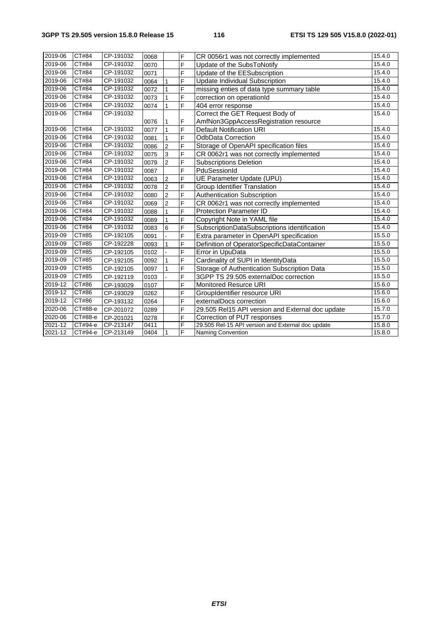| 2019-06     | CT#84   | CP-191032 | 0068 |                | F | CR 0056r1 was not correctly implemented           | 15.4.0 |
|-------------|---------|-----------|------|----------------|---|---------------------------------------------------|--------|
| 2019-06     | CT#84   | CP-191032 | 0070 |                | F | Update of the SubsToNotify                        | 15.4.0 |
| 2019-06     | CT#84   | CP-191032 | 0071 |                | F | Update of the EESubscription                      | 15.4.0 |
| 2019-06     | CT#84   | CP-191032 | 0064 |                | F | Update Individual Subscription                    | 15.4.0 |
| 2019-06     | CT#84   | CP-191032 | 0072 |                | F | missing enties of data type summary table         | 15.4.0 |
| 2019-06     | CT#84   | CP-191032 | 0073 |                | F | correction on operationId                         | 15.4.0 |
| 2019-06     | CT#84   | CP-191032 | 0074 |                | F | 404 error response                                | 15.4.0 |
| 2019-06     | CT#84   | CP-191032 |      |                |   | Correct the GET Request Body of                   | 15.4.0 |
|             |         |           | 0076 | 1              | F | AmfNon3GppAccessRegistration resource             |        |
| 2019-06     | CT#84   | CP-191032 | 0077 | 1              | F | <b>Default Notification URI</b>                   | 15.4.0 |
| 2019-06     | CT#84   | CP-191032 | 0081 | $\mathbf{1}$   | F | <b>OdbData Correction</b>                         | 15.4.0 |
| 2019-06     | CT#84   | CP-191032 | 0086 | $\overline{2}$ | F | Storage of OpenAPI specification files            | 15.4.0 |
| 2019-06     | CT#84   | CP-191032 | 0075 | 3              | F | CR 0062r1 was not correctly implemented           | 15.4.0 |
| 2019-06     | CT#84   | CP-191032 | 0079 | $\overline{2}$ | F | <b>Subscriptions Deletion</b>                     | 15.4.0 |
| 2019-06     | CT#84   | CP-191032 | 0087 |                | F | PduSessionId                                      | 15.4.0 |
| 2019-06     | CT#84   | CP-191032 | 0063 | $\overline{2}$ | F | UE Parameter Update (UPU)                         | 15.4.0 |
| 2019-06     | CT#84   | CP-191032 | 0078 | $\overline{2}$ | F | <b>Group Identifier Translation</b>               | 15.4.0 |
| 2019-06     | CT#84   | CP-191032 | 0080 | $\overline{2}$ | F | Authentication Subscription                       | 15.4.0 |
| 2019-06     | CT#84   | CP-191032 | 0069 | $\overline{2}$ | F | CR 0062r1 was not correctly implemented           | 15.4.0 |
| 2019-06     | CT#84   | CP-191032 | 0088 | $\mathbf{1}$   | F | <b>Protection Parameter ID</b>                    | 15.4.0 |
| 2019-06     | CT#84   | CP-191032 | 0089 |                | F | Copyright Note in YAML file                       | 15.4.0 |
| 2019-06     | CT#84   | CP-191032 | 0083 | 6              | F | SubscriptionDataSubscriptions identification      | 15.4.0 |
| 2019-09     | CT#85   | CP-192105 | 0091 |                | F | Extra parameter in OpenAPI specification          | 15.5.0 |
| 2019-09     | CT#85   | CP-192228 | 0093 | $\mathbf{1}$   | F | Definition of OperatorSpecificDataContainer       | 15.5.0 |
| 2019-09     | CT#85   | CP-192105 | 0102 |                | F | Error in UpuData                                  | 15.5.0 |
| 2019-09     | CT#85   | CP-192105 | 0092 | 1              | F | Cardinality of SUPI in IdentityData               | 15.5.0 |
| 2019-09     | CT#85   | CP-192105 | 0097 |                | F | Storage of Authentication Subscription Data       | 15.5.0 |
| 2019-09     | CT#85   | CP-192119 | 0103 |                | F | 3GPP TS 29.505 externalDoc correction             | 15.5.0 |
| 2019-12     | CT#86   | CP-193029 | 0107 |                | F | Monitored Resurce URI                             | 15.6.0 |
| 2019-12     | CT#86   | CP-193029 | 0262 |                | F | GroupIdentifier resource URI                      | 15.6.0 |
| 2019-12     | CT#86   | CP-193132 | 0264 |                | F | externalDocs correction                           | 15.6.0 |
| 2020-06     | СТ#88-е | CP-201072 | 0289 |                | F | 29.505 Rel15 API version and External doc update  | 15.7.0 |
| $2020 - 06$ | CT#88-e | CP-201021 | 0278 |                | F | Correction of PUT responses                       | 15.7.0 |
| 2021-12     | CT#94-e | CP-213147 | 0411 |                | F | 29.505 Rel-15 API version and External doc update | 15.8.0 |
| 2021-12     | CT#94-e | CP-213149 | 0404 | $\mathbf{1}$   | F | <b>Naming Convention</b>                          | 15.8.0 |